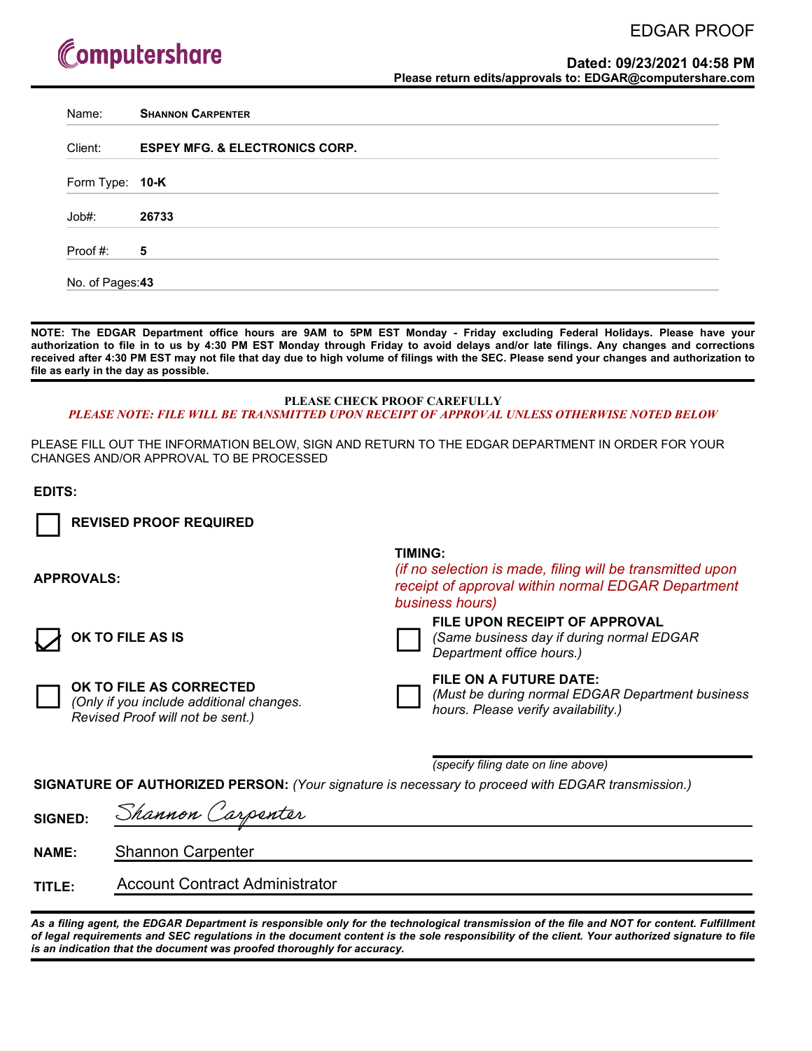# Computershare

EDGAR PROOF

**Please return edits/approvals to: EDGAR@computershare.com**

| Name:           | <b>SHANNON CARPENTER</b>                  |
|-----------------|-------------------------------------------|
| Client:         | <b>ESPEY MFG. &amp; ELECTRONICS CORP.</b> |
| Form Type: 10-K |                                           |
| $Job#$ :        | 26733                                     |
| Proof #:        | 5                                         |

**NOTE: The EDGAR Department office hours are 9AM to 5PM EST Monday - Friday excluding Federal Holidays. Please have your authorization to file in to us by 4:30 PM EST Monday through Friday to avoid delays and/or late filings. Any changes and corrections received after 4:30 PM EST may not file that day due to high volume of filings with the SEC. Please send your changes and authorization to file as early in the day as possible.**

**PLEASE CHECK PROOF CAREFULLY** *PLEASE NOTE: FILE WILL BE TRANSMITTED UPON RECEIPT OF APPROVAL UNLESS OTHERWISE NOTED BELOW*

PLEASE FILL OUT THE INFORMATION BELOW, SIGN AND RETURN TO THE EDGAR DEPARTMENT IN ORDER FOR YOUR CHANGES AND/OR APPROVAL TO BE PROCESSED

**EDITS:**

**TITLE:**

| <b>REVISED PROOF REQUIRED</b>                                                                           |                                                                                                                                                      |
|---------------------------------------------------------------------------------------------------------|------------------------------------------------------------------------------------------------------------------------------------------------------|
| APPROVALS:                                                                                              | <b>TIMING:</b><br>(if no selection is made, filing will be transmitted upon<br>receipt of approval within normal EDGAR Department<br>business hours) |
| OK TO FILE AS IS                                                                                        | FILE UPON RECEIPT OF APPROVAL<br>(Same business day if during normal EDGAR<br>Department office hours.)                                              |
| OK TO FILE AS CORRECTED<br>(Only if you include additional changes.<br>Revised Proof will not be sent.) | FILE ON A FUTURE DATE:<br>(Must be during normal EDGAR Department business<br>hours. Please verify availability.)                                    |
| SIGNATURE OF AUTHORIZED PERSON: (Your signature is necessary to proceed with EDGAR transmission.)       | (specify filing date on line above)                                                                                                                  |

Shannon Carpenter **SIGNED: NAME:** Shannon Carpenter Account Contract Administrator

*As a filing agent, the EDGAR Department is responsible only for the technological transmission of the file and NOT for content. Fulfillment of legal requirements and SEC regulations in the document content is the sole responsibility of the client. Your authorized signature to file is an indication that the document was proofed thoroughly for accuracy.*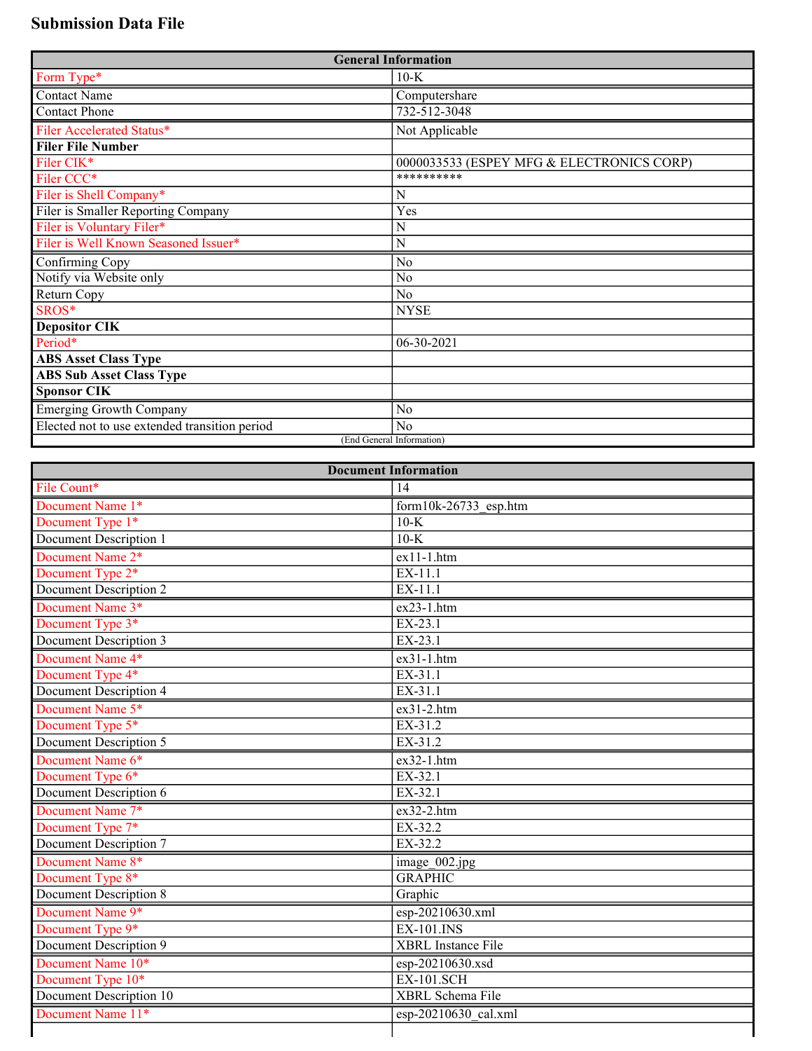# **Submission Data File**

| <b>General Information</b>                    |                                           |  |  |
|-----------------------------------------------|-------------------------------------------|--|--|
| Form Type*                                    | $10-K$                                    |  |  |
| <b>Contact Name</b>                           | Computershare                             |  |  |
| <b>Contact Phone</b>                          | 732-512-3048                              |  |  |
| Filer Accelerated Status*                     | Not Applicable                            |  |  |
| <b>Filer File Number</b>                      |                                           |  |  |
| Filer CIK*                                    | 0000033533 (ESPEY MFG & ELECTRONICS CORP) |  |  |
| Filer CCC <sup>*</sup>                        | **********                                |  |  |
| Filer is Shell Company*                       | N                                         |  |  |
| Filer is Smaller Reporting Company            | Yes                                       |  |  |
| Filer is Voluntary Filer*                     | N                                         |  |  |
| Filer is Well Known Seasoned Issuer*          | $\mathbf N$                               |  |  |
| Confirming Copy                               | $\overline{No}$                           |  |  |
| Notify via Website only                       | No                                        |  |  |
| Return Copy                                   | N <sub>o</sub>                            |  |  |
| SROS*                                         | <b>NYSE</b>                               |  |  |
| <b>Depositor CIK</b>                          |                                           |  |  |
| Period*                                       | 06-30-2021                                |  |  |
| <b>ABS Asset Class Type</b>                   |                                           |  |  |
| <b>ABS Sub Asset Class Type</b>               |                                           |  |  |
| <b>Sponsor CIK</b>                            |                                           |  |  |
| <b>Emerging Growth Company</b>                | No                                        |  |  |
| Elected not to use extended transition period | No                                        |  |  |
|                                               | (End General Information)                 |  |  |

| <b>Document Information</b>   |                           |  |  |  |
|-------------------------------|---------------------------|--|--|--|
| File Count*                   | 14                        |  |  |  |
| Document Name 1*              | $form 10k-26733$ esp.htm  |  |  |  |
| Document Type 1*              | $10-K$                    |  |  |  |
| <b>Document Description 1</b> | $10-K$                    |  |  |  |
| Document Name 2 <sup>*</sup>  | $ex11-1.htm$              |  |  |  |
| Document Type 2*              | EX-11.1                   |  |  |  |
| <b>Document Description 2</b> | $EX-11.1$                 |  |  |  |
| Document Name 3*              | $ex23-1.htm$              |  |  |  |
| Document Type 3 <sup>*</sup>  | EX-23.1                   |  |  |  |
| <b>Document Description 3</b> | EX-23.1                   |  |  |  |
| Document Name 4*              | $ex31-1.htm$              |  |  |  |
| Document Type 4*              | EX-31.1                   |  |  |  |
| <b>Document Description 4</b> | EX-31.1                   |  |  |  |
| Document Name 5 <sup>*</sup>  | $ex31-2.htm$              |  |  |  |
| Document Type 5*              | EX-31.2                   |  |  |  |
| Document Description 5        | EX-31.2                   |  |  |  |
| Document Name 6*              | $ex32-1.htm$              |  |  |  |
| Document Type 6*              | EX-32.1                   |  |  |  |
| Document Description 6        | EX-32.1                   |  |  |  |
| Document Name 7*              | $ex32-2.htm$              |  |  |  |
| Document Type 7*              | EX-32.2                   |  |  |  |
| <b>Document Description 7</b> | EX-32.2                   |  |  |  |
| Document Name 8*              | image $002.jpg$           |  |  |  |
| Document Type 8*              | <b>GRAPHIC</b>            |  |  |  |
| Document Description 8        | Graphic                   |  |  |  |
| Document Name 9*              | esp-20210630.xml          |  |  |  |
| Document Type 9*              | $EX-101$ . INS            |  |  |  |
| Document Description 9        | <b>XBRL</b> Instance File |  |  |  |
| Document Name 10*             | esp-20210630.xsd          |  |  |  |
| Document Type 10*             | $EX-101$ . SCH            |  |  |  |
| Document Description 10       | <b>XBRL</b> Schema File   |  |  |  |
| Document Name 11*             | esp-20210630 cal.xml      |  |  |  |
|                               |                           |  |  |  |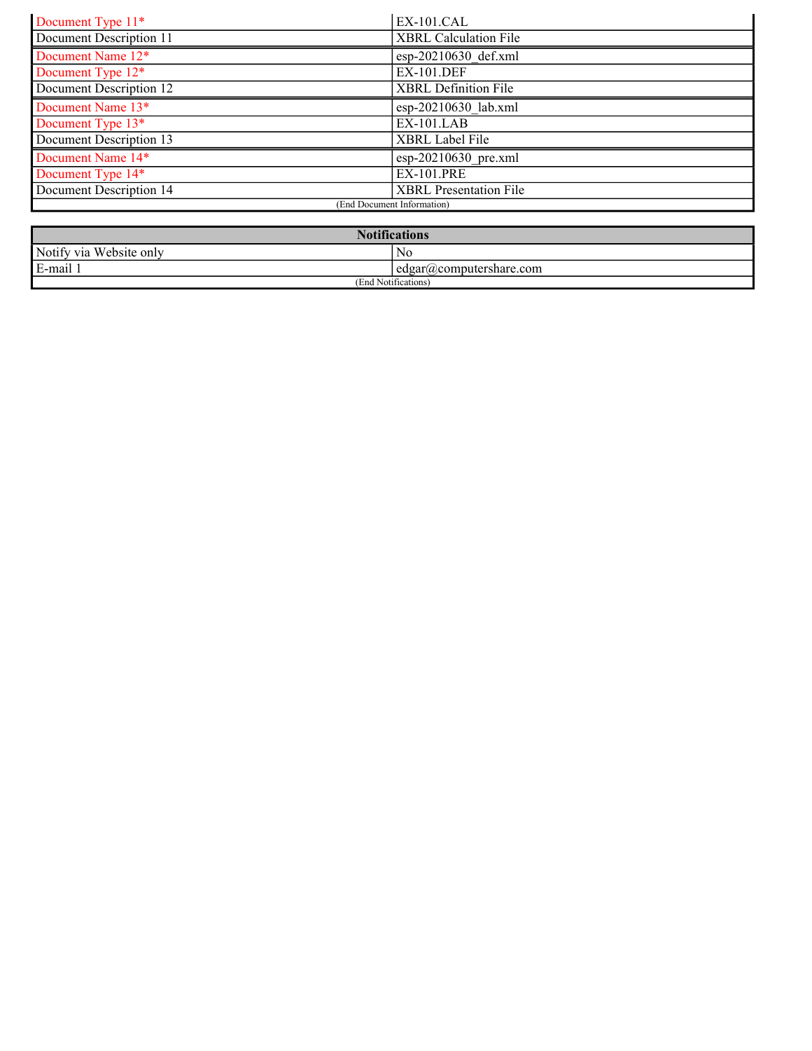| Document Type 11*       | <b>EX-101.CAL</b>             |
|-------------------------|-------------------------------|
| Document Description 11 | <b>XBRL Calculation File</b>  |
| Document Name 12*       | esp-20210630 def.xml          |
| Document Type 12*       | <b>EX-101.DEF</b>             |
| Document Description 12 | <b>XBRL Definition File</b>   |
| Document Name 13*       | esp-20210630 lab.xml          |
| Document Type 13*       | $EX-101.LAB$                  |
| Document Description 13 | XBRL Label File               |
| Document Name 14*       | esp-20210630 pre.xml          |
| Document Type 14*       | <b>EX-101.PRE</b>             |
| Document Description 14 | <b>XBRL Presentation File</b> |
|                         | (End Document Information)    |

| <b>Notifications</b>    |                              |  |
|-------------------------|------------------------------|--|
| Notify via Website only | No                           |  |
| E-mail                  | $edgar(a)$ computershare.com |  |
| (End Notifications)     |                              |  |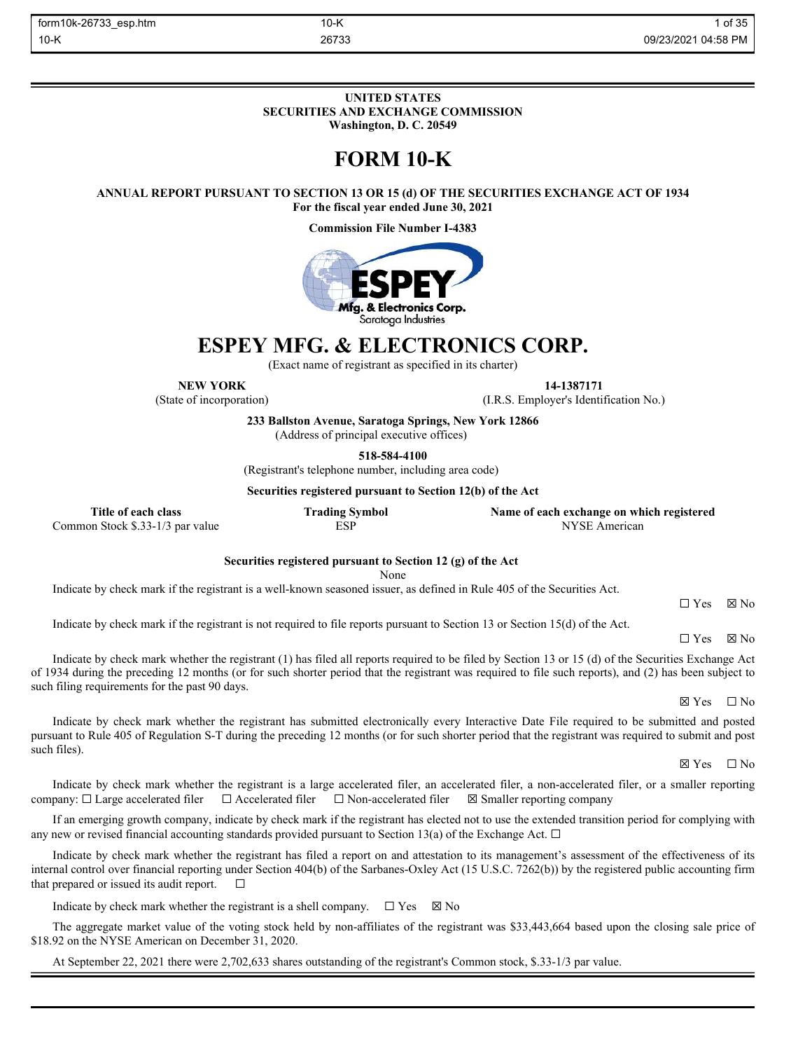#### **UNITED STATES SECURITIES AND EXCHANGE COMMISSION Washington, D. C. 20549**

# **FORM 10-K**

**ANNUAL REPORT PURSUANT TO SECTION 13 OR 15 (d) OF THE SECURITIES EXCHANGE ACT OF 1934 For the fiscal year ended June 30, 2021**

**Commission File Number I-4383**



# **ESPEY MFG. & ELECTRONICS CORP.**

(Exact name of registrant as specified in its charter)

**NEW YORK 14-1387171**

(State of incorporation) (I.R.S. Employer's Identification No.)

**233 Ballston Avenue, Saratoga Springs, New York 12866**

(Address of principal executive offices)

**518-584-4100**

(Registrant's telephone number, including area code)

**Securities registered pursuant to Section 12(b) of the Act**

| Title of each class              | <b>Trading Symbol</b> | Name of each exchange on which registered |
|----------------------------------|-----------------------|-------------------------------------------|
| Common Stock \$.33-1/3 par value | ESP                   | NYSE American                             |

**Securities registered pursuant to Section 12 (g) of the Act**

None

Indicate by check mark if the registrant is a well-known seasoned issuer, as defined in Rule 405 of the Securities Act.

Indicate by check mark if the registrant is not required to file reports pursuant to Section 13 or Section 15(d) of the Act.

☐ Yes ☒ No

 $\Box$  Yes  $\boxtimes$  No

Indicate by check mark whether the registrant (1) has filed all reports required to be filed by Section 13 or 15 (d) of the Securities Exchange Act of 1934 during the preceding 12 months (or for such shorter period that the registrant was required to file such reports), and (2) has been subject to such filing requirements for the past 90 days.

 $\nabla \times \mathbf{e}$   $\nabla \times \mathbf{e}$ 

Indicate by check mark whether the registrant has submitted electronically every Interactive Date File required to be submitted and posted pursuant to Rule 405 of Regulation S-T during the preceding 12 months (or for such shorter period that the registrant was required to submit and post such files).

☒ Yes ☐ No

Indicate by check mark whether the registrant is a large accelerated filer, an accelerated filer, a non-accelerated filer, or a smaller reporting company:  $\Box$  Large accelerated filer  $\Box$  Accelerated filer  $\Box$  Non-accelerated filer  $\boxtimes$  Smaller reporting company

If an emerging growth company, indicate by check mark if the registrant has elected not to use the extended transition period for complying with any new or revised financial accounting standards provided pursuant to Section 13(a) of the Exchange Act.  $\Box$ 

Indicate by check mark whether the registrant has filed a report on and attestation to its management's assessment of the effectiveness of its internal control over financial reporting under Section 404(b) of the Sarbanes-Oxley Act (15 U.S.C. 7262(b)) by the registered public accounting firm that prepared or issued its audit report.  $\Box$ 

Indicate by check mark whether the registrant is a shell company.  $\Box$  Yes  $\boxtimes$  No

The aggregate market value of the voting stock held by non-affiliates of the registrant was \$33,443,664 based upon the closing sale price of \$18.92 on the NYSE American on December 31, 2020.

At September 22, 2021 there were 2,702,633 shares outstanding of the registrant's Common stock, \$.33-1/3 par value.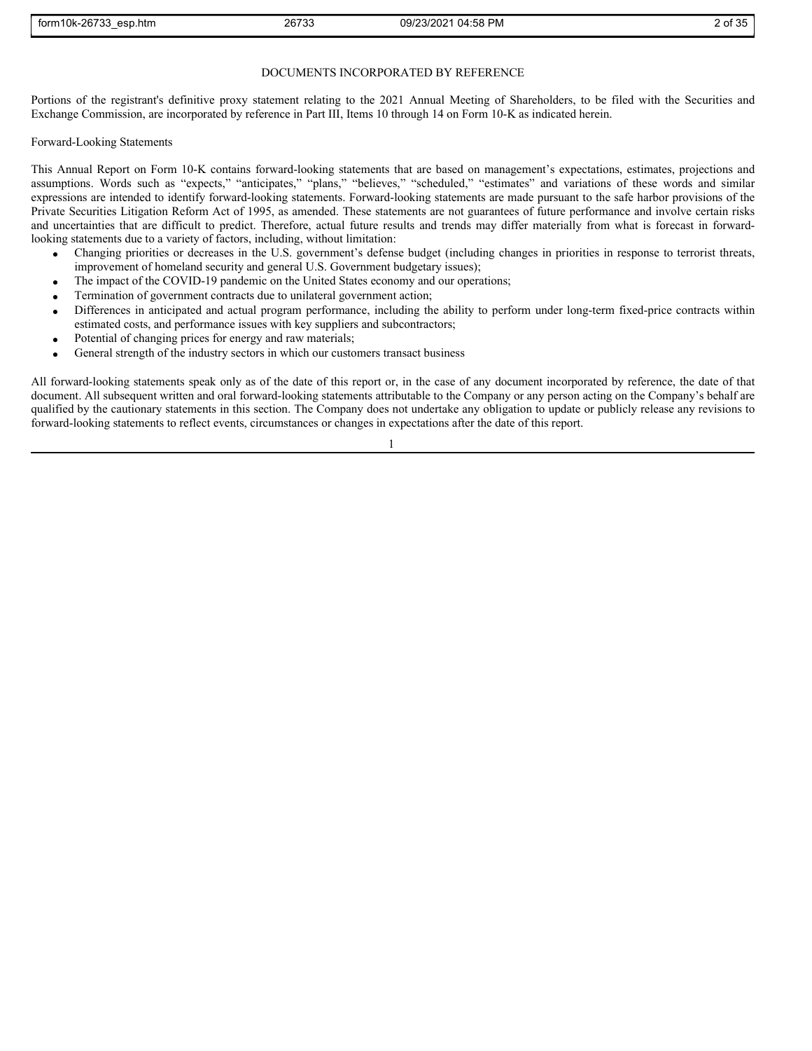#### DOCUMENTS INCORPORATED BY REFERENCE

Portions of the registrant's definitive proxy statement relating to the 2021 Annual Meeting of Shareholders, to be filed with the Securities and Exchange Commission, are incorporated by reference in Part III, Items 10 through 14 on Form 10-K as indicated herein.

Forward-Looking Statements

This Annual Report on Form 10-K contains forward-looking statements that are based on management's expectations, estimates, projections and assumptions. Words such as "expects," "anticipates," "plans," "believes," "scheduled," "estimates" and variations of these words and similar expressions are intended to identify forward-looking statements. Forward-looking statements are made pursuant to the safe harbor provisions of the Private Securities Litigation Reform Act of 1995, as amended. These statements are not guarantees of future performance and involve certain risks and uncertainties that are difficult to predict. Therefore, actual future results and trends may differ materially from what is forecast in forwardlooking statements due to a variety of factors, including, without limitation:

- Changing priorities or decreases in the U.S. government's defense budget (including changes in priorities in response to terrorist threats, improvement of homeland security and general U.S. Government budgetary issues);
- The impact of the COVID-19 pandemic on the United States economy and our operations;
- Termination of government contracts due to unilateral government action;
- Differences in anticipated and actual program performance, including the ability to perform under long-term fixed-price contracts within estimated costs, and performance issues with key suppliers and subcontractors;
- Potential of changing prices for energy and raw materials;
- General strength of the industry sectors in which our customers transact business

All forward-looking statements speak only as of the date of this report or, in the case of any document incorporated by reference, the date of that document. All subsequent written and oral forward-looking statements attributable to the Company or any person acting on the Company's behalf are qualified by the cautionary statements in this section. The Company does not undertake any obligation to update or publicly release any revisions to forward-looking statements to reflect events, circumstances or changes in expectations after the date of this report.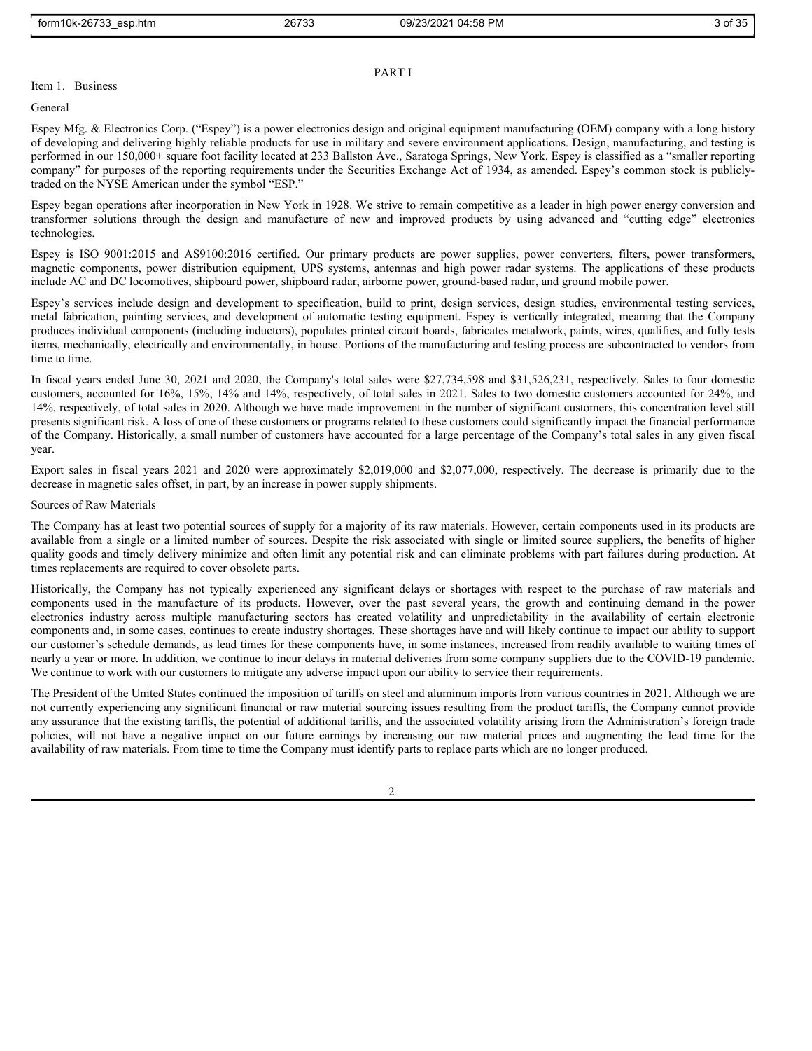PART I

#### Item 1. Business

General

Espey Mfg. & Electronics Corp. ("Espey") is a power electronics design and original equipment manufacturing (OEM) company with a long history of developing and delivering highly reliable products for use in military and severe environment applications. Design, manufacturing, and testing is performed in our 150,000+ square foot facility located at 233 Ballston Ave., Saratoga Springs, New York. Espey is classified as a "smaller reporting company" for purposes of the reporting requirements under the Securities Exchange Act of 1934, as amended. Espey's common stock is publiclytraded on the NYSE American under the symbol "ESP."

Espey began operations after incorporation in New York in 1928. We strive to remain competitive as a leader in high power energy conversion and transformer solutions through the design and manufacture of new and improved products by using advanced and "cutting edge" electronics technologies.

Espey is ISO 9001:2015 and AS9100:2016 certified. Our primary products are power supplies, power converters, filters, power transformers, magnetic components, power distribution equipment, UPS systems, antennas and high power radar systems. The applications of these products include AC and DC locomotives, shipboard power, shipboard radar, airborne power, ground-based radar, and ground mobile power.

Espey's services include design and development to specification, build to print, design services, design studies, environmental testing services, metal fabrication, painting services, and development of automatic testing equipment. Espey is vertically integrated, meaning that the Company produces individual components (including inductors), populates printed circuit boards, fabricates metalwork, paints, wires, qualifies, and fully tests items, mechanically, electrically and environmentally, in house. Portions of the manufacturing and testing process are subcontracted to vendors from time to time.

In fiscal years ended June 30, 2021 and 2020, the Company's total sales were \$27,734,598 and \$31,526,231, respectively. Sales to four domestic customers, accounted for 16%, 15%, 14% and 14%, respectively, of total sales in 2021. Sales to two domestic customers accounted for 24%, and 14%, respectively, of total sales in 2020. Although we have made improvement in the number of significant customers, this concentration level still presents significant risk. A loss of one of these customers or programs related to these customers could significantly impact the financial performance of the Company. Historically, a small number of customers have accounted for a large percentage of the Company's total sales in any given fiscal year.

Export sales in fiscal years 2021 and 2020 were approximately \$2,019,000 and \$2,077,000, respectively. The decrease is primarily due to the decrease in magnetic sales offset, in part, by an increase in power supply shipments.

#### Sources of Raw Materials

The Company has at least two potential sources of supply for a majority of its raw materials. However, certain components used in its products are available from a single or a limited number of sources. Despite the risk associated with single or limited source suppliers, the benefits of higher quality goods and timely delivery minimize and often limit any potential risk and can eliminate problems with part failures during production. At times replacements are required to cover obsolete parts.

Historically, the Company has not typically experienced any significant delays or shortages with respect to the purchase of raw materials and components used in the manufacture of its products. However, over the past several years, the growth and continuing demand in the power electronics industry across multiple manufacturing sectors has created volatility and unpredictability in the availability of certain electronic components and, in some cases, continues to create industry shortages. These shortages have and will likely continue to impact our ability to support our customer's schedule demands, as lead times for these components have, in some instances, increased from readily available to waiting times of nearly a year or more. In addition, we continue to incur delays in material deliveries from some company suppliers due to the COVID-19 pandemic. We continue to work with our customers to mitigate any adverse impact upon our ability to service their requirements.

The President of the United States continued the imposition of tariffs on steel and aluminum imports from various countries in 2021. Although we are not currently experiencing any significant financial or raw material sourcing issues resulting from the product tariffs, the Company cannot provide any assurance that the existing tariffs, the potential of additional tariffs, and the associated volatility arising from the Administration's foreign trade policies, will not have a negative impact on our future earnings by increasing our raw material prices and augmenting the lead time for the availability of raw materials. From time to time the Company must identify parts to replace parts which are no longer produced.

 $\mathcal{D}$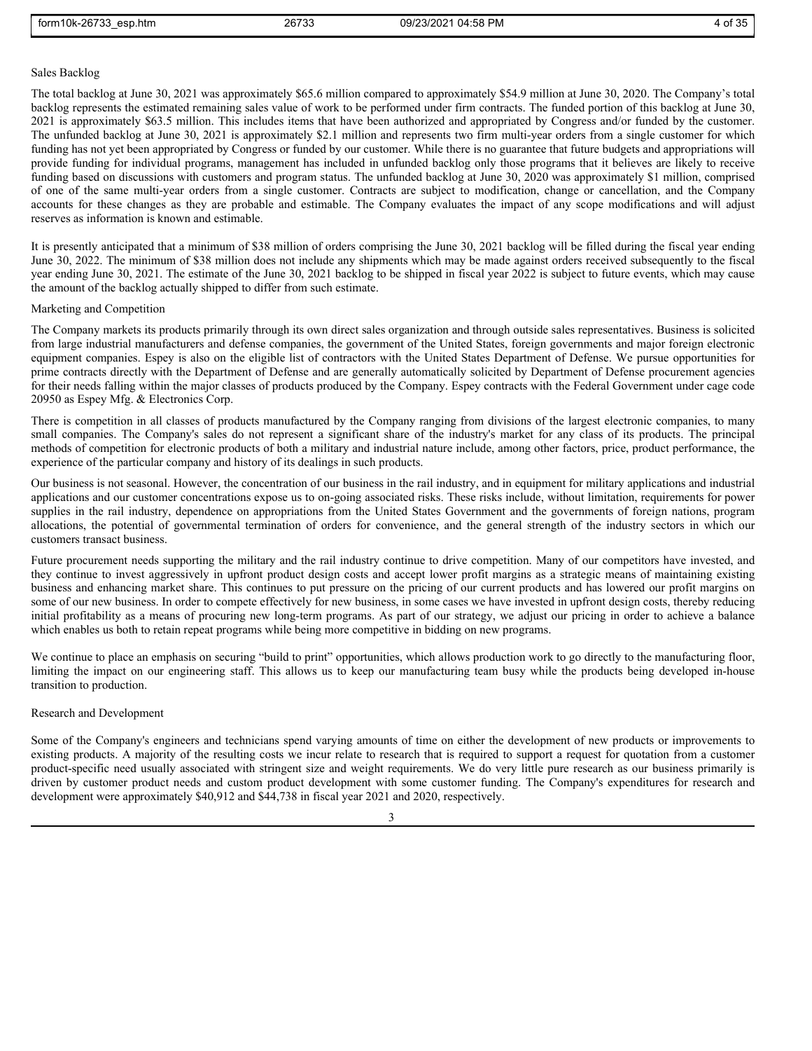form10k-26733\_esp.htm 26733 09/23/2021 04:58 PM 4 of 35

#### Sales Backlog

The total backlog at June 30, 2021 was approximately \$65.6 million compared to approximately \$54.9 million at June 30, 2020. The Company's total backlog represents the estimated remaining sales value of work to be performed under firm contracts. The funded portion of this backlog at June 30, 2021 is approximately \$63.5 million. This includes items that have been authorized and appropriated by Congress and/or funded by the customer. The unfunded backlog at June 30, 2021 is approximately \$2.1 million and represents two firm multi-year orders from a single customer for which funding has not yet been appropriated by Congress or funded by our customer. While there is no guarantee that future budgets and appropriations will provide funding for individual programs, management has included in unfunded backlog only those programs that it believes are likely to receive funding based on discussions with customers and program status. The unfunded backlog at June 30, 2020 was approximately \$1 million, comprised of one of the same multi-year orders from a single customer. Contracts are subject to modification, change or cancellation, and the Company accounts for these changes as they are probable and estimable. The Company evaluates the impact of any scope modifications and will adjust reserves as information is known and estimable.

It is presently anticipated that a minimum of \$38 million of orders comprising the June 30, 2021 backlog will be filled during the fiscal year ending June 30, 2022. The minimum of \$38 million does not include any shipments which may be made against orders received subsequently to the fiscal year ending June 30, 2021. The estimate of the June 30, 2021 backlog to be shipped in fiscal year 2022 is subject to future events, which may cause the amount of the backlog actually shipped to differ from such estimate.

#### Marketing and Competition

The Company markets its products primarily through its own direct sales organization and through outside sales representatives. Business is solicited from large industrial manufacturers and defense companies, the government of the United States, foreign governments and major foreign electronic equipment companies. Espey is also on the eligible list of contractors with the United States Department of Defense. We pursue opportunities for prime contracts directly with the Department of Defense and are generally automatically solicited by Department of Defense procurement agencies for their needs falling within the major classes of products produced by the Company. Espey contracts with the Federal Government under cage code 20950 as Espey Mfg. & Electronics Corp.

There is competition in all classes of products manufactured by the Company ranging from divisions of the largest electronic companies, to many small companies. The Company's sales do not represent a significant share of the industry's market for any class of its products. The principal methods of competition for electronic products of both a military and industrial nature include, among other factors, price, product performance, the experience of the particular company and history of its dealings in such products.

Our business is not seasonal. However, the concentration of our business in the rail industry, and in equipment for military applications and industrial applications and our customer concentrations expose us to on-going associated risks. These risks include, without limitation, requirements for power supplies in the rail industry, dependence on appropriations from the United States Government and the governments of foreign nations, program allocations, the potential of governmental termination of orders for convenience, and the general strength of the industry sectors in which our customers transact business.

Future procurement needs supporting the military and the rail industry continue to drive competition. Many of our competitors have invested, and they continue to invest aggressively in upfront product design costs and accept lower profit margins as a strategic means of maintaining existing business and enhancing market share. This continues to put pressure on the pricing of our current products and has lowered our profit margins on some of our new business. In order to compete effectively for new business, in some cases we have invested in upfront design costs, thereby reducing initial profitability as a means of procuring new long-term programs. As part of our strategy, we adjust our pricing in order to achieve a balance which enables us both to retain repeat programs while being more competitive in bidding on new programs.

We continue to place an emphasis on securing "build to print" opportunities, which allows production work to go directly to the manufacturing floor, limiting the impact on our engineering staff. This allows us to keep our manufacturing team busy while the products being developed in-house transition to production.

#### Research and Development

Some of the Company's engineers and technicians spend varying amounts of time on either the development of new products or improvements to existing products. A majority of the resulting costs we incur relate to research that is required to support a request for quotation from a customer product-specific need usually associated with stringent size and weight requirements. We do very little pure research as our business primarily is driven by customer product needs and custom product development with some customer funding. The Company's expenditures for research and development were approximately \$40,912 and \$44,738 in fiscal year 2021 and 2020, respectively.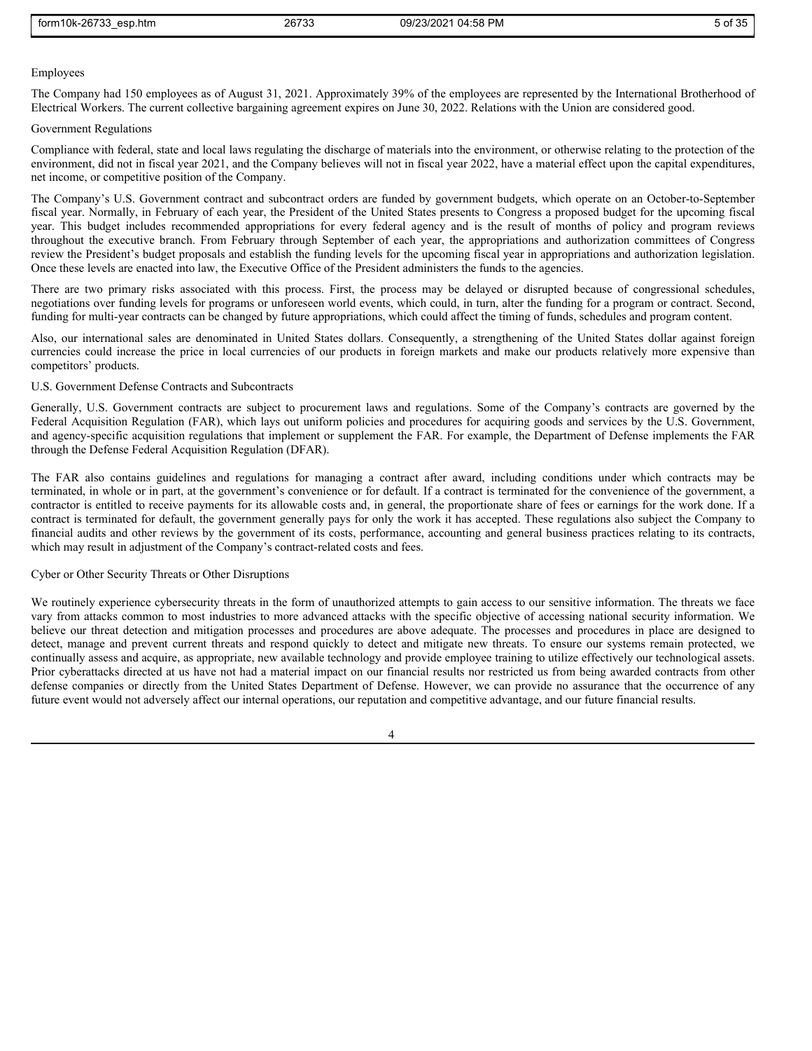#### Employees

The Company had 150 employees as of August 31, 2021. Approximately 39% of the employees are represented by the International Brotherhood of Electrical Workers. The current collective bargaining agreement expires on June 30, 2022. Relations with the Union are considered good.

#### Government Regulations

Compliance with federal, state and local laws regulating the discharge of materials into the environment, or otherwise relating to the protection of the environment, did not in fiscal year 2021, and the Company believes will not in fiscal year 2022, have a material effect upon the capital expenditures, net income, or competitive position of the Company.

The Company's U.S. Government contract and subcontract orders are funded by government budgets, which operate on an October-to-September fiscal year. Normally, in February of each year, the President of the United States presents to Congress a proposed budget for the upcoming fiscal year. This budget includes recommended appropriations for every federal agency and is the result of months of policy and program reviews throughout the executive branch. From February through September of each year, the appropriations and authorization committees of Congress review the President's budget proposals and establish the funding levels for the upcoming fiscal year in appropriations and authorization legislation. Once these levels are enacted into law, the Executive Office of the President administers the funds to the agencies.

There are two primary risks associated with this process. First, the process may be delayed or disrupted because of congressional schedules, negotiations over funding levels for programs or unforeseen world events, which could, in turn, alter the funding for a program or contract. Second, funding for multi-year contracts can be changed by future appropriations, which could affect the timing of funds, schedules and program content.

Also, our international sales are denominated in United States dollars. Consequently, a strengthening of the United States dollar against foreign currencies could increase the price in local currencies of our products in foreign markets and make our products relatively more expensive than competitors' products.

#### U.S. Government Defense Contracts and Subcontracts

Generally, U.S. Government contracts are subject to procurement laws and regulations. Some of the Company's contracts are governed by the Federal Acquisition Regulation (FAR), which lays out uniform policies and procedures for acquiring goods and services by the U.S. Government, and agency-specific acquisition regulations that implement or supplement the FAR. For example, the Department of Defense implements the FAR through the Defense Federal Acquisition Regulation (DFAR).

The FAR also contains guidelines and regulations for managing a contract after award, including conditions under which contracts may be terminated, in whole or in part, at the government's convenience or for default. If a contract is terminated for the convenience of the government, a contractor is entitled to receive payments for its allowable costs and, in general, the proportionate share of fees or earnings for the work done. If a contract is terminated for default, the government generally pays for only the work it has accepted. These regulations also subject the Company to financial audits and other reviews by the government of its costs, performance, accounting and general business practices relating to its contracts, which may result in adjustment of the Company's contract-related costs and fees.

#### Cyber or Other Security Threats or Other Disruptions

We routinely experience cybersecurity threats in the form of unauthorized attempts to gain access to our sensitive information. The threats we face vary from attacks common to most industries to more advanced attacks with the specific objective of accessing national security information. We believe our threat detection and mitigation processes and procedures are above adequate. The processes and procedures in place are designed to detect, manage and prevent current threats and respond quickly to detect and mitigate new threats. To ensure our systems remain protected, we continually assess and acquire, as appropriate, new available technology and provide employee training to utilize effectively our technological assets. Prior cyberattacks directed at us have not had a material impact on our financial results nor restricted us from being awarded contracts from other defense companies or directly from the United States Department of Defense. However, we can provide no assurance that the occurrence of any future event would not adversely affect our internal operations, our reputation and competitive advantage, and our future financial results.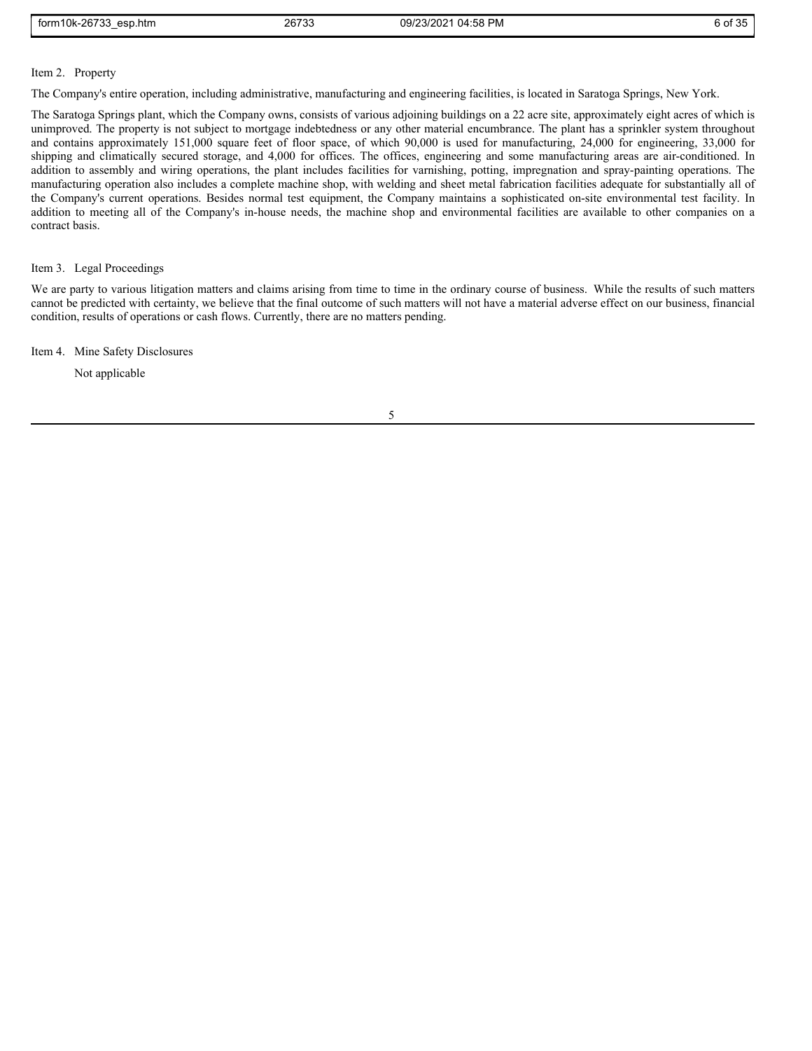| 10k-26733<br>esp.htm<br>torm<br>501 م | 26733 | 04:58 PM<br>$\sim$ 0001.<br>09/23/202 | $\sim$ $\sim$ $\sim$<br>ורז ו<br>. .<br>ື |
|---------------------------------------|-------|---------------------------------------|-------------------------------------------|

#### Item 2. Property

The Company's entire operation, including administrative, manufacturing and engineering facilities, is located in Saratoga Springs, New York.

The Saratoga Springs plant, which the Company owns, consists of various adjoining buildings on a 22 acre site, approximately eight acres of which is unimproved. The property is not subject to mortgage indebtedness or any other material encumbrance. The plant has a sprinkler system throughout and contains approximately 151,000 square feet of floor space, of which 90,000 is used for manufacturing, 24,000 for engineering, 33,000 for shipping and climatically secured storage, and 4,000 for offices. The offices, engineering and some manufacturing areas are air-conditioned. In addition to assembly and wiring operations, the plant includes facilities for varnishing, potting, impregnation and spray-painting operations. The manufacturing operation also includes a complete machine shop, with welding and sheet metal fabrication facilities adequate for substantially all of the Company's current operations. Besides normal test equipment, the Company maintains a sophisticated on-site environmental test facility. In addition to meeting all of the Company's in-house needs, the machine shop and environmental facilities are available to other companies on a contract basis.

#### Item 3. Legal Proceedings

We are party to various litigation matters and claims arising from time to time in the ordinary course of business. While the results of such matters cannot be predicted with certainty, we believe that the final outcome of such matters will not have a material adverse effect on our business, financial condition, results of operations or cash flows. Currently, there are no matters pending.

Item 4. Mine Safety Disclosures

Not applicable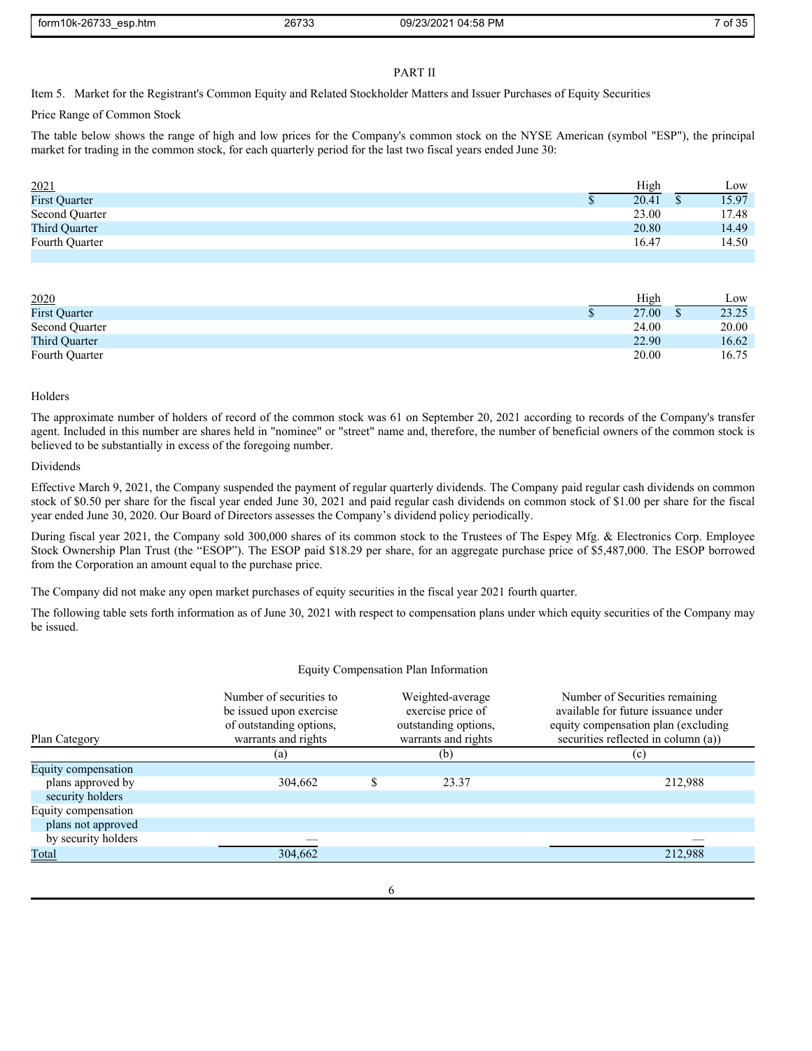| 700<br>റമ<br>w<br>esp.htm<br>torm<br><b>ACP</b><br>. IUN-<br>201 J.J | วดววว<br><b>LUIJU</b> | <b>PM</b><br>09/<br>$ \sim$<br>יחריו דר<br>04:58<br>$\mathbf{r}$<br>∠∪∠<br>. | $\sim$ $\sim$<br>Ωt |
|----------------------------------------------------------------------|-----------------------|------------------------------------------------------------------------------|---------------------|
|----------------------------------------------------------------------|-----------------------|------------------------------------------------------------------------------|---------------------|

# PART II

Item 5. Market for the Registrant's Common Equity and Related Stockholder Matters and Issuer Purchases of Equity Securities

Price Range of Common Stock

The table below shows the range of high and low prices for the Company's common stock on the NYSE American (symbol "ESP"), the principal market for trading in the common stock, for each quarterly period for the last two fiscal years ended June 30:

| High  | Low   |
|-------|-------|
| 20.41 | 15.97 |
| 23.00 | 17.48 |
| 20.80 | 14.49 |
| 16.47 | 14.50 |
|       |       |

| 2020                 | High  | Low   |
|----------------------|-------|-------|
| <b>First Ouarter</b> | 27.00 | 23.25 |
| Second Quarter       | 24.00 | 20.00 |
| Third Ouarter        | 22.90 | 16.62 |
| Fourth Quarter       | 20.00 | 16.75 |

#### Holders

The approximate number of holders of record of the common stock was 61 on September 20, 2021 according to records of the Company's transfer agent. Included in this number are shares held in "nominee" or "street" name and, therefore, the number of beneficial owners of the common stock is believed to be substantially in excess of the foregoing number.

#### Dividends

Effective March 9, 2021, the Company suspended the payment of regular quarterly dividends. The Company paid regular cash dividends on common stock of \$0.50 per share for the fiscal year ended June 30, 2021 and paid regular cash dividends on common stock of \$1.00 per share for the fiscal year ended June 30, 2020. Our Board of Directors assesses the Company's dividend policy periodically.

During fiscal year 2021, the Company sold 300,000 shares of its common stock to the Trustees of The Espey Mfg. & Electronics Corp. Employee Stock Ownership Plan Trust (the "ESOP"). The ESOP paid \$18.29 per share, for an aggregate purchase price of \$5,487,000. The ESOP borrowed from the Corporation an amount equal to the purchase price.

The Company did not make any open market purchases of equity securities in the fiscal year 2021 fourth quarter.

The following table sets forth information as of June 30, 2021 with respect to compensation plans under which equity securities of the Company may be issued.

#### Equity Compensation Plan Information

| of outstanding options,<br>outstanding options,<br>equity compensation plan (excluding<br>warrants and rights<br>warrants and rights<br>Plan Category | securities reflected in column (a)) |
|-------------------------------------------------------------------------------------------------------------------------------------------------------|-------------------------------------|
| (b)<br>(a)                                                                                                                                            | l C                                 |
| Equity compensation                                                                                                                                   |                                     |
| plans approved by<br>23.37<br>304,662                                                                                                                 | 212,988                             |
| security holders                                                                                                                                      |                                     |
| Equity compensation                                                                                                                                   |                                     |
| plans not approved                                                                                                                                    |                                     |
| by security holders                                                                                                                                   |                                     |
| 304,662<br><b>Total</b>                                                                                                                               | 212,988                             |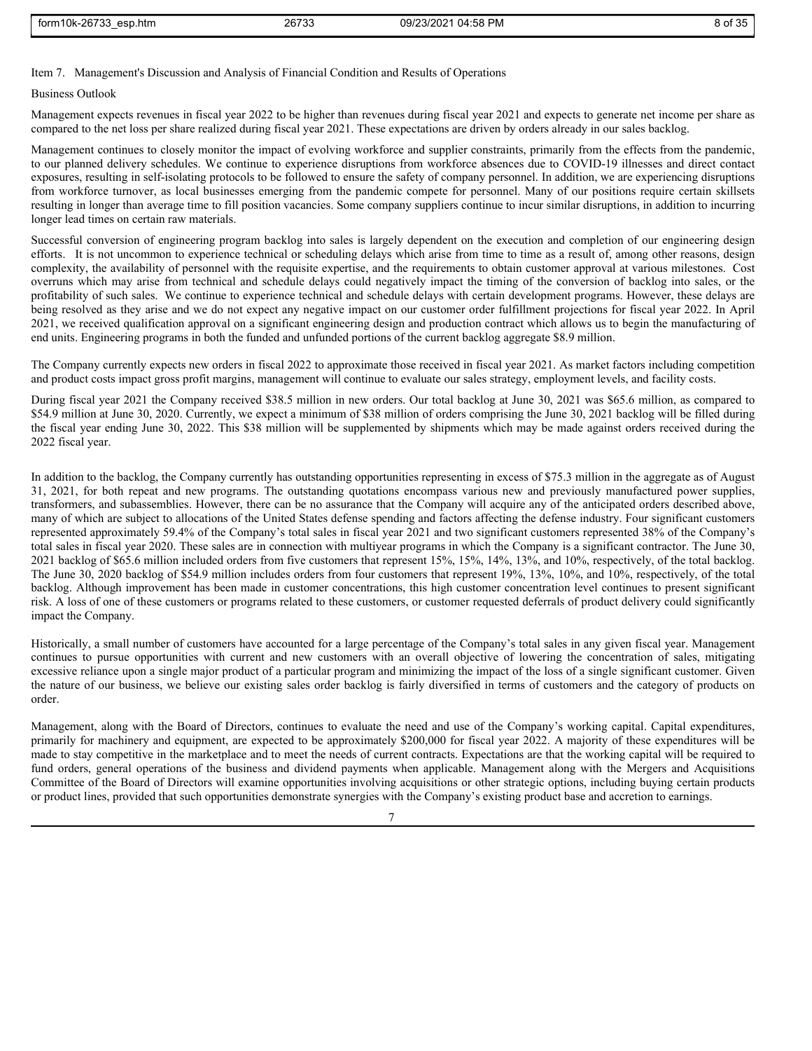Item 7. Management's Discussion and Analysis of Financial Condition and Results of Operations

Business Outlook

Management expects revenues in fiscal year 2022 to be higher than revenues during fiscal year 2021 and expects to generate net income per share as compared to the net loss per share realized during fiscal year 2021. These expectations are driven by orders already in our sales backlog.

Management continues to closely monitor the impact of evolving workforce and supplier constraints, primarily from the effects from the pandemic, to our planned delivery schedules. We continue to experience disruptions from workforce absences due to COVID-19 illnesses and direct contact exposures, resulting in self-isolating protocols to be followed to ensure the safety of company personnel. In addition, we are experiencing disruptions from workforce turnover, as local businesses emerging from the pandemic compete for personnel. Many of our positions require certain skillsets resulting in longer than average time to fill position vacancies. Some company suppliers continue to incur similar disruptions, in addition to incurring longer lead times on certain raw materials.

Successful conversion of engineering program backlog into sales is largely dependent on the execution and completion of our engineering design efforts. It is not uncommon to experience technical or scheduling delays which arise from time to time as a result of, among other reasons, design complexity, the availability of personnel with the requisite expertise, and the requirements to obtain customer approval at various milestones. Cost overruns which may arise from technical and schedule delays could negatively impact the timing of the conversion of backlog into sales, or the profitability of such sales. We continue to experience technical and schedule delays with certain development programs. However, these delays are being resolved as they arise and we do not expect any negative impact on our customer order fulfillment projections for fiscal year 2022. In April 2021, we received qualification approval on a significant engineering design and production contract which allows us to begin the manufacturing of end units. Engineering programs in both the funded and unfunded portions of the current backlog aggregate \$8.9 million.

The Company currently expects new orders in fiscal 2022 to approximate those received in fiscal year 2021. As market factors including competition and product costs impact gross profit margins, management will continue to evaluate our sales strategy, employment levels, and facility costs.

During fiscal year 2021 the Company received \$38.5 million in new orders. Our total backlog at June 30, 2021 was \$65.6 million, as compared to \$54.9 million at June 30, 2020. Currently, we expect a minimum of \$38 million of orders comprising the June 30, 2021 backlog will be filled during the fiscal year ending June 30, 2022. This \$38 million will be supplemented by shipments which may be made against orders received during the 2022 fiscal year.

In addition to the backlog, the Company currently has outstanding opportunities representing in excess of \$75.3 million in the aggregate as of August 31, 2021, for both repeat and new programs. The outstanding quotations encompass various new and previously manufactured power supplies, transformers, and subassemblies. However, there can be no assurance that the Company will acquire any of the anticipated orders described above, many of which are subject to allocations of the United States defense spending and factors affecting the defense industry. Four significant customers represented approximately 59.4% of the Company's total sales in fiscal year 2021 and two significant customers represented 38% of the Company's total sales in fiscal year 2020. These sales are in connection with multiyear programs in which the Company is a significant contractor. The June 30, 2021 backlog of \$65.6 million included orders from five customers that represent 15%, 15%, 14%, 13%, and 10%, respectively, of the total backlog. The June 30, 2020 backlog of \$54.9 million includes orders from four customers that represent 19%, 13%, 10%, and 10%, respectively, of the total backlog. Although improvement has been made in customer concentrations, this high customer concentration level continues to present significant risk. A loss of one of these customers or programs related to these customers, or customer requested deferrals of product delivery could significantly impact the Company.

Historically, a small number of customers have accounted for a large percentage of the Company's total sales in any given fiscal year. Management continues to pursue opportunities with current and new customers with an overall objective of lowering the concentration of sales, mitigating excessive reliance upon a single major product of a particular program and minimizing the impact of the loss of a single significant customer. Given the nature of our business, we believe our existing sales order backlog is fairly diversified in terms of customers and the category of products on order.

Management, along with the Board of Directors, continues to evaluate the need and use of the Company's working capital. Capital expenditures, primarily for machinery and equipment, are expected to be approximately \$200,000 for fiscal year 2022. A majority of these expenditures will be made to stay competitive in the marketplace and to meet the needs of current contracts. Expectations are that the working capital will be required to fund orders, general operations of the business and dividend payments when applicable. Management along with the Mergers and Acquisitions Committee of the Board of Directors will examine opportunities involving acquisitions or other strategic options, including buying certain products or product lines, provided that such opportunities demonstrate synergies with the Company's existing product base and accretion to earnings.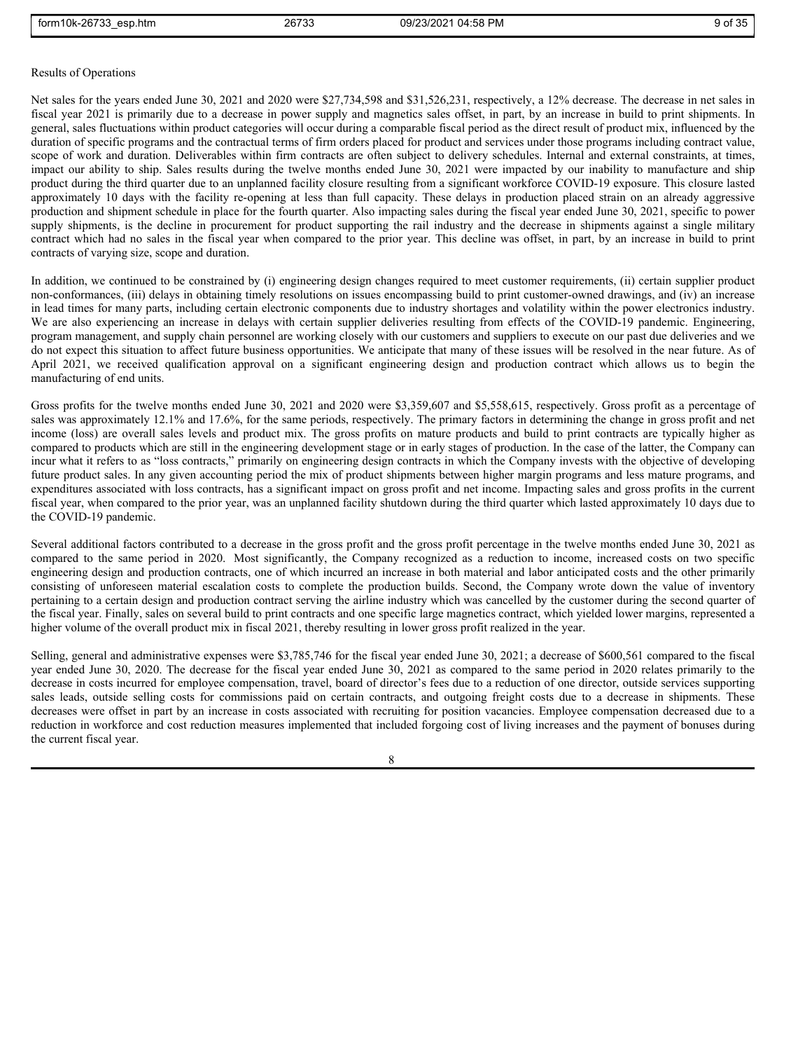form10k-26733\_esp.htm 26733 09/23/2021 04:58 PM 9 of 35

#### Results of Operations

Net sales for the years ended June 30, 2021 and 2020 were \$27,734,598 and \$31,526,231, respectively, a 12% decrease. The decrease in net sales in fiscal year 2021 is primarily due to a decrease in power supply and magnetics sales offset, in part, by an increase in build to print shipments. In general, sales fluctuations within product categories will occur during a comparable fiscal period as the direct result of product mix, influenced by the duration of specific programs and the contractual terms of firm orders placed for product and services under those programs including contract value, scope of work and duration. Deliverables within firm contracts are often subject to delivery schedules. Internal and external constraints, at times, impact our ability to ship. Sales results during the twelve months ended June 30, 2021 were impacted by our inability to manufacture and ship product during the third quarter due to an unplanned facility closure resulting from a significant workforce COVID-19 exposure. This closure lasted approximately 10 days with the facility re-opening at less than full capacity. These delays in production placed strain on an already aggressive production and shipment schedule in place for the fourth quarter. Also impacting sales during the fiscal year ended June 30, 2021, specific to power supply shipments, is the decline in procurement for product supporting the rail industry and the decrease in shipments against a single military contract which had no sales in the fiscal year when compared to the prior year. This decline was offset, in part, by an increase in build to print contracts of varying size, scope and duration.

In addition, we continued to be constrained by (i) engineering design changes required to meet customer requirements, (ii) certain supplier product non-conformances, (iii) delays in obtaining timely resolutions on issues encompassing build to print customer-owned drawings, and (iv) an increase in lead times for many parts, including certain electronic components due to industry shortages and volatility within the power electronics industry. We are also experiencing an increase in delays with certain supplier deliveries resulting from effects of the COVID-19 pandemic. Engineering, program management, and supply chain personnel are working closely with our customers and suppliers to execute on our past due deliveries and we do not expect this situation to affect future business opportunities. We anticipate that many of these issues will be resolved in the near future. As of April 2021, we received qualification approval on a significant engineering design and production contract which allows us to begin the manufacturing of end units.

Gross profits for the twelve months ended June 30, 2021 and 2020 were \$3,359,607 and \$5,558,615, respectively. Gross profit as a percentage of sales was approximately 12.1% and 17.6%, for the same periods, respectively. The primary factors in determining the change in gross profit and net income (loss) are overall sales levels and product mix. The gross profits on mature products and build to print contracts are typically higher as compared to products which are still in the engineering development stage or in early stages of production. In the case of the latter, the Company can incur what it refers to as "loss contracts," primarily on engineering design contracts in which the Company invests with the objective of developing future product sales. In any given accounting period the mix of product shipments between higher margin programs and less mature programs, and expenditures associated with loss contracts, has a significant impact on gross profit and net income. Impacting sales and gross profits in the current fiscal year, when compared to the prior year, was an unplanned facility shutdown during the third quarter which lasted approximately 10 days due to the COVID-19 pandemic.

Several additional factors contributed to a decrease in the gross profit and the gross profit percentage in the twelve months ended June 30, 2021 as compared to the same period in 2020. Most significantly, the Company recognized as a reduction to income, increased costs on two specific engineering design and production contracts, one of which incurred an increase in both material and labor anticipated costs and the other primarily consisting of unforeseen material escalation costs to complete the production builds. Second, the Company wrote down the value of inventory pertaining to a certain design and production contract serving the airline industry which was cancelled by the customer during the second quarter of the fiscal year. Finally, sales on several build to print contracts and one specific large magnetics contract, which yielded lower margins, represented a higher volume of the overall product mix in fiscal 2021, thereby resulting in lower gross profit realized in the year.

Selling, general and administrative expenses were \$3,785,746 for the fiscal year ended June 30, 2021; a decrease of \$600,561 compared to the fiscal year ended June 30, 2020. The decrease for the fiscal year ended June 30, 2021 as compared to the same period in 2020 relates primarily to the decrease in costs incurred for employee compensation, travel, board of director's fees due to a reduction of one director, outside services supporting sales leads, outside selling costs for commissions paid on certain contracts, and outgoing freight costs due to a decrease in shipments. These decreases were offset in part by an increase in costs associated with recruiting for position vacancies. Employee compensation decreased due to a reduction in workforce and cost reduction measures implemented that included forgoing cost of living increases and the payment of bonuses during the current fiscal year.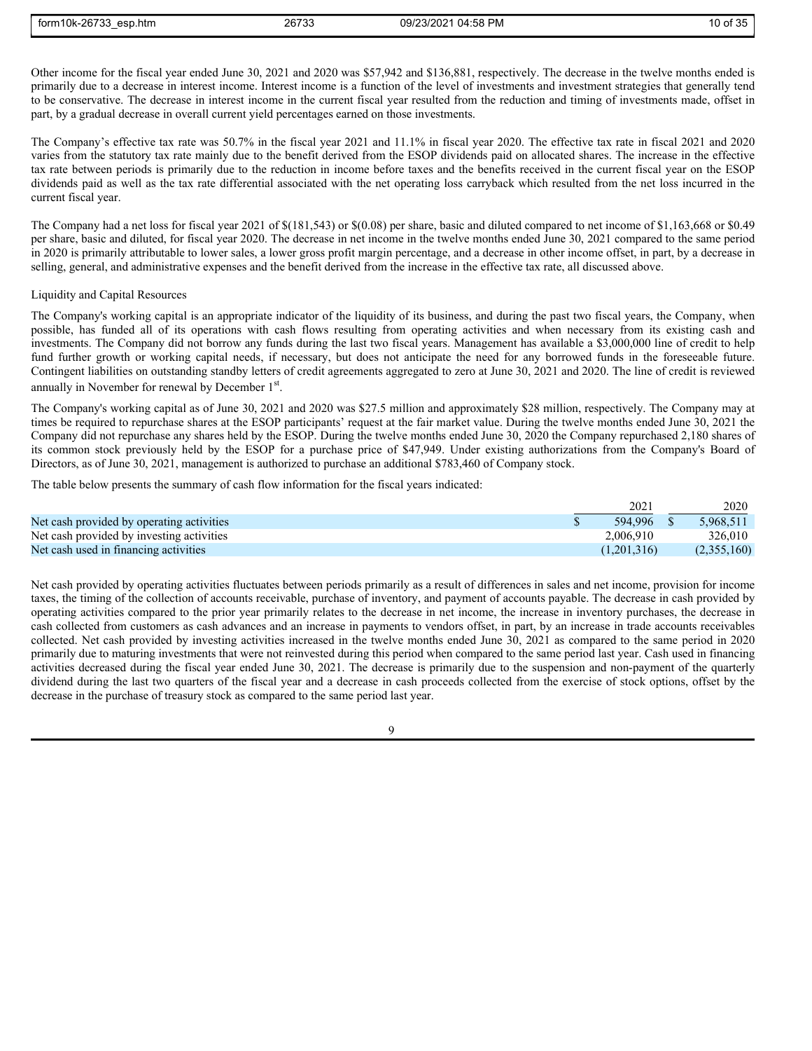| form10k-2673 <sup>2</sup><br>esp.htm | าครว<br>26733<br>. | 04:58 PM<br>09/23/2021 | $\alpha$ f 3 $\epsilon$<br>$\overline{\phantom{a}}$<br>טט וט טו |
|--------------------------------------|--------------------|------------------------|-----------------------------------------------------------------|

Other income for the fiscal year ended June 30, 2021 and 2020 was \$57,942 and \$136,881, respectively. The decrease in the twelve months ended is primarily due to a decrease in interest income. Interest income is a function of the level of investments and investment strategies that generally tend to be conservative. The decrease in interest income in the current fiscal year resulted from the reduction and timing of investments made, offset in part, by a gradual decrease in overall current yield percentages earned on those investments.

The Company's effective tax rate was 50.7% in the fiscal year 2021 and 11.1% in fiscal year 2020. The effective tax rate in fiscal 2021 and 2020 varies from the statutory tax rate mainly due to the benefit derived from the ESOP dividends paid on allocated shares. The increase in the effective tax rate between periods is primarily due to the reduction in income before taxes and the benefits received in the current fiscal year on the ESOP dividends paid as well as the tax rate differential associated with the net operating loss carryback which resulted from the net loss incurred in the current fiscal year.

The Company had a net loss for fiscal year 2021 of \$(181,543) or \$(0.08) per share, basic and diluted compared to net income of \$1,163,668 or \$0.49 per share, basic and diluted, for fiscal year 2020. The decrease in net income in the twelve months ended June 30, 2021 compared to the same period in 2020 is primarily attributable to lower sales, a lower gross profit margin percentage, and a decrease in other income offset, in part, by a decrease in selling, general, and administrative expenses and the benefit derived from the increase in the effective tax rate, all discussed above.

#### Liquidity and Capital Resources

The Company's working capital is an appropriate indicator of the liquidity of its business, and during the past two fiscal years, the Company, when possible, has funded all of its operations with cash flows resulting from operating activities and when necessary from its existing cash and investments. The Company did not borrow any funds during the last two fiscal years. Management has available a \$3,000,000 line of credit to help fund further growth or working capital needs, if necessary, but does not anticipate the need for any borrowed funds in the foreseeable future. Contingent liabilities on outstanding standby letters of credit agreements aggregated to zero at June 30, 2021 and 2020. The line of credit is reviewed annually in November for renewal by December 1st.

The Company's working capital as of June 30, 2021 and 2020 was \$27.5 million and approximately \$28 million, respectively. The Company may at times be required to repurchase shares at the ESOP participants' request at the fair market value. During the twelve months ended June 30, 2021 the Company did not repurchase any shares held by the ESOP. During the twelve months ended June 30, 2020 the Company repurchased 2,180 shares of its common stock previously held by the ESOP for a purchase price of \$47,949. Under existing authorizations from the Company's Board of Directors, as of June 30, 2021, management is authorized to purchase an additional \$783,460 of Company stock.

The table below presents the summary of cash flow information for the fiscal years indicated:

|                                           | 2021        | 2020        |
|-------------------------------------------|-------------|-------------|
| Net cash provided by operating activities | 594.996     | 5.968.511   |
| Net cash provided by investing activities | 2.006.910   | 326.010     |
| Net cash used in financing activities     | (1.201.316) | (2,355,160) |

Net cash provided by operating activities fluctuates between periods primarily as a result of differences in sales and net income, provision for income taxes, the timing of the collection of accounts receivable, purchase of inventory, and payment of accounts payable. The decrease in cash provided by operating activities compared to the prior year primarily relates to the decrease in net income, the increase in inventory purchases, the decrease in cash collected from customers as cash advances and an increase in payments to vendors offset, in part, by an increase in trade accounts receivables collected. Net cash provided by investing activities increased in the twelve months ended June 30, 2021 as compared to the same period in 2020 primarily due to maturing investments that were not reinvested during this period when compared to the same period last year. Cash used in financing activities decreased during the fiscal year ended June 30, 2021. The decrease is primarily due to the suspension and non-payment of the quarterly dividend during the last two quarters of the fiscal year and a decrease in cash proceeds collected from the exercise of stock options, offset by the decrease in the purchase of treasury stock as compared to the same period last year.

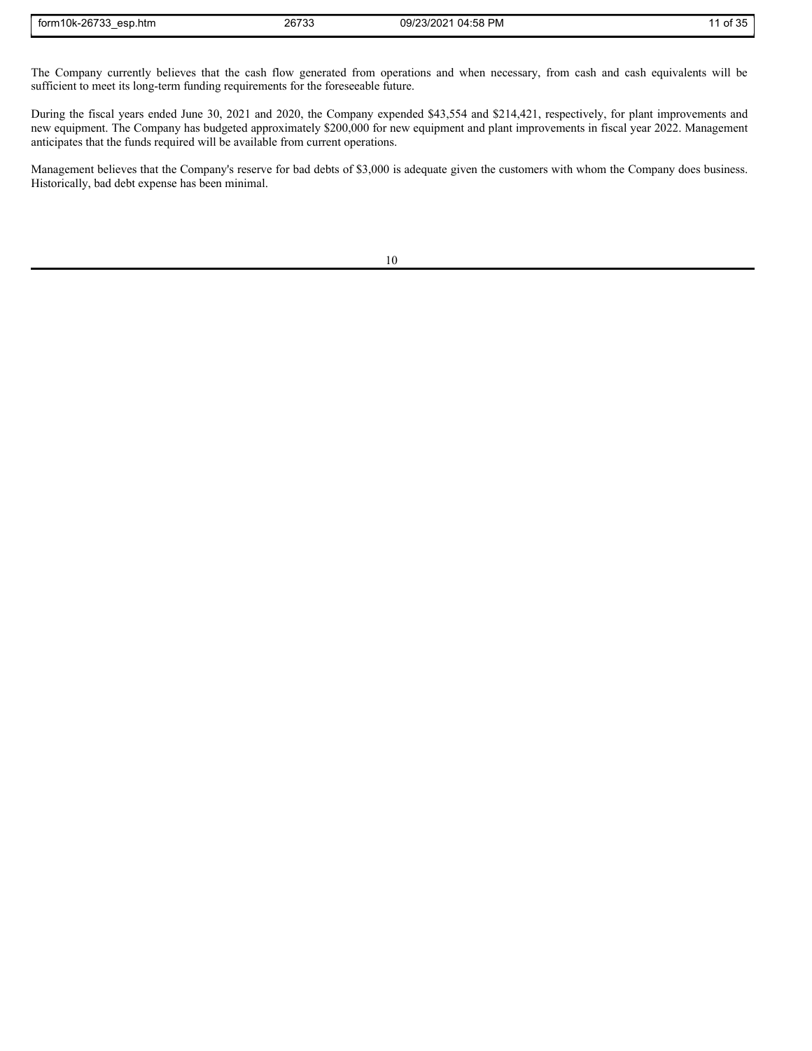| form10k-26733<br>esp.htm<br>- | 26733 | 04:58 PM<br>09/23/2021 | $\alpha$ f 3 $\epsilon$<br>. .<br>טט וט |
|-------------------------------|-------|------------------------|-----------------------------------------|

The Company currently believes that the cash flow generated from operations and when necessary, from cash and cash equivalents will be sufficient to meet its long-term funding requirements for the foreseeable future.

During the fiscal years ended June 30, 2021 and 2020, the Company expended \$43,554 and \$214,421, respectively, for plant improvements and new equipment. The Company has budgeted approximately \$200,000 for new equipment and plant improvements in fiscal year 2022. Management anticipates that the funds required will be available from current operations.

Management believes that the Company's reserve for bad debts of \$3,000 is adequate given the customers with whom the Company does business. Historically, bad debt expense has been minimal.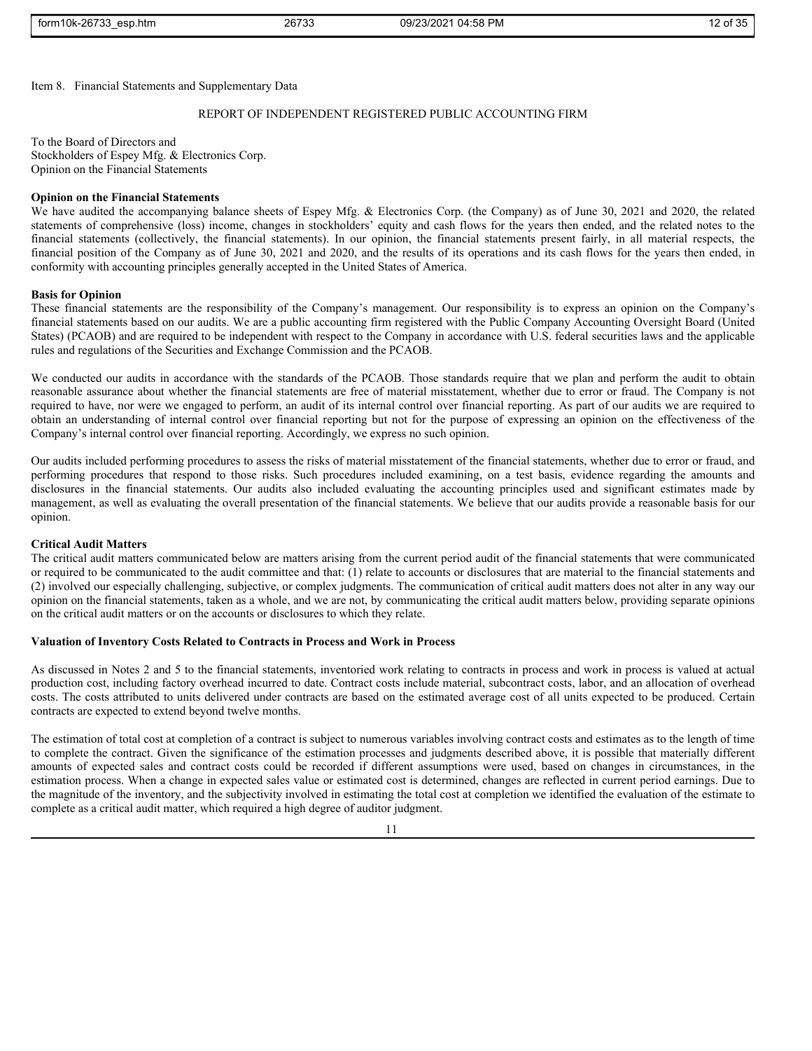| …∪к-267 <u>?</u> ^<br>$\sim$<br>†orm <sup>∽</sup><br>esp.htm<br>$\overline{\phantom{0}}$ | 26737<br>201 JU<br>. | :58 PM<br>09/23/2021<br>04:58 | $\sim$ $\sim$ $\sim$<br>` ດ†<br>ັບປ |
|------------------------------------------------------------------------------------------|----------------------|-------------------------------|-------------------------------------|
|                                                                                          |                      |                               |                                     |

Item 8. Financial Statements and Supplementary Data

#### REPORT OF INDEPENDENT REGISTERED PUBLIC ACCOUNTING FIRM

To the Board of Directors and Stockholders of Espey Mfg. & Electronics Corp. Opinion on the Financial Statements

#### **Opinion on the Financial Statements**

We have audited the accompanying balance sheets of Espey Mfg. & Electronics Corp. (the Company) as of June 30, 2021 and 2020, the related statements of comprehensive (loss) income, changes in stockholders' equity and cash flows for the years then ended, and the related notes to the financial statements (collectively, the financial statements). In our opinion, the financial statements present fairly, in all material respects, the financial position of the Company as of June 30, 2021 and 2020, and the results of its operations and its cash flows for the years then ended, in conformity with accounting principles generally accepted in the United States of America.

#### **Basis for Opinion**

These financial statements are the responsibility of the Company's management. Our responsibility is to express an opinion on the Company's financial statements based on our audits. We are a public accounting firm registered with the Public Company Accounting Oversight Board (United States) (PCAOB) and are required to be independent with respect to the Company in accordance with U.S. federal securities laws and the applicable rules and regulations of the Securities and Exchange Commission and the PCAOB.

We conducted our audits in accordance with the standards of the PCAOB. Those standards require that we plan and perform the audit to obtain reasonable assurance about whether the financial statements are free of material misstatement, whether due to error or fraud. The Company is not required to have, nor were we engaged to perform, an audit of its internal control over financial reporting. As part of our audits we are required to obtain an understanding of internal control over financial reporting but not for the purpose of expressing an opinion on the effectiveness of the Company's internal control over financial reporting. Accordingly, we express no such opinion.

Our audits included performing procedures to assess the risks of material misstatement of the financial statements, whether due to error or fraud, and performing procedures that respond to those risks. Such procedures included examining, on a test basis, evidence regarding the amounts and disclosures in the financial statements. Our audits also included evaluating the accounting principles used and significant estimates made by management, as well as evaluating the overall presentation of the financial statements. We believe that our audits provide a reasonable basis for our opinion.

# **Critical Audit Matters**

The critical audit matters communicated below are matters arising from the current period audit of the financial statements that were communicated or required to be communicated to the audit committee and that:  $(1)$  relate to accounts or disclosures that are material to the financial statements and (2) involved our especially challenging, subjective, or complex judgments. The communication of critical audit matters does not alter in any way our opinion on the financial statements, taken as a whole, and we are not, by communicating the critical audit matters below, providing separate opinions on the critical audit matters or on the accounts or disclosures to which they relate.

#### **Valuation of Inventory Costs Related to Contracts in Process and Work in Process**

As discussed in Notes 2 and 5 to the financial statements, inventoried work relating to contracts in process and work in process is valued at actual production cost, including factory overhead incurred to date. Contract costs include material, subcontract costs, labor, and an allocation of overhead costs. The costs attributed to units delivered under contracts are based on the estimated average cost of all units expected to be produced. Certain contracts are expected to extend beyond twelve months.

The estimation of total cost at completion of a contract is subject to numerous variables involving contract costs and estimates as to the length of time to complete the contract. Given the significance of the estimation processes and judgments described above, it is possible that materially different amounts of expected sales and contract costs could be recorded if different assumptions were used, based on changes in circumstances, in the estimation process. When a change in expected sales value or estimated cost is determined, changes are reflected in current period earnings. Due to the magnitude of the inventory, and the subjectivity involved in estimating the total cost at completion we identified the evaluation of the estimate to complete as a critical audit matter, which required a high degree of auditor judgment.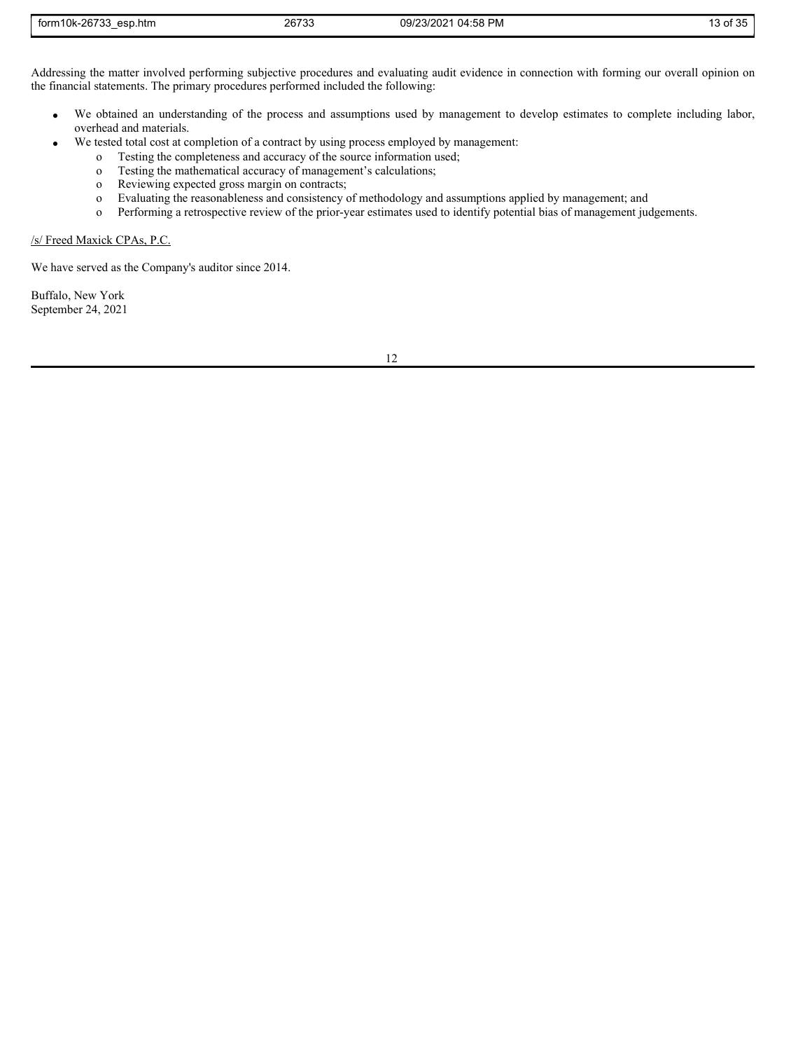| <b>מדמר</b><br>10k-<br>htm.<br>form1<br>ว⊳<br>esp<br>201 V<br>ື<br>- | oczos<br>20733 | 58 PM<br>י פריו ה'<br>ം ഹി<br>$\sim$<br>na<br>. 04''<br>ZUZ<br>. JO<br>JJ/ | $\epsilon$ or<br>^*<br>ີ<br>u |
|----------------------------------------------------------------------|----------------|----------------------------------------------------------------------------|-------------------------------|

Addressing the matter involved performing subjective procedures and evaluating audit evidence in connection with forming our overall opinion on the financial statements. The primary procedures performed included the following:

- We obtained an understanding of the process and assumptions used by management to develop estimates to complete including labor, overhead and materials.
	- We tested total cost at completion of a contract by using process employed by management:
		- o Testing the completeness and accuracy of the source information used;
		- o Testing the mathematical accuracy of management's calculations;
		- o Reviewing expected gross margin on contracts;
		- o Evaluating the reasonableness and consistency of methodology and assumptions applied by management; and
		- o Performing a retrospective review of the prior-year estimates used to identify potential bias of management judgements.

# /s/ Freed Maxick CPAs, P.C.

We have served as the Company's auditor since 2014.

Buffalo, New York September 24, 2021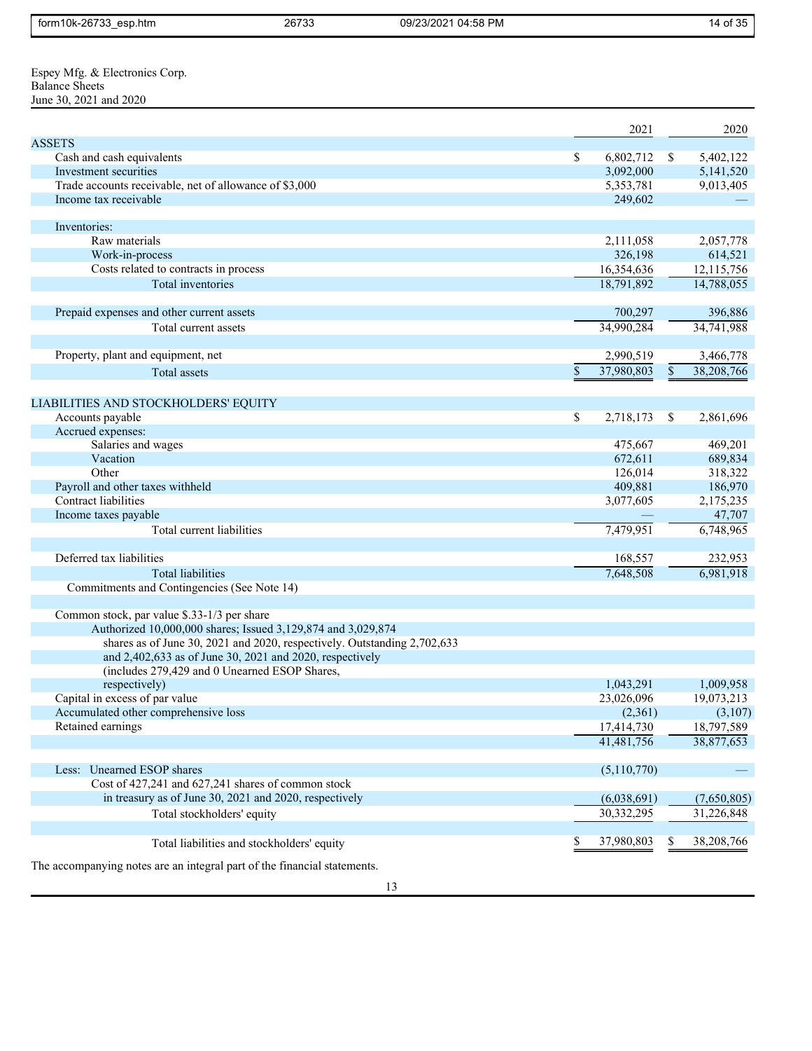| forr<br><sub>∙</sub> ∿-267?ົ<br>esp.htm<br>. UN - -<br>- | 26733 | l:58 PM<br>ົ′?3/2021 ພ<br>04:58<br>09/2<br>. | $\sim$ $\sim$ $\sim$<br>0t<br>$\overline{\phantom{a}}$<br>ັບປ |
|----------------------------------------------------------|-------|----------------------------------------------|---------------------------------------------------------------|

#### Espey Mfg. & Electronics Corp. Balance Sheets June 30, 2021 and 2020

| <b>ASSETS</b><br>Cash and cash equivalents<br>\$<br>6,802,712<br><sup>\$</sup><br>Investment securities<br>3,092,000<br>Trade accounts receivable, net of allowance of \$3,000<br>5,353,781<br>Income tax receivable<br>249,602<br>Inventories:<br>Raw materials<br>2,111,058<br>Work-in-process<br>326,198<br>Costs related to contracts in process<br>16,354,636<br>18,791,892<br>Total inventories<br>Prepaid expenses and other current assets<br>700,297<br>396,886<br>34,990,284<br>34,741,988<br>Total current assets<br>Property, plant and equipment, net<br>2,990,519<br>\$<br>37,980,803<br>$\mathbb{S}$<br>38,208,766<br><b>Total assets</b><br>LIABILITIES AND STOCKHOLDERS' EQUITY<br>Accounts payable<br>\$<br>2,718,173<br>2,861,696<br>\$<br>Accrued expenses:<br>Salaries and wages<br>475,667<br>469,201<br>672,611<br>689,834<br>Vacation<br>Other<br>126,014<br>318,322<br>186,970<br>Payroll and other taxes withheld<br>409,881<br>Contract liabilities<br>3,077,605<br>2,175,235<br>Income taxes payable<br>47,707<br>6,748,965<br>Total current liabilities<br>7,479,951<br>Deferred tax liabilities<br>168,557<br>232,953<br>6,981,918<br>7,648,508<br><b>Total liabilities</b><br>Commitments and Contingencies (See Note 14)<br>Common stock, par value \$.33-1/3 per share<br>Authorized 10,000,000 shares; Issued 3,129,874 and 3,029,874<br>shares as of June 30, 2021 and 2020, respectively. Outstanding 2,702,633<br>and 2,402,633 as of June 30, 2021 and 2020, respectively<br>(includes 279,429 and 0 Unearned ESOP Shares,<br>respectively)<br>1,043,291<br>Capital in excess of par value<br>23,026,096<br>Accumulated other comprehensive loss<br>(2,361)<br>Retained earnings<br>17,414,730 |  | 2021       | 2020        |
|--------------------------------------------------------------------------------------------------------------------------------------------------------------------------------------------------------------------------------------------------------------------------------------------------------------------------------------------------------------------------------------------------------------------------------------------------------------------------------------------------------------------------------------------------------------------------------------------------------------------------------------------------------------------------------------------------------------------------------------------------------------------------------------------------------------------------------------------------------------------------------------------------------------------------------------------------------------------------------------------------------------------------------------------------------------------------------------------------------------------------------------------------------------------------------------------------------------------------------------------------------------------------------------------------------------------------------------------------------------------------------------------------------------------------------------------------------------------------------------------------------------------------------------------------------------------------------------------------------------------------------------------------------------------------------------------------------------------------------------|--|------------|-------------|
|                                                                                                                                                                                                                                                                                                                                                                                                                                                                                                                                                                                                                                                                                                                                                                                                                                                                                                                                                                                                                                                                                                                                                                                                                                                                                                                                                                                                                                                                                                                                                                                                                                                                                                                                      |  |            |             |
|                                                                                                                                                                                                                                                                                                                                                                                                                                                                                                                                                                                                                                                                                                                                                                                                                                                                                                                                                                                                                                                                                                                                                                                                                                                                                                                                                                                                                                                                                                                                                                                                                                                                                                                                      |  |            | 5,402,122   |
|                                                                                                                                                                                                                                                                                                                                                                                                                                                                                                                                                                                                                                                                                                                                                                                                                                                                                                                                                                                                                                                                                                                                                                                                                                                                                                                                                                                                                                                                                                                                                                                                                                                                                                                                      |  |            | 5,141,520   |
|                                                                                                                                                                                                                                                                                                                                                                                                                                                                                                                                                                                                                                                                                                                                                                                                                                                                                                                                                                                                                                                                                                                                                                                                                                                                                                                                                                                                                                                                                                                                                                                                                                                                                                                                      |  |            | 9,013,405   |
|                                                                                                                                                                                                                                                                                                                                                                                                                                                                                                                                                                                                                                                                                                                                                                                                                                                                                                                                                                                                                                                                                                                                                                                                                                                                                                                                                                                                                                                                                                                                                                                                                                                                                                                                      |  |            |             |
|                                                                                                                                                                                                                                                                                                                                                                                                                                                                                                                                                                                                                                                                                                                                                                                                                                                                                                                                                                                                                                                                                                                                                                                                                                                                                                                                                                                                                                                                                                                                                                                                                                                                                                                                      |  |            |             |
|                                                                                                                                                                                                                                                                                                                                                                                                                                                                                                                                                                                                                                                                                                                                                                                                                                                                                                                                                                                                                                                                                                                                                                                                                                                                                                                                                                                                                                                                                                                                                                                                                                                                                                                                      |  |            | 2,057,778   |
|                                                                                                                                                                                                                                                                                                                                                                                                                                                                                                                                                                                                                                                                                                                                                                                                                                                                                                                                                                                                                                                                                                                                                                                                                                                                                                                                                                                                                                                                                                                                                                                                                                                                                                                                      |  |            | 614,521     |
|                                                                                                                                                                                                                                                                                                                                                                                                                                                                                                                                                                                                                                                                                                                                                                                                                                                                                                                                                                                                                                                                                                                                                                                                                                                                                                                                                                                                                                                                                                                                                                                                                                                                                                                                      |  |            | 12,115,756  |
|                                                                                                                                                                                                                                                                                                                                                                                                                                                                                                                                                                                                                                                                                                                                                                                                                                                                                                                                                                                                                                                                                                                                                                                                                                                                                                                                                                                                                                                                                                                                                                                                                                                                                                                                      |  |            | 14,788,055  |
|                                                                                                                                                                                                                                                                                                                                                                                                                                                                                                                                                                                                                                                                                                                                                                                                                                                                                                                                                                                                                                                                                                                                                                                                                                                                                                                                                                                                                                                                                                                                                                                                                                                                                                                                      |  |            |             |
|                                                                                                                                                                                                                                                                                                                                                                                                                                                                                                                                                                                                                                                                                                                                                                                                                                                                                                                                                                                                                                                                                                                                                                                                                                                                                                                                                                                                                                                                                                                                                                                                                                                                                                                                      |  |            |             |
|                                                                                                                                                                                                                                                                                                                                                                                                                                                                                                                                                                                                                                                                                                                                                                                                                                                                                                                                                                                                                                                                                                                                                                                                                                                                                                                                                                                                                                                                                                                                                                                                                                                                                                                                      |  |            |             |
|                                                                                                                                                                                                                                                                                                                                                                                                                                                                                                                                                                                                                                                                                                                                                                                                                                                                                                                                                                                                                                                                                                                                                                                                                                                                                                                                                                                                                                                                                                                                                                                                                                                                                                                                      |  |            | 3,466,778   |
|                                                                                                                                                                                                                                                                                                                                                                                                                                                                                                                                                                                                                                                                                                                                                                                                                                                                                                                                                                                                                                                                                                                                                                                                                                                                                                                                                                                                                                                                                                                                                                                                                                                                                                                                      |  |            |             |
|                                                                                                                                                                                                                                                                                                                                                                                                                                                                                                                                                                                                                                                                                                                                                                                                                                                                                                                                                                                                                                                                                                                                                                                                                                                                                                                                                                                                                                                                                                                                                                                                                                                                                                                                      |  |            |             |
|                                                                                                                                                                                                                                                                                                                                                                                                                                                                                                                                                                                                                                                                                                                                                                                                                                                                                                                                                                                                                                                                                                                                                                                                                                                                                                                                                                                                                                                                                                                                                                                                                                                                                                                                      |  |            |             |
|                                                                                                                                                                                                                                                                                                                                                                                                                                                                                                                                                                                                                                                                                                                                                                                                                                                                                                                                                                                                                                                                                                                                                                                                                                                                                                                                                                                                                                                                                                                                                                                                                                                                                                                                      |  |            |             |
|                                                                                                                                                                                                                                                                                                                                                                                                                                                                                                                                                                                                                                                                                                                                                                                                                                                                                                                                                                                                                                                                                                                                                                                                                                                                                                                                                                                                                                                                                                                                                                                                                                                                                                                                      |  |            |             |
|                                                                                                                                                                                                                                                                                                                                                                                                                                                                                                                                                                                                                                                                                                                                                                                                                                                                                                                                                                                                                                                                                                                                                                                                                                                                                                                                                                                                                                                                                                                                                                                                                                                                                                                                      |  |            |             |
|                                                                                                                                                                                                                                                                                                                                                                                                                                                                                                                                                                                                                                                                                                                                                                                                                                                                                                                                                                                                                                                                                                                                                                                                                                                                                                                                                                                                                                                                                                                                                                                                                                                                                                                                      |  |            |             |
|                                                                                                                                                                                                                                                                                                                                                                                                                                                                                                                                                                                                                                                                                                                                                                                                                                                                                                                                                                                                                                                                                                                                                                                                                                                                                                                                                                                                                                                                                                                                                                                                                                                                                                                                      |  |            |             |
|                                                                                                                                                                                                                                                                                                                                                                                                                                                                                                                                                                                                                                                                                                                                                                                                                                                                                                                                                                                                                                                                                                                                                                                                                                                                                                                                                                                                                                                                                                                                                                                                                                                                                                                                      |  |            |             |
|                                                                                                                                                                                                                                                                                                                                                                                                                                                                                                                                                                                                                                                                                                                                                                                                                                                                                                                                                                                                                                                                                                                                                                                                                                                                                                                                                                                                                                                                                                                                                                                                                                                                                                                                      |  |            |             |
|                                                                                                                                                                                                                                                                                                                                                                                                                                                                                                                                                                                                                                                                                                                                                                                                                                                                                                                                                                                                                                                                                                                                                                                                                                                                                                                                                                                                                                                                                                                                                                                                                                                                                                                                      |  |            |             |
|                                                                                                                                                                                                                                                                                                                                                                                                                                                                                                                                                                                                                                                                                                                                                                                                                                                                                                                                                                                                                                                                                                                                                                                                                                                                                                                                                                                                                                                                                                                                                                                                                                                                                                                                      |  |            |             |
|                                                                                                                                                                                                                                                                                                                                                                                                                                                                                                                                                                                                                                                                                                                                                                                                                                                                                                                                                                                                                                                                                                                                                                                                                                                                                                                                                                                                                                                                                                                                                                                                                                                                                                                                      |  |            |             |
|                                                                                                                                                                                                                                                                                                                                                                                                                                                                                                                                                                                                                                                                                                                                                                                                                                                                                                                                                                                                                                                                                                                                                                                                                                                                                                                                                                                                                                                                                                                                                                                                                                                                                                                                      |  |            |             |
|                                                                                                                                                                                                                                                                                                                                                                                                                                                                                                                                                                                                                                                                                                                                                                                                                                                                                                                                                                                                                                                                                                                                                                                                                                                                                                                                                                                                                                                                                                                                                                                                                                                                                                                                      |  |            |             |
|                                                                                                                                                                                                                                                                                                                                                                                                                                                                                                                                                                                                                                                                                                                                                                                                                                                                                                                                                                                                                                                                                                                                                                                                                                                                                                                                                                                                                                                                                                                                                                                                                                                                                                                                      |  |            |             |
|                                                                                                                                                                                                                                                                                                                                                                                                                                                                                                                                                                                                                                                                                                                                                                                                                                                                                                                                                                                                                                                                                                                                                                                                                                                                                                                                                                                                                                                                                                                                                                                                                                                                                                                                      |  |            |             |
|                                                                                                                                                                                                                                                                                                                                                                                                                                                                                                                                                                                                                                                                                                                                                                                                                                                                                                                                                                                                                                                                                                                                                                                                                                                                                                                                                                                                                                                                                                                                                                                                                                                                                                                                      |  |            |             |
|                                                                                                                                                                                                                                                                                                                                                                                                                                                                                                                                                                                                                                                                                                                                                                                                                                                                                                                                                                                                                                                                                                                                                                                                                                                                                                                                                                                                                                                                                                                                                                                                                                                                                                                                      |  |            |             |
|                                                                                                                                                                                                                                                                                                                                                                                                                                                                                                                                                                                                                                                                                                                                                                                                                                                                                                                                                                                                                                                                                                                                                                                                                                                                                                                                                                                                                                                                                                                                                                                                                                                                                                                                      |  |            |             |
|                                                                                                                                                                                                                                                                                                                                                                                                                                                                                                                                                                                                                                                                                                                                                                                                                                                                                                                                                                                                                                                                                                                                                                                                                                                                                                                                                                                                                                                                                                                                                                                                                                                                                                                                      |  |            |             |
|                                                                                                                                                                                                                                                                                                                                                                                                                                                                                                                                                                                                                                                                                                                                                                                                                                                                                                                                                                                                                                                                                                                                                                                                                                                                                                                                                                                                                                                                                                                                                                                                                                                                                                                                      |  |            | 1.009.958   |
|                                                                                                                                                                                                                                                                                                                                                                                                                                                                                                                                                                                                                                                                                                                                                                                                                                                                                                                                                                                                                                                                                                                                                                                                                                                                                                                                                                                                                                                                                                                                                                                                                                                                                                                                      |  |            | 19,073,213  |
|                                                                                                                                                                                                                                                                                                                                                                                                                                                                                                                                                                                                                                                                                                                                                                                                                                                                                                                                                                                                                                                                                                                                                                                                                                                                                                                                                                                                                                                                                                                                                                                                                                                                                                                                      |  |            | (3,107)     |
|                                                                                                                                                                                                                                                                                                                                                                                                                                                                                                                                                                                                                                                                                                                                                                                                                                                                                                                                                                                                                                                                                                                                                                                                                                                                                                                                                                                                                                                                                                                                                                                                                                                                                                                                      |  |            | 18,797,589  |
|                                                                                                                                                                                                                                                                                                                                                                                                                                                                                                                                                                                                                                                                                                                                                                                                                                                                                                                                                                                                                                                                                                                                                                                                                                                                                                                                                                                                                                                                                                                                                                                                                                                                                                                                      |  | 41,481,756 | 38,877,653  |
| Less: Unearned ESOP shares<br>(5,110,770)                                                                                                                                                                                                                                                                                                                                                                                                                                                                                                                                                                                                                                                                                                                                                                                                                                                                                                                                                                                                                                                                                                                                                                                                                                                                                                                                                                                                                                                                                                                                                                                                                                                                                            |  |            |             |
| Cost of 427,241 and 627,241 shares of common stock                                                                                                                                                                                                                                                                                                                                                                                                                                                                                                                                                                                                                                                                                                                                                                                                                                                                                                                                                                                                                                                                                                                                                                                                                                                                                                                                                                                                                                                                                                                                                                                                                                                                                   |  |            |             |
| in treasury as of June 30, 2021 and 2020, respectively<br>(6,038,691)                                                                                                                                                                                                                                                                                                                                                                                                                                                                                                                                                                                                                                                                                                                                                                                                                                                                                                                                                                                                                                                                                                                                                                                                                                                                                                                                                                                                                                                                                                                                                                                                                                                                |  |            | (7,650,805) |
| 30,332,295<br>Total stockholders' equity                                                                                                                                                                                                                                                                                                                                                                                                                                                                                                                                                                                                                                                                                                                                                                                                                                                                                                                                                                                                                                                                                                                                                                                                                                                                                                                                                                                                                                                                                                                                                                                                                                                                                             |  |            | 31,226,848  |
|                                                                                                                                                                                                                                                                                                                                                                                                                                                                                                                                                                                                                                                                                                                                                                                                                                                                                                                                                                                                                                                                                                                                                                                                                                                                                                                                                                                                                                                                                                                                                                                                                                                                                                                                      |  |            |             |
| 37,980,803<br>\$<br>S<br>Total liabilities and stockholders' equity                                                                                                                                                                                                                                                                                                                                                                                                                                                                                                                                                                                                                                                                                                                                                                                                                                                                                                                                                                                                                                                                                                                                                                                                                                                                                                                                                                                                                                                                                                                                                                                                                                                                  |  |            | 38,208,766  |
| The accompanying notes are an integral part of the financial statements.                                                                                                                                                                                                                                                                                                                                                                                                                                                                                                                                                                                                                                                                                                                                                                                                                                                                                                                                                                                                                                                                                                                                                                                                                                                                                                                                                                                                                                                                                                                                                                                                                                                             |  |            |             |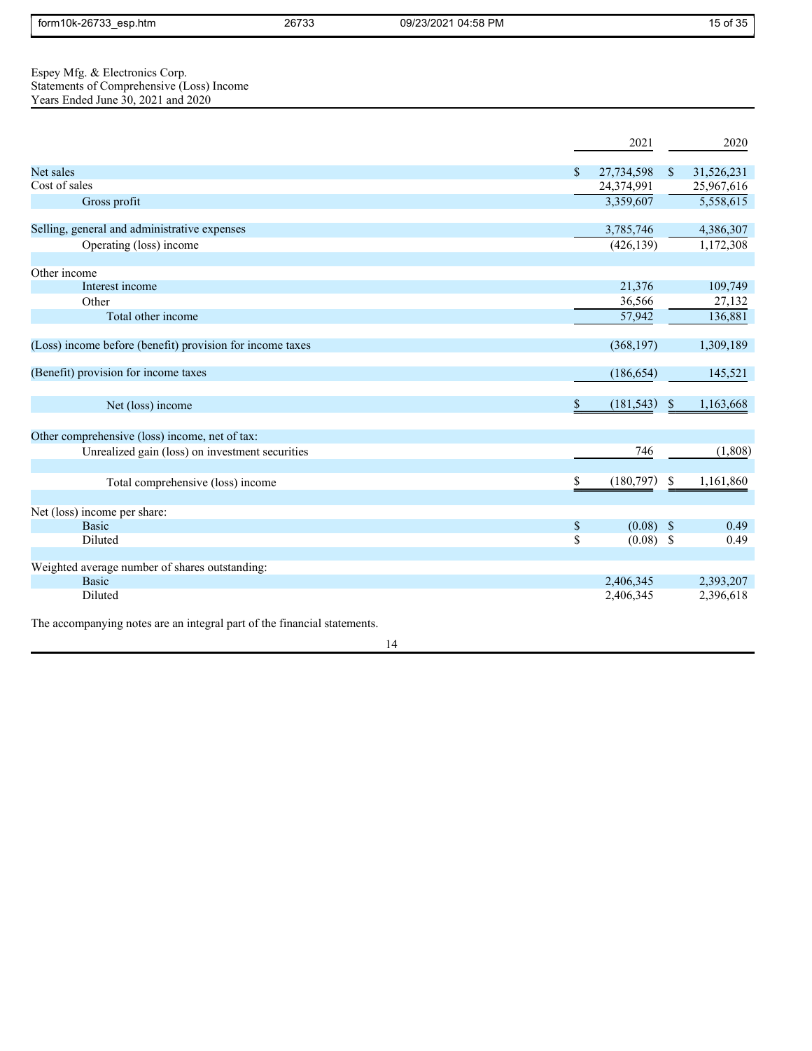| $\sim$<br>$0k-26$<br>ラヘ<br>.htm<br>torm1<br>esn<br>ت ک | 26723<br>י<br>– ∪′<br>ں ،<br>. | <b>PM</b><br>14.58<br>$\sim$<br>,מר<br>.1 <sup>2</sup><br>.,<br>-21 1<br>۱Д<br>31∠UZ<br>. UU<br>ບບ⊢<br>$\cdot$ | f つに<br>0t<br>ັບ |
|--------------------------------------------------------|--------------------------------|----------------------------------------------------------------------------------------------------------------|------------------|
|--------------------------------------------------------|--------------------------------|----------------------------------------------------------------------------------------------------------------|------------------|

#### Espey Mfg. & Electronics Corp. Statements of Comprehensive (Loss) Income Years Ended June 30, 2021 and 2020

|                                                                          |                   | 2021        |               | 2020       |
|--------------------------------------------------------------------------|-------------------|-------------|---------------|------------|
|                                                                          |                   |             |               |            |
| Net sales                                                                | \$                | 27,734,598  | $\mathbb{S}$  | 31,526,231 |
| Cost of sales                                                            |                   | 24,374,991  |               | 25,967,616 |
| Gross profit                                                             |                   | 3,359,607   |               | 5,558,615  |
|                                                                          |                   |             |               |            |
| Selling, general and administrative expenses                             |                   | 3,785,746   |               | 4,386,307  |
| Operating (loss) income                                                  |                   | (426, 139)  |               | 1,172,308  |
| Other income                                                             |                   |             |               |            |
| Interest income                                                          |                   | 21,376      |               | 109,749    |
| Other                                                                    |                   | 36,566      |               | 27,132     |
| Total other income                                                       |                   | 57,942      |               | 136,881    |
|                                                                          |                   |             |               |            |
| (Loss) income before (benefit) provision for income taxes                |                   | (368, 197)  |               | 1,309,189  |
| (Benefit) provision for income taxes                                     |                   | (186, 654)  |               | 145,521    |
|                                                                          | $\mathbb{S}$      | (181, 543)  | $\mathcal{S}$ | 1,163,668  |
| Net (loss) income                                                        |                   |             |               |            |
| Other comprehensive (loss) income, net of tax:                           |                   |             |               |            |
| Unrealized gain (loss) on investment securities                          |                   | 746         |               | (1,808)    |
|                                                                          |                   |             |               |            |
| Total comprehensive (loss) income                                        | \$                | (180,797)   | \$            | 1,161,860  |
|                                                                          |                   |             |               |            |
| Net (loss) income per share:                                             |                   |             |               |            |
| <b>Basic</b>                                                             | $\boldsymbol{\$}$ | $(0.08)$ \$ |               | 0.49       |
| Diluted                                                                  | $\overline{\$}$   | $(0.08)$ \$ |               | 0.49       |
| Weighted average number of shares outstanding:                           |                   |             |               |            |
| Basic                                                                    |                   | 2,406,345   |               | 2,393,207  |
| Diluted                                                                  |                   | 2,406,345   |               | 2,396,618  |
| The accompanying notes are an integral part of the financial statements. |                   |             |               |            |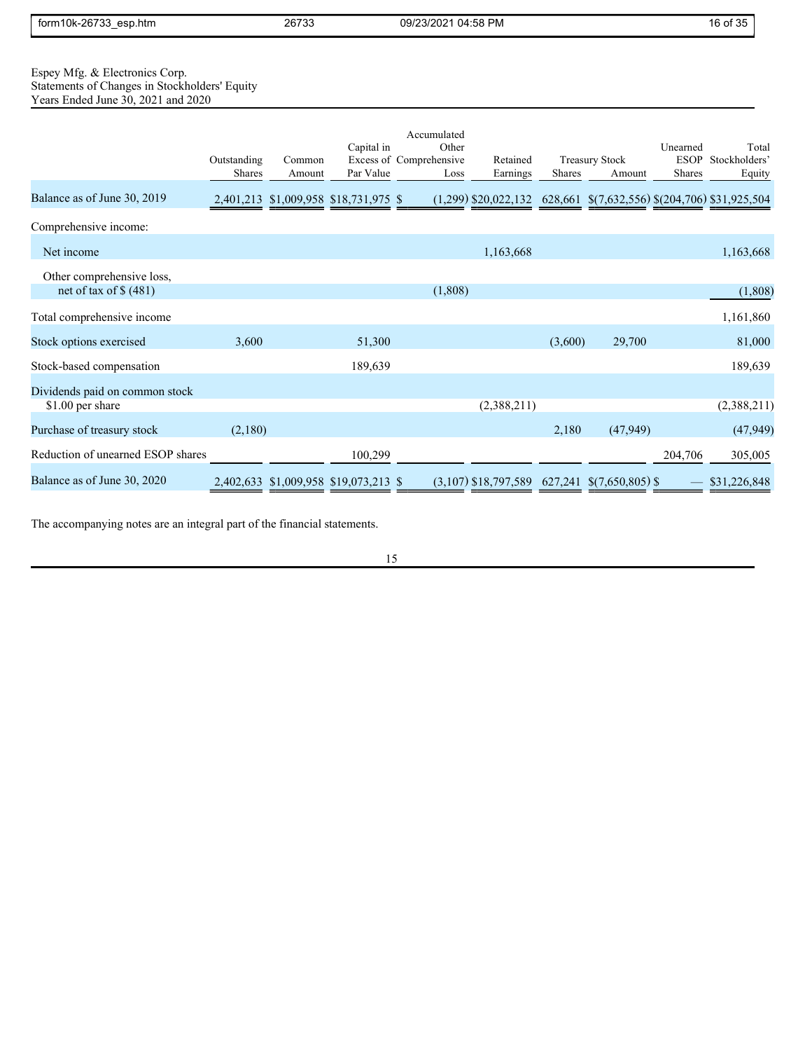| 10k.<br>$\sim$ $\sim$<br>⇁⌒╭<br>esp.htm<br>torm<br>$\alpha$<br>. JF<br>501 م<br>- | 2672c<br><b>20199</b> | $   -$<br>09/23/2021<br>$04^{\circ}$<br>PN.<br>:58 | $\sim$<br>ОT<br>ື<br>v |
|-----------------------------------------------------------------------------------|-----------------------|----------------------------------------------------|------------------------|
|                                                                                   |                       |                                                    |                        |

#### Espey Mfg. & Electronics Corp. Statements of Changes in Stockholders' Equity Years Ended June 30, 2021 and 2020

|                                                      | Outstanding<br><b>Shares</b> | Common<br>Amount | Capital in<br>Par Value               | Accumulated<br>Other<br>Excess of Comprehensive<br>Loss | Retained<br>Earnings                                                  | <b>Shares</b> | <b>Treasury Stock</b><br>Amount | Unearned<br><b>ESOP</b><br>Shares | Total<br>Stockholders'<br>Equity |
|------------------------------------------------------|------------------------------|------------------|---------------------------------------|---------------------------------------------------------|-----------------------------------------------------------------------|---------------|---------------------------------|-----------------------------------|----------------------------------|
| Balance as of June 30, 2019                          |                              |                  | 2,401,213 \$1,009,958 \$18,731,975 \$ |                                                         | $(1,299)$ \$20,022,132 628,661 \$(7,632,556) \$(204,706) \$31,925,504 |               |                                 |                                   |                                  |
| Comprehensive income:                                |                              |                  |                                       |                                                         |                                                                       |               |                                 |                                   |                                  |
| Net income                                           |                              |                  |                                       |                                                         | 1,163,668                                                             |               |                                 |                                   | 1,163,668                        |
| Other comprehensive loss,<br>net of tax of $$ (481)$ |                              |                  |                                       | (1,808)                                                 |                                                                       |               |                                 |                                   | (1,808)                          |
| Total comprehensive income                           |                              |                  |                                       |                                                         |                                                                       |               |                                 |                                   | 1,161,860                        |
| Stock options exercised                              | 3,600                        |                  | 51,300                                |                                                         |                                                                       | (3,600)       | 29,700                          |                                   | 81,000                           |
| Stock-based compensation                             |                              |                  | 189,639                               |                                                         |                                                                       |               |                                 |                                   | 189,639                          |
| Dividends paid on common stock<br>\$1.00 per share   |                              |                  |                                       |                                                         | (2,388,211)                                                           |               |                                 |                                   | (2,388,211)                      |
| Purchase of treasury stock                           | (2,180)                      |                  |                                       |                                                         |                                                                       | 2,180         | (47, 949)                       |                                   | (47, 949)                        |
| Reduction of unearned ESOP shares                    |                              |                  | 100,299                               |                                                         |                                                                       |               |                                 | 204,706                           | 305,005                          |
| Balance as of June 30, 2020                          |                              |                  | 2,402,633 \$1,009,958 \$19,073,213 \$ |                                                         | $(3,107)$ \$18,797,589 627,241 \$(7,650,805) \$                       |               |                                 |                                   | $-$ \$31,226,848                 |

The accompanying notes are an integral part of the financial statements.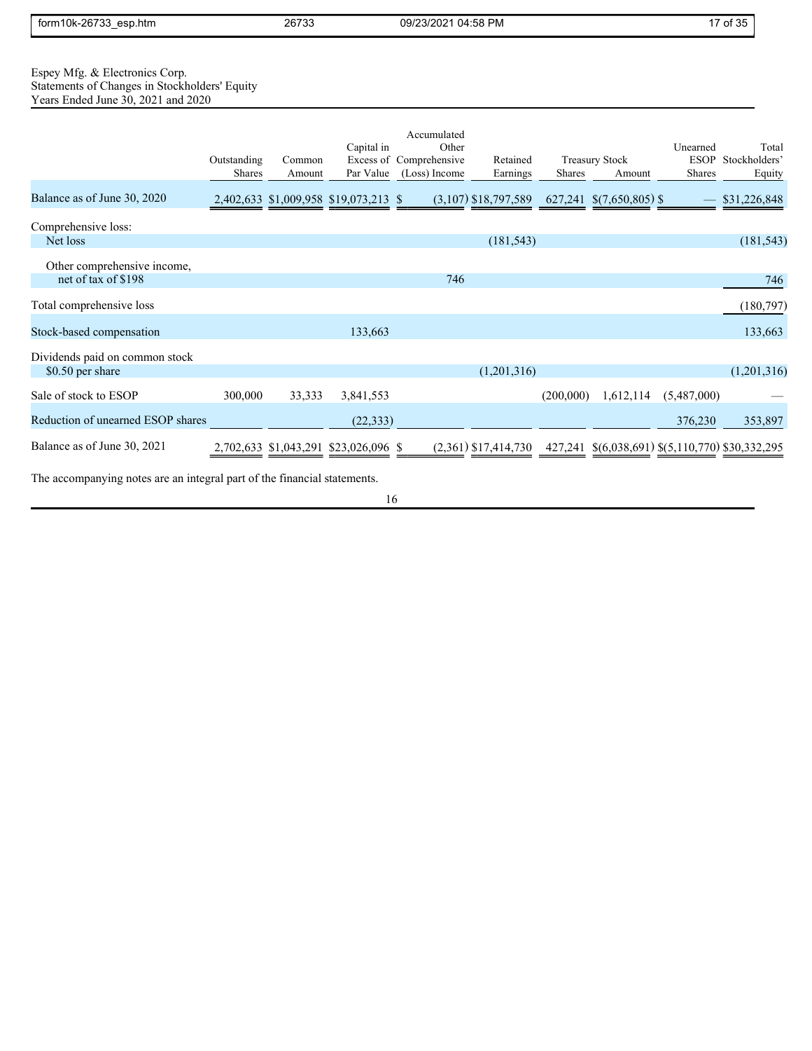| 26732<br><b>PM</b><br>09/23<br>. torm<br>∍∪k-∵<br>esp.htm<br>01<br>ה כי<br>-UZ<br>ن ر،<br>. ال<br><u>т. је</u><br>ື |
|---------------------------------------------------------------------------------------------------------------------|
|---------------------------------------------------------------------------------------------------------------------|

#### Espey Mfg. & Electronics Corp. Statements of Changes in Stockholders' Equity Years Ended June 30, 2021 and 2020

|                                   | Outstanding<br><b>Shares</b> | Common<br>Amount | Capital in<br>Par Value               | Accumulated<br>Other<br>Excess of Comprehensive<br>(Loss) Income | Retained<br>Earnings   | <b>Shares</b> | <b>Treasury Stock</b><br>Amount                  | Unearned<br><b>ESOP</b><br>Shares | Total<br>Stockholders'<br>Equity |
|-----------------------------------|------------------------------|------------------|---------------------------------------|------------------------------------------------------------------|------------------------|---------------|--------------------------------------------------|-----------------------------------|----------------------------------|
| Balance as of June 30, 2020       |                              |                  | 2,402,633 \$1,009,958 \$19,073,213 \$ |                                                                  | $(3,107)$ \$18,797,589 |               | 627,241 \$(7,650,805) \$                         |                                   | \$31,226,848                     |
| Comprehensive loss:               |                              |                  |                                       |                                                                  |                        |               |                                                  |                                   |                                  |
| Net loss                          |                              |                  |                                       |                                                                  | (181, 543)             |               |                                                  |                                   | (181, 543)                       |
| Other comprehensive income,       |                              |                  |                                       |                                                                  |                        |               |                                                  |                                   |                                  |
| net of tax of \$198               |                              |                  |                                       | 746                                                              |                        |               |                                                  |                                   | 746                              |
| Total comprehensive loss          |                              |                  |                                       |                                                                  |                        |               |                                                  |                                   | (180,797)                        |
| Stock-based compensation          |                              |                  | 133,663                               |                                                                  |                        |               |                                                  |                                   | 133,663                          |
| Dividends paid on common stock    |                              |                  |                                       |                                                                  |                        |               |                                                  |                                   |                                  |
| \$0.50 per share                  |                              |                  |                                       |                                                                  | (1,201,316)            |               |                                                  |                                   | (1,201,316)                      |
| Sale of stock to ESOP             | 300,000                      | 33,333           | 3,841,553                             |                                                                  |                        | (200,000)     | 1,612,114                                        | (5,487,000)                       |                                  |
| Reduction of unearned ESOP shares |                              |                  | (22, 333)                             |                                                                  |                        |               |                                                  | 376,230                           | 353,897                          |
| Balance as of June 30, 2021       |                              |                  | 2,702,633 \$1,043,291 \$23,026,096 \$ |                                                                  | $(2,361)$ \$17,414,730 |               | 427,241 \$(6,038,691) \$(5,110,770) \$30,332,295 |                                   |                                  |

The accompanying notes are an integral part of the financial statements.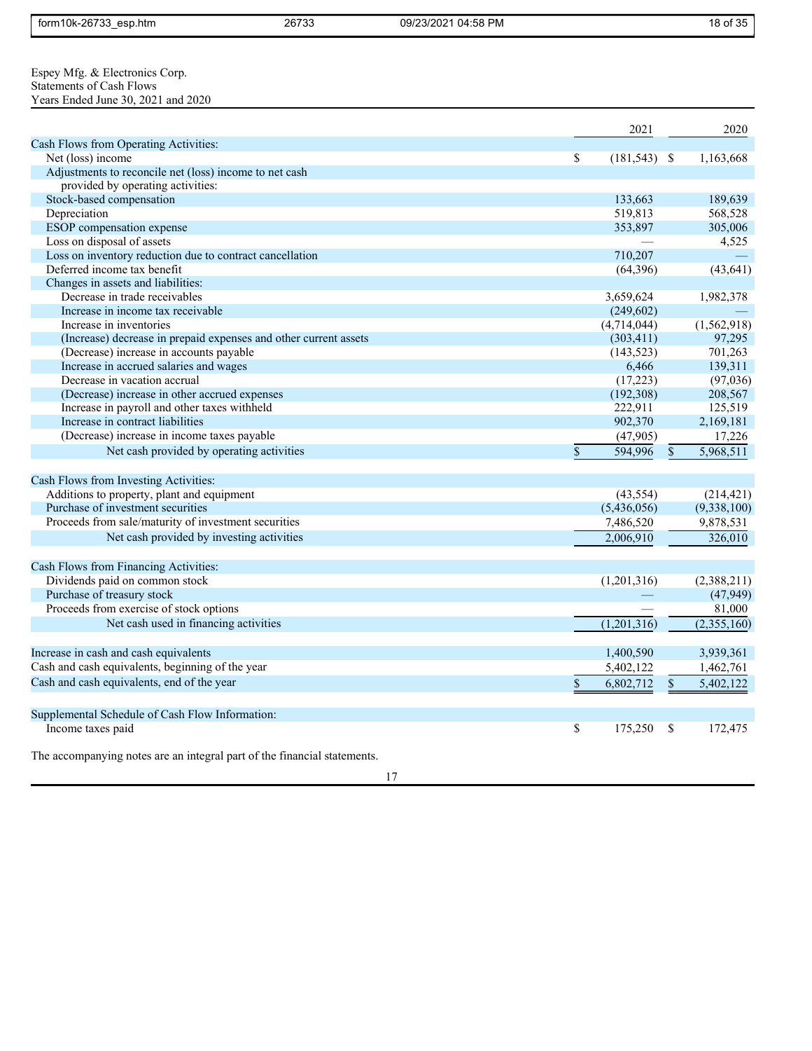| form10k-26733_esp.htm                                                    | 26733 | 09/23/2021 04:58 PM |                 |                 |    | 18 of 35    |
|--------------------------------------------------------------------------|-------|---------------------|-----------------|-----------------|----|-------------|
|                                                                          |       |                     |                 |                 |    |             |
| Espey Mfg. & Electronics Corp.                                           |       |                     |                 |                 |    |             |
| <b>Statements of Cash Flows</b>                                          |       |                     |                 |                 |    |             |
| Years Ended June 30, 2021 and 2020                                       |       |                     |                 |                 |    |             |
|                                                                          |       |                     |                 | 2021            |    | 2020        |
| Cash Flows from Operating Activities:                                    |       |                     |                 |                 |    |             |
| Net (loss) income                                                        |       |                     | \$              | $(181, 543)$ \$ |    | 1,163,668   |
| Adjustments to reconcile net (loss) income to net cash                   |       |                     |                 |                 |    |             |
| provided by operating activities:                                        |       |                     |                 |                 |    |             |
| Stock-based compensation                                                 |       |                     |                 | 133,663         |    | 189,639     |
| Depreciation                                                             |       |                     |                 | 519,813         |    | 568,528     |
| ESOP compensation expense                                                |       |                     |                 | 353,897         |    | 305,006     |
| Loss on disposal of assets                                               |       |                     |                 |                 |    | 4,525       |
| Loss on inventory reduction due to contract cancellation                 |       |                     |                 | 710,207         |    |             |
| Deferred income tax benefit                                              |       |                     |                 | (64, 396)       |    | (43, 641)   |
| Changes in assets and liabilities:                                       |       |                     |                 |                 |    |             |
| Decrease in trade receivables                                            |       |                     |                 | 3,659,624       |    | 1,982,378   |
| Increase in income tax receivable                                        |       |                     |                 | (249,602)       |    |             |
| Increase in inventories                                                  |       |                     |                 | (4,714,044)     |    | (1,562,918) |
| (Increase) decrease in prepaid expenses and other current assets         |       |                     |                 | (303, 411)      |    | 97,295      |
| (Decrease) increase in accounts payable                                  |       |                     |                 | (143, 523)      |    | 701,263     |
| Increase in accrued salaries and wages                                   |       |                     |                 | 6,466           |    | 139,311     |
| Decrease in vacation accrual                                             |       |                     |                 | (17,223)        |    | (97,036)    |
| (Decrease) increase in other accrued expenses                            |       |                     |                 | (192, 308)      |    | 208,567     |
| Increase in payroll and other taxes withheld                             |       |                     |                 | 222,911         |    | 125,519     |
| Increase in contract liabilities                                         |       |                     |                 | 902,370         |    | 2,169,181   |
| (Decrease) increase in income taxes payable                              |       |                     |                 | (47,905)        |    | 17,226      |
| Net cash provided by operating activities                                |       |                     | $\overline{\$}$ | 594,996         | \$ | 5,968,511   |
|                                                                          |       |                     |                 |                 |    |             |
| Cash Flows from Investing Activities:                                    |       |                     |                 |                 |    |             |
| Additions to property, plant and equipment                               |       |                     |                 | (43, 554)       |    | (214, 421)  |
| Purchase of investment securities                                        |       |                     |                 | (5,436,056)     |    | (9,338,100) |
| Proceeds from sale/maturity of investment securities                     |       |                     |                 | 7,486,520       |    | 9,878,531   |
| Net cash provided by investing activities                                |       |                     |                 | 2,006,910       |    | 326,010     |
|                                                                          |       |                     |                 |                 |    |             |
| Cash Flows from Financing Activities:                                    |       |                     |                 |                 |    |             |
| Dividends paid on common stock                                           |       |                     |                 | (1,201,316)     |    | (2,388,211) |
| Purchase of treasury stock                                               |       |                     |                 |                 |    | (47, 949)   |
| Proceeds from exercise of stock options                                  |       |                     |                 |                 |    | 81,000      |
| Net cash used in financing activities                                    |       |                     |                 | (1,201,316)     |    | (2,355,160) |
|                                                                          |       |                     |                 |                 |    |             |
| Increase in cash and cash equivalents                                    |       |                     |                 | 1,400,590       |    | 3,939,361   |
| Cash and cash equivalents, beginning of the year                         |       |                     |                 | 5,402,122       |    | 1,462,761   |
| Cash and cash equivalents, end of the year                               |       |                     | $\$$            | 6,802,712       | \$ | 5,402,122   |
|                                                                          |       |                     |                 |                 |    |             |
| Supplemental Schedule of Cash Flow Information:                          |       |                     |                 |                 |    |             |
| Income taxes paid                                                        |       |                     | \$              | 175,250         | -S | 172,475     |
| The accompanying notes are an integral part of the financial statements. |       |                     |                 |                 |    |             |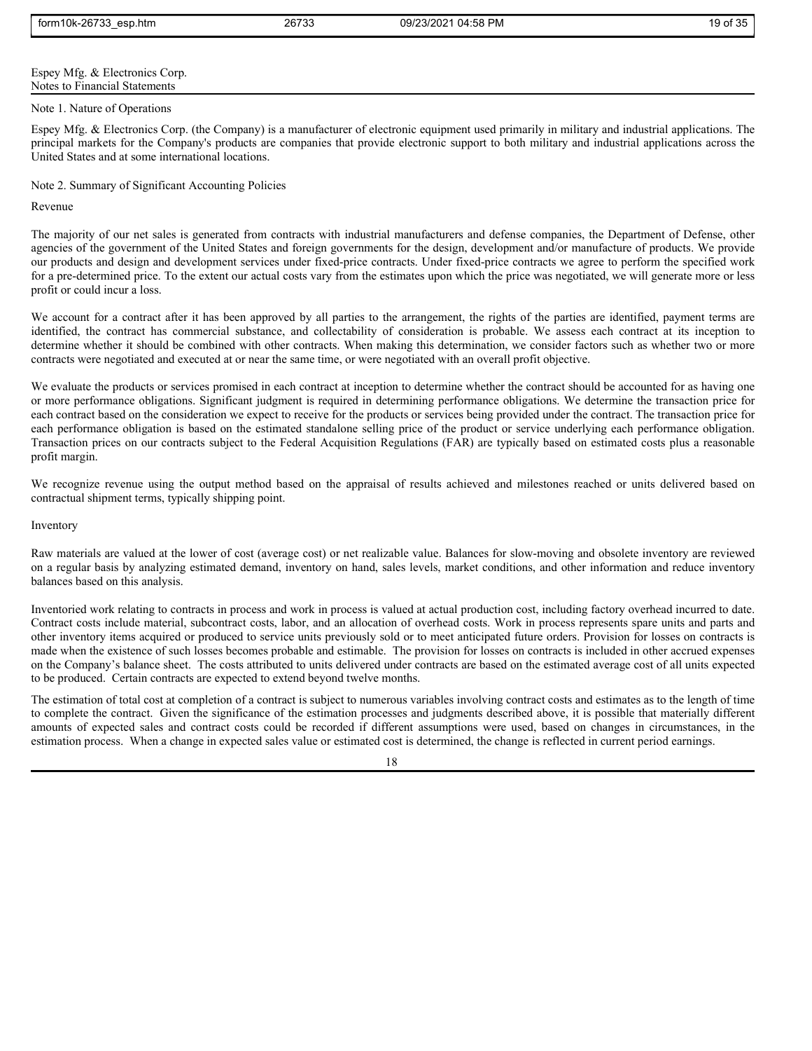|  | $\overline{\phantom{a}}$<br>$\sim$<br>0k-<br>esp.htm<br>t∩rı<br>- 11<br>.<br>$-$ | าครวา<br>201 JJ | D٨<br>ההחו<br>09/23<br>אי<br>U4.<br>ו זכי<br>. ור<br>– IV.<br>:∪∠<br>ں | JТ<br>u<br>ື |
|--|----------------------------------------------------------------------------------|-----------------|------------------------------------------------------------------------|--------------|
|--|----------------------------------------------------------------------------------|-----------------|------------------------------------------------------------------------|--------------|

Note 1. Nature of Operations

Espey Mfg. & Electronics Corp. (the Company) is a manufacturer of electronic equipment used primarily in military and industrial applications. The principal markets for the Company's products are companies that provide electronic support to both military and industrial applications across the United States and at some international locations.

Note 2. Summary of Significant Accounting Policies

#### Revenue

The majority of our net sales is generated from contracts with industrial manufacturers and defense companies, the Department of Defense, other agencies of the government of the United States and foreign governments for the design, development and/or manufacture of products. We provide our products and design and development services under fixed-price contracts. Under fixed-price contracts we agree to perform the specified work for a pre-determined price. To the extent our actual costs vary from the estimates upon which the price was negotiated, we will generate more or less profit or could incur a loss.

We account for a contract after it has been approved by all parties to the arrangement, the rights of the parties are identified, payment terms are identified, the contract has commercial substance, and collectability of consideration is probable. We assess each contract at its inception to determine whether it should be combined with other contracts. When making this determination, we consider factors such as whether two or more contracts were negotiated and executed at or near the same time, or were negotiated with an overall profit objective.

We evaluate the products or services promised in each contract at inception to determine whether the contract should be accounted for as having one or more performance obligations. Significant judgment is required in determining performance obligations. We determine the transaction price for each contract based on the consideration we expect to receive for the products or services being provided under the contract. The transaction price for each performance obligation is based on the estimated standalone selling price of the product or service underlying each performance obligation. Transaction prices on our contracts subject to the Federal Acquisition Regulations (FAR) are typically based on estimated costs plus a reasonable profit margin.

We recognize revenue using the output method based on the appraisal of results achieved and milestones reached or units delivered based on contractual shipment terms, typically shipping point.

#### Inventory

Raw materials are valued at the lower of cost (average cost) or net realizable value. Balances for slow-moving and obsolete inventory are reviewed on a regular basis by analyzing estimated demand, inventory on hand, sales levels, market conditions, and other information and reduce inventory balances based on this analysis.

Inventoried work relating to contracts in process and work in process is valued at actual production cost, including factory overhead incurred to date. Contract costs include material, subcontract costs, labor, and an allocation of overhead costs. Work in process represents spare units and parts and other inventory items acquired or produced to service units previously sold or to meet anticipated future orders. Provision for losses on contracts is made when the existence of such losses becomes probable and estimable. The provision for losses on contracts is included in other accrued expenses on the Company's balance sheet. The costs attributed to units delivered under contracts are based on the estimated average cost of all units expected to be produced. Certain contracts are expected to extend beyond twelve months.

The estimation of total cost at completion of a contract is subject to numerous variables involving contract costs and estimates as to the length of time to complete the contract. Given the significance of the estimation processes and judgments described above, it is possible that materially different amounts of expected sales and contract costs could be recorded if different assumptions were used, based on changes in circumstances, in the estimation process. When a change in expected sales value or estimated cost is determined, the change is reflected in current period earnings.

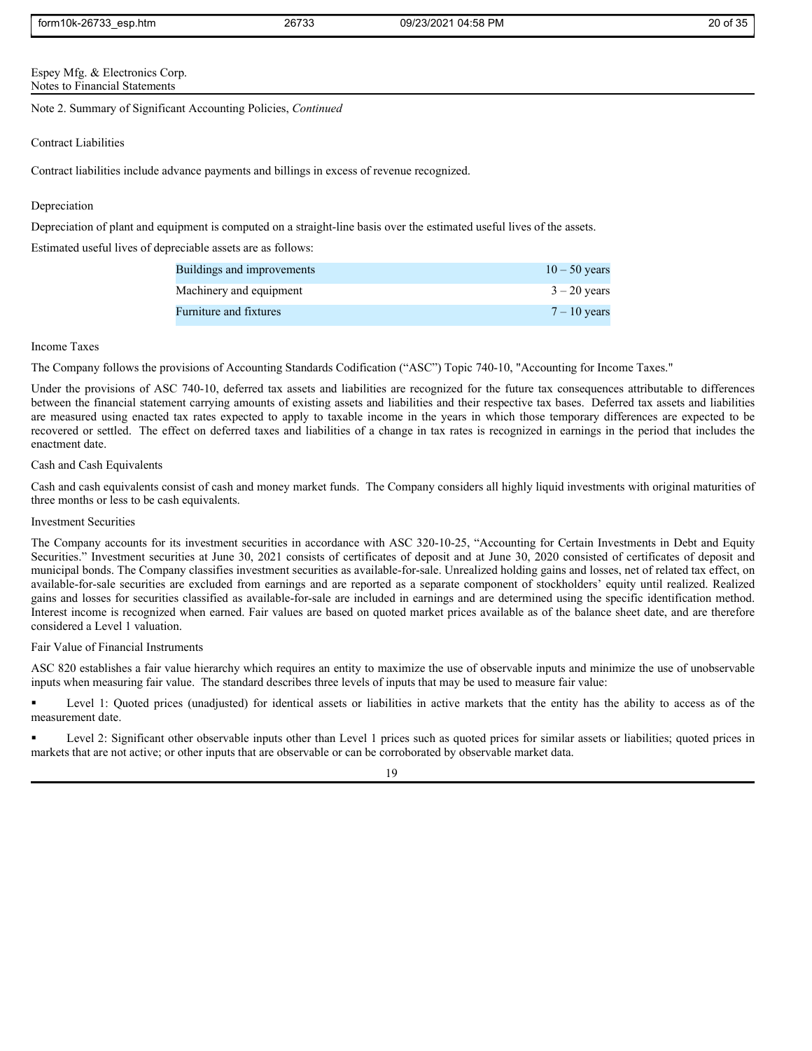| form10k-26733 esp.htm                                           | 26733 | 09/23/2021 04:58 PM | 20 of 35 |
|-----------------------------------------------------------------|-------|---------------------|----------|
|                                                                 |       |                     |          |
| Espey Mfg. & Electronics Corp.<br>Notes to Financial Statements |       |                     |          |

Note 2. Summary of Significant Accounting Policies, *Continued*

#### Contract Liabilities

Contract liabilities include advance payments and billings in excess of revenue recognized.

#### Depreciation

Depreciation of plant and equipment is computed on a straight-line basis over the estimated useful lives of the assets.

Estimated useful lives of depreciable assets are as follows:

| Buildings and improvements | $10 - 50$ years |
|----------------------------|-----------------|
| Machinery and equipment    | $3 - 20$ years  |
| Furniture and fixtures     | $7 - 10$ years  |

#### Income Taxes

The Company follows the provisions of Accounting Standards Codification ("ASC") Topic 740-10, "Accounting for Income Taxes."

Under the provisions of ASC 740-10, deferred tax assets and liabilities are recognized for the future tax consequences attributable to differences between the financial statement carrying amounts of existing assets and liabilities and their respective tax bases. Deferred tax assets and liabilities are measured using enacted tax rates expected to apply to taxable income in the years in which those temporary differences are expected to be recovered or settled. The effect on deferred taxes and liabilities of a change in tax rates is recognized in earnings in the period that includes the enactment date.

#### Cash and Cash Equivalents

Cash and cash equivalents consist of cash and money market funds. The Company considers all highly liquid investments with original maturities of three months or less to be cash equivalents.

#### Investment Securities

The Company accounts for its investment securities in accordance with ASC 320-10-25, "Accounting for Certain Investments in Debt and Equity Securities." Investment securities at June 30, 2021 consists of certificates of deposit and at June 30, 2020 consisted of certificates of deposit and municipal bonds. The Company classifies investment securities as available-for-sale. Unrealized holding gains and losses, net of related tax effect, on available-for-sale securities are excluded from earnings and are reported as a separate component of stockholders' equity until realized. Realized gains and losses for securities classified as available-for-sale are included in earnings and are determined using the specific identification method. Interest income is recognized when earned. Fair values are based on quoted market prices available as of the balance sheet date, and are therefore considered a Level 1 valuation.

#### Fair Value of Financial Instruments

ASC 820 establishes a fair value hierarchy which requires an entity to maximize the use of observable inputs and minimize the use of unobservable inputs when measuring fair value. The standard describes three levels of inputs that may be used to measure fair value:

 Level 1: Quoted prices (unadjusted) for identical assets or liabilities in active markets that the entity has the ability to access as of the measurement date.

 Level 2: Significant other observable inputs other than Level 1 prices such as quoted prices for similar assets or liabilities; quoted prices in markets that are not active; or other inputs that are observable or can be corroborated by observable market data.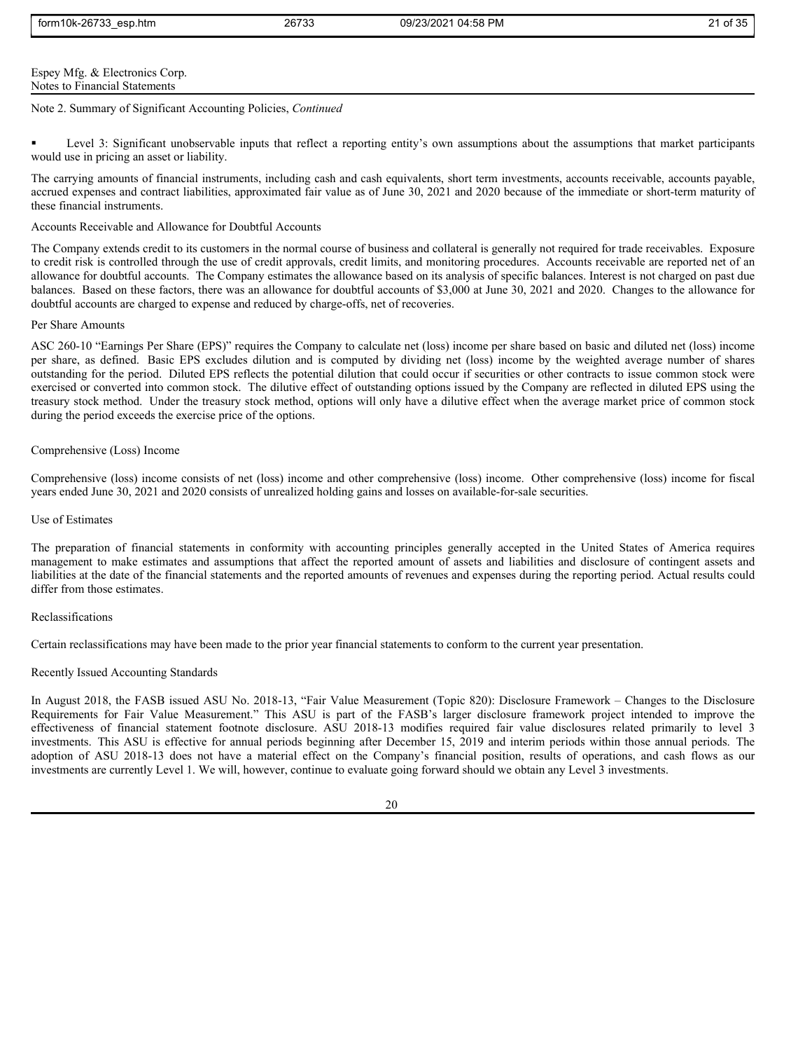Note 2. Summary of Significant Accounting Policies, *Continued*

 Level 3: Significant unobservable inputs that reflect a reporting entity's own assumptions about the assumptions that market participants would use in pricing an asset or liability.

The carrying amounts of financial instruments, including cash and cash equivalents, short term investments, accounts receivable, accounts payable, accrued expenses and contract liabilities, approximated fair value as of June 30, 2021 and 2020 because of the immediate or short-term maturity of these financial instruments.

#### Accounts Receivable and Allowance for Doubtful Accounts

The Company extends credit to its customers in the normal course of business and collateral is generally not required for trade receivables. Exposure to credit risk is controlled through the use of credit approvals, credit limits, and monitoring procedures. Accounts receivable are reported net of an allowance for doubtful accounts. The Company estimates the allowance based on its analysis of specific balances. Interest is not charged on past due balances. Based on these factors, there was an allowance for doubtful accounts of \$3,000 at June 30, 2021 and 2020. Changes to the allowance for doubtful accounts are charged to expense and reduced by charge-offs, net of recoveries.

#### Per Share Amounts

ASC 260-10 "Earnings Per Share (EPS)" requires the Company to calculate net (loss) income per share based on basic and diluted net (loss) income per share, as defined. Basic EPS excludes dilution and is computed by dividing net (loss) income by the weighted average number of shares outstanding for the period. Diluted EPS reflects the potential dilution that could occur if securities or other contracts to issue common stock were exercised or converted into common stock. The dilutive effect of outstanding options issued by the Company are reflected in diluted EPS using the treasury stock method. Under the treasury stock method, options will only have a dilutive effect when the average market price of common stock during the period exceeds the exercise price of the options.

#### Comprehensive (Loss) Income

Comprehensive (loss) income consists of net (loss) income and other comprehensive (loss) income. Other comprehensive (loss) income for fiscal years ended June 30, 2021 and 2020 consists of unrealized holding gains and losses on available-for-sale securities.

#### Use of Estimates

The preparation of financial statements in conformity with accounting principles generally accepted in the United States of America requires management to make estimates and assumptions that affect the reported amount of assets and liabilities and disclosure of contingent assets and liabilities at the date of the financial statements and the reported amounts of revenues and expenses during the reporting period. Actual results could differ from those estimates.

#### Reclassifications

Certain reclassifications may have been made to the prior year financial statements to conform to the current year presentation.

#### Recently Issued Accounting Standards

In August 2018, the FASB issued ASU No. 2018-13, "Fair Value Measurement (Topic 820): Disclosure Framework – Changes to the Disclosure Requirements for Fair Value Measurement." This ASU is part of the FASB's larger disclosure framework project intended to improve the effectiveness of financial statement footnote disclosure. ASU 2018-13 modifies required fair value disclosures related primarily to level 3 investments. This ASU is effective for annual periods beginning after December 15, 2019 and interim periods within those annual periods. The adoption of ASU 2018-13 does not have a material effect on the Company's financial position, results of operations, and cash flows as our investments are currently Level 1. We will, however, continue to evaluate going forward should we obtain any Level 3 investments.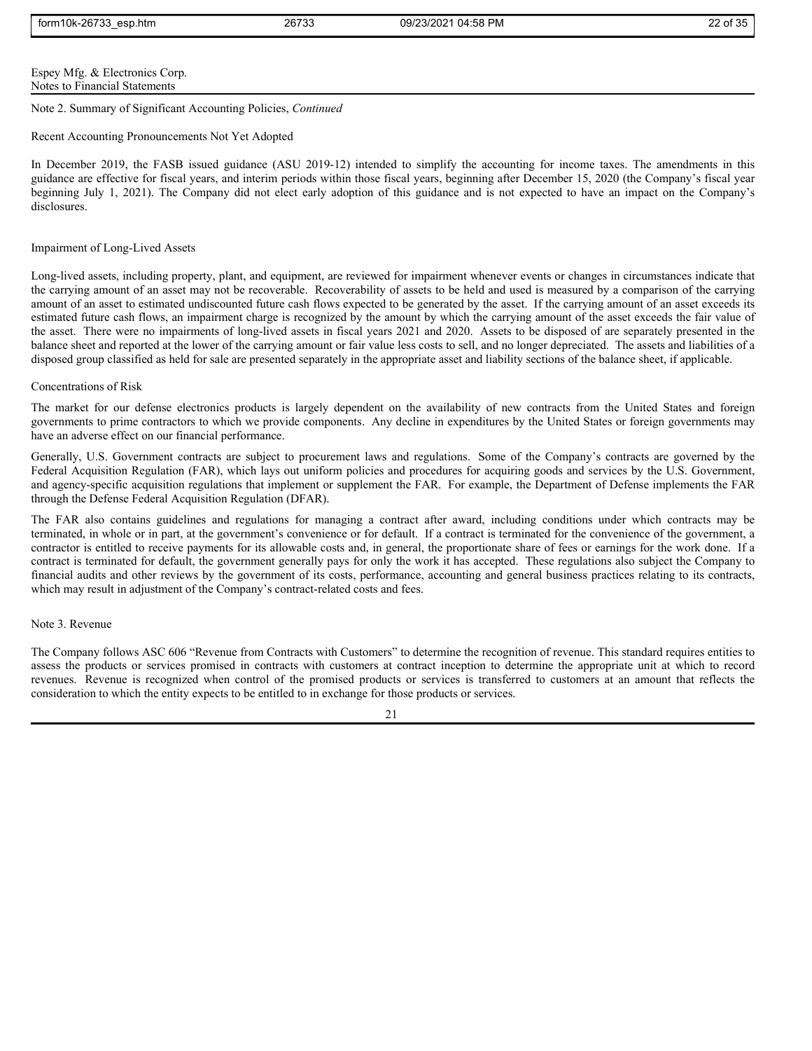Note 2. Summary of Significant Accounting Policies, *Continued*

Recent Accounting Pronouncements Not Yet Adopted

In December 2019, the FASB issued guidance (ASU 2019-12) intended to simplify the accounting for income taxes. The amendments in this guidance are effective for fiscal years, and interim periods within those fiscal years, beginning after December 15, 2020 (the Company's fiscal year beginning July 1, 2021). The Company did not elect early adoption of this guidance and is not expected to have an impact on the Company's disclosures.

#### Impairment of Long-Lived Assets

Long-lived assets, including property, plant, and equipment, are reviewed for impairment whenever events or changes in circumstances indicate that the carrying amount of an asset may not be recoverable. Recoverability of assets to be held and used is measured by a comparison of the carrying amount of an asset to estimated undiscounted future cash flows expected to be generated by the asset. If the carrying amount of an asset exceeds its estimated future cash flows, an impairment charge is recognized by the amount by which the carrying amount of the asset exceeds the fair value of the asset. There were no impairments of long-lived assets in fiscal years 2021 and 2020. Assets to be disposed of are separately presented in the balance sheet and reported at the lower of the carrying amount or fair value less costs to sell, and no longer depreciated. The assets and liabilities of a disposed group classified as held for sale are presented separately in the appropriate asset and liability sections of the balance sheet, if applicable.

#### Concentrations of Risk

The market for our defense electronics products is largely dependent on the availability of new contracts from the United States and foreign governments to prime contractors to which we provide components. Any decline in expenditures by the United States or foreign governments may have an adverse effect on our financial performance.

Generally, U.S. Government contracts are subject to procurement laws and regulations. Some of the Company's contracts are governed by the Federal Acquisition Regulation (FAR), which lays out uniform policies and procedures for acquiring goods and services by the U.S. Government, and agency-specific acquisition regulations that implement or supplement the FAR. For example, the Department of Defense implements the FAR through the Defense Federal Acquisition Regulation (DFAR).

The FAR also contains guidelines and regulations for managing a contract after award, including conditions under which contracts may be terminated, in whole or in part, at the government's convenience or for default. If a contract is terminated for the convenience of the government, a contractor is entitled to receive payments for its allowable costs and, in general, the proportionate share of fees or earnings for the work done. If a contract is terminated for default, the government generally pays for only the work it has accepted. These regulations also subject the Company to financial audits and other reviews by the government of its costs, performance, accounting and general business practices relating to its contracts, which may result in adjustment of the Company's contract-related costs and fees.

#### Note 3. Revenue

The Company follows ASC 606 "Revenue from Contracts with Customers" to determine the recognition of revenue. This standard requires entities to assess the products or services promised in contracts with customers at contract inception to determine the appropriate unit at which to record revenues. Revenue is recognized when control of the promised products or services is transferred to customers at an amount that reflects the consideration to which the entity expects to be entitled to in exchange for those products or services.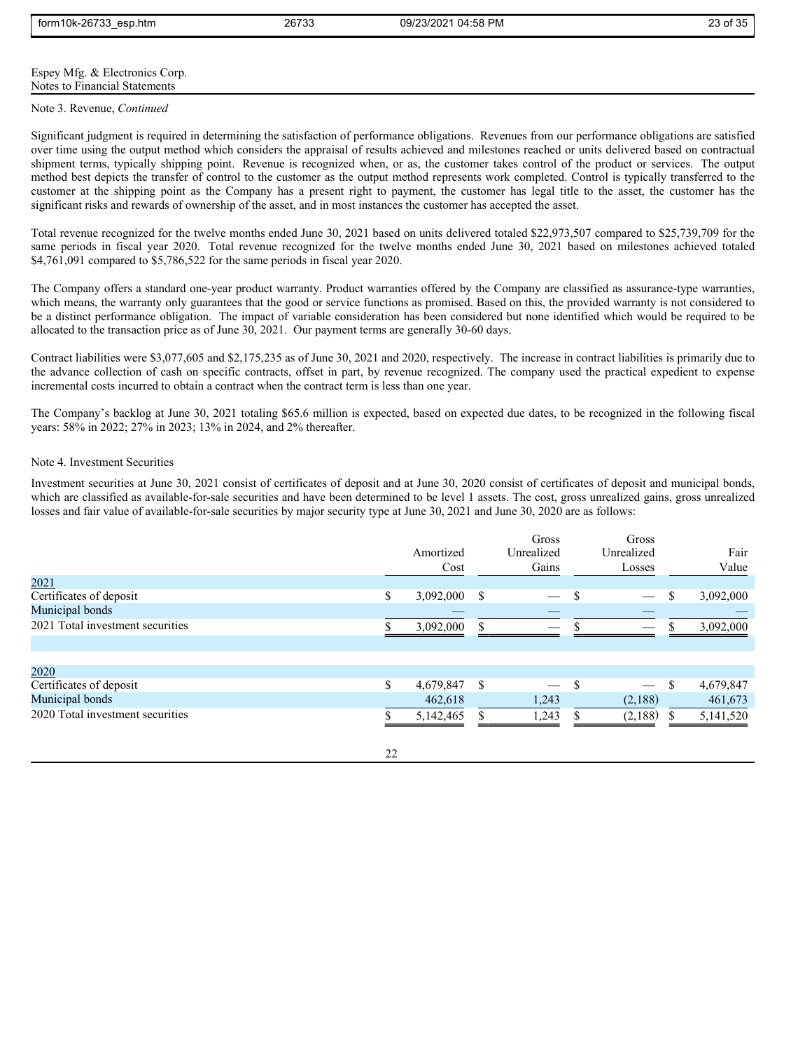Note 3. Revenue, *Continued*

Significant judgment is required in determining the satisfaction of performance obligations. Revenues from our performance obligations are satisfied over time using the output method which considers the appraisal of results achieved and milestones reached or units delivered based on contractual shipment terms, typically shipping point. Revenue is recognized when, or as, the customer takes control of the product or services. The output method best depicts the transfer of control to the customer as the output method represents work completed. Control is typically transferred to the customer at the shipping point as the Company has a present right to payment, the customer has legal title to the asset, the customer has the significant risks and rewards of ownership of the asset, and in most instances the customer has accepted the asset.

Total revenue recognized for the twelve months ended June 30, 2021 based on units delivered totaled \$22,973,507 compared to \$25,739,709 for the same periods in fiscal year 2020. Total revenue recognized for the twelve months ended June 30, 2021 based on milestones achieved totaled \$4,761,091 compared to \$5,786,522 for the same periods in fiscal year 2020.

The Company offers a standard one-year product warranty. Product warranties offered by the Company are classified as assurance-type warranties, which means, the warranty only guarantees that the good or service functions as promised. Based on this, the provided warranty is not considered to be a distinct performance obligation. The impact of variable consideration has been considered but none identified which would be required to be allocated to the transaction price as of June 30, 2021. Our payment terms are generally 30-60 days.

Contract liabilities were \$3,077,605 and \$2,175,235 as of June 30, 2021 and 2020, respectively. The increase in contract liabilities is primarily due to the advance collection of cash on specific contracts, offset in part, by revenue recognized. The company used the practical expedient to expense incremental costs incurred to obtain a contract when the contract term is less than one year.

The Company's backlog at June 30, 2021 totaling \$65.6 million is expected, based on expected due dates, to be recognized in the following fiscal years: 58% in 2022; 27% in 2023; 13% in 2024, and 2% thereafter.

#### Note 4. Investment Securities

Investment securities at June 30, 2021 consist of certificates of deposit and at June 30, 2020 consist of certificates of deposit and municipal bonds, which are classified as available-for-sale securities and have been determined to be level 1 assets. The cost, gross unrealized gains, gross unrealized losses and fair value of available-for-sale securities by major security type at June 30, 2021 and June 30, 2020 are as follows:

|                                  |    | Amortized<br>Cost |               | Gross<br>Unrealized<br>Gains |     | Gross<br>Unrealized<br>Losses | Fair<br>Value   |
|----------------------------------|----|-------------------|---------------|------------------------------|-----|-------------------------------|-----------------|
| 2021                             |    |                   |               |                              |     |                               |                 |
| Certificates of deposit          | S  | 3,092,000         | -S            | $\overline{\phantom{m}}$     | S   |                               | \$<br>3,092,000 |
| Municipal bonds                  |    |                   |               |                              |     |                               |                 |
| 2021 Total investment securities |    | 3,092,000         |               |                              |     |                               | 3,092,000       |
|                                  |    |                   |               |                              |     |                               |                 |
| 2020                             |    |                   |               |                              |     |                               |                 |
| Certificates of deposit          | S  | 4,679,847         | <sup>\$</sup> |                              | \$. |                               | \$<br>4,679,847 |
| Municipal bonds                  |    | 462,618           |               | 1,243                        |     | (2,188)                       | 461,673         |
| 2020 Total investment securities |    | 5,142,465         |               | 1,243                        |     | (2,188)                       | 5,141,520       |
|                                  | 22 |                   |               |                              |     |                               |                 |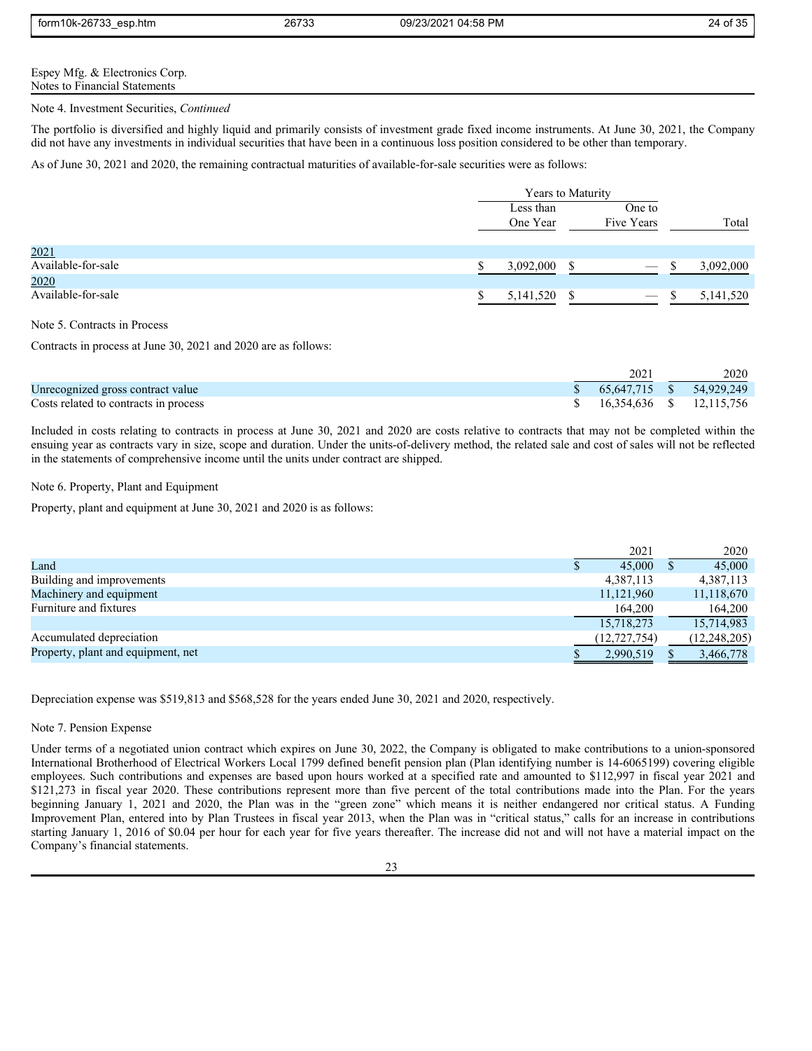| form<br>$\sim$<br>$-700$<br>$0k-26$<br>esp.htm<br>-2 U<br>.<br>$\overline{\phantom{0}}$ | วครวร<br>∠ບ≀ ບປ<br>. | ` PM<br>^^<br>ra r<br>$04^{\circ}$<br>,,<br>UY)<br>. ၁၀<br>________ | זר<br>- -<br>ື<br>$\sim$ $\sim$ |
|-----------------------------------------------------------------------------------------|----------------------|---------------------------------------------------------------------|---------------------------------|
|-----------------------------------------------------------------------------------------|----------------------|---------------------------------------------------------------------|---------------------------------|

Note 4. Investment Securities, *Continued*

The portfolio is diversified and highly liquid and primarily consists of investment grade fixed income instruments. At June 30, 2021, the Company did not have any investments in individual securities that have been in a continuous loss position considered to be other than temporary.

As of June 30, 2021 and 2020, the remaining contractual maturities of available-for-sale securities were as follows:

|                    |                       | Years to Maturity |                                 |  |             |
|--------------------|-----------------------|-------------------|---------------------------------|--|-------------|
|                    | Less than<br>One Year |                   | One to<br>Five Years            |  | Total       |
| 2021               |                       |                   |                                 |  |             |
| Available-for-sale | 3,092,000             |                   | $\hspace{0.1mm}-\hspace{0.1mm}$ |  | 3,092,000   |
| 2020               |                       |                   |                                 |  |             |
| Available-for-sale | 5,141,520 \$          |                   | $\overline{\phantom{a}}$        |  | 5, 141, 520 |

Note 5. Contracts in Process

Contracts in process at June 30, 2021 and 2020 are as follows:

|                                       |  | 202                             | 2020                        |
|---------------------------------------|--|---------------------------------|-----------------------------|
| Unrecognized gross contract value     |  | $$65.647.715 \quad $54.929.249$ |                             |
| Costs related to contracts in process |  |                                 | $$16,354,636$ $$12,115,756$ |

Included in costs relating to contracts in process at June 30, 2021 and 2020 are costs relative to contracts that may not be completed within the ensuing year as contracts vary in size, scope and duration. Under the units-of-delivery method, the related sale and cost of sales will not be reflected in the statements of comprehensive income until the units under contract are shipped.

Note 6. Property, Plant and Equipment

Property, plant and equipment at June 30, 2021 and 2020 is as follows:

|                                    | 2021           | 2020           |
|------------------------------------|----------------|----------------|
| Land                               | 45,000         | 45,000         |
| Building and improvements          | 4,387,113      | 4,387,113      |
| Machinery and equipment            | 11,121,960     | 11,118,670     |
| Furniture and fixtures             | 164,200        | 164,200        |
|                                    | 15,718,273     | 15,714,983     |
| Accumulated depreciation           | (12, 727, 754) | (12, 248, 205) |
| Property, plant and equipment, net | 2,990,519      | 3,466,778      |

Depreciation expense was \$519,813 and \$568,528 for the years ended June 30, 2021 and 2020, respectively.

## Note 7. Pension Expense

Under terms of a negotiated union contract which expires on June 30, 2022, the Company is obligated to make contributions to a union-sponsored International Brotherhood of Electrical Workers Local 1799 defined benefit pension plan (Plan identifying number is 14-6065199) covering eligible employees. Such contributions and expenses are based upon hours worked at a specified rate and amounted to \$112,997 in fiscal year 2021 and \$121,273 in fiscal year 2020. These contributions represent more than five percent of the total contributions made into the Plan. For the years beginning January 1, 2021 and 2020, the Plan was in the "green zone" which means it is neither endangered nor critical status. A Funding Improvement Plan, entered into by Plan Trustees in fiscal year 2013, when the Plan was in "critical status," calls for an increase in contributions starting January 1, 2016 of \$0.04 per hour for each year for five years thereafter. The increase did not and will not have a material impact on the Company's financial statements.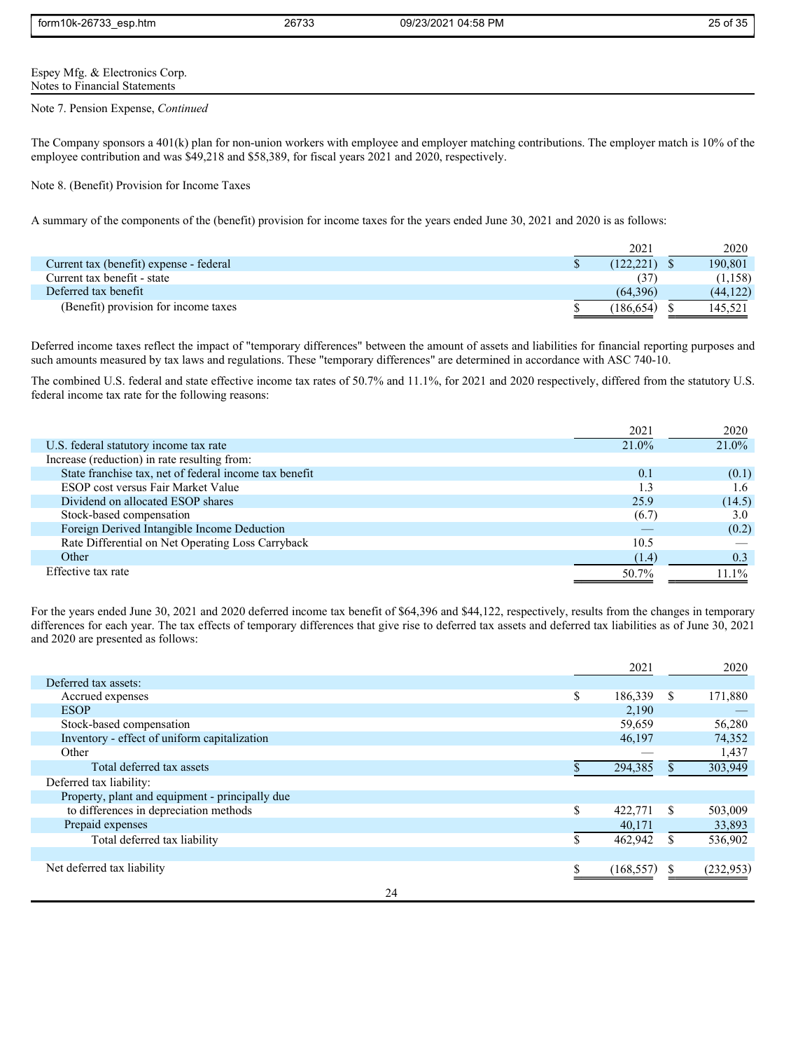| form $10k-26733$ esp.htm                        | 26733 | 09/23/2021 04:58 PM | 25 of 35 |
|-------------------------------------------------|-------|---------------------|----------|
|                                                 |       |                     |          |
| $E_{\text{max}} M_c = 0.51$ at $C_{\text{max}}$ |       |                     |          |

Note 7. Pension Expense, *Continued*

The Company sponsors a 401(k) plan for non-union workers with employee and employer matching contributions. The employer match is 10% of the employee contribution and was \$49,218 and \$58,389, for fiscal years 2021 and 2020, respectively.

Note 8. (Benefit) Provision for Income Taxes

A summary of the components of the (benefit) provision for income taxes for the years ended June 30, 2021 and 2020 is as follows:

|                                         | 2021      | 2020     |
|-----------------------------------------|-----------|----------|
| Current tax (benefit) expense - federal |           | 190,801  |
| Current tax benefit - state             |           | (1, 158) |
| Deferred tax benefit                    | (64, 396) | (44.122) |
| (Benefit) provision for income taxes    | (186.654) | 145.521  |

Deferred income taxes reflect the impact of "temporary differences" between the amount of assets and liabilities for financial reporting purposes and such amounts measured by tax laws and regulations. These "temporary differences" are determined in accordance with ASC 740-10.

The combined U.S. federal and state effective income tax rates of 50.7% and 11.1%, for 2021 and 2020 respectively, differed from the statutory U.S. federal income tax rate for the following reasons:

|                                                        | 2021     | 2020     |
|--------------------------------------------------------|----------|----------|
| U.S. federal statutory income tax rate                 | $21.0\%$ | $21.0\%$ |
| Increase (reduction) in rate resulting from:           |          |          |
| State franchise tax, net of federal income tax benefit | 0.1      | (0.1)    |
| ESOP cost versus Fair Market Value                     | 1.3      | 1.6      |
| Dividend on allocated ESOP shares                      | 25.9     | (14.5)   |
| Stock-based compensation                               | (6.7)    | 3.0      |
| Foreign Derived Intangible Income Deduction            |          | (0.2)    |
| Rate Differential on Net Operating Loss Carryback      | 10.5     |          |
| Other                                                  | (1.4)    | 0.3      |
| Effective tax rate                                     | 50.7%    | $11.1\%$ |

For the years ended June 30, 2021 and 2020 deferred income tax benefit of \$64,396 and \$44,122, respectively, results from the changes in temporary differences for each year. The tax effects of temporary differences that give rise to deferred tax assets and deferred tax liabilities as of June 30, 2021 and 2020 are presented as follows:

|                                                 | 2021             |              | 2020       |
|-------------------------------------------------|------------------|--------------|------------|
| Deferred tax assets:                            |                  |              |            |
| Accrued expenses                                | \$<br>186,339    | \$           | 171,880    |
| <b>ESOP</b>                                     | 2,190            |              |            |
| Stock-based compensation                        | 59,659           |              | 56,280     |
| Inventory - effect of uniform capitalization    | 46,197           |              | 74,352     |
| Other                                           |                  |              | 1,437      |
| Total deferred tax assets                       | 294,385          |              | 303,949    |
| Deferred tax liability:                         |                  |              |            |
| Property, plant and equipment - principally due |                  |              |            |
| to differences in depreciation methods          | \$<br>422,771    | <sup>S</sup> | 503,009    |
| Prepaid expenses                                | 40,171           |              | 33,893     |
| Total deferred tax liability                    | \$<br>462,942    | \$           | 536,902    |
|                                                 |                  |              |            |
| Net deferred tax liability                      | \$<br>(168, 557) | S.           | (232, 953) |
| $\mathcal{L}$                                   |                  |              |            |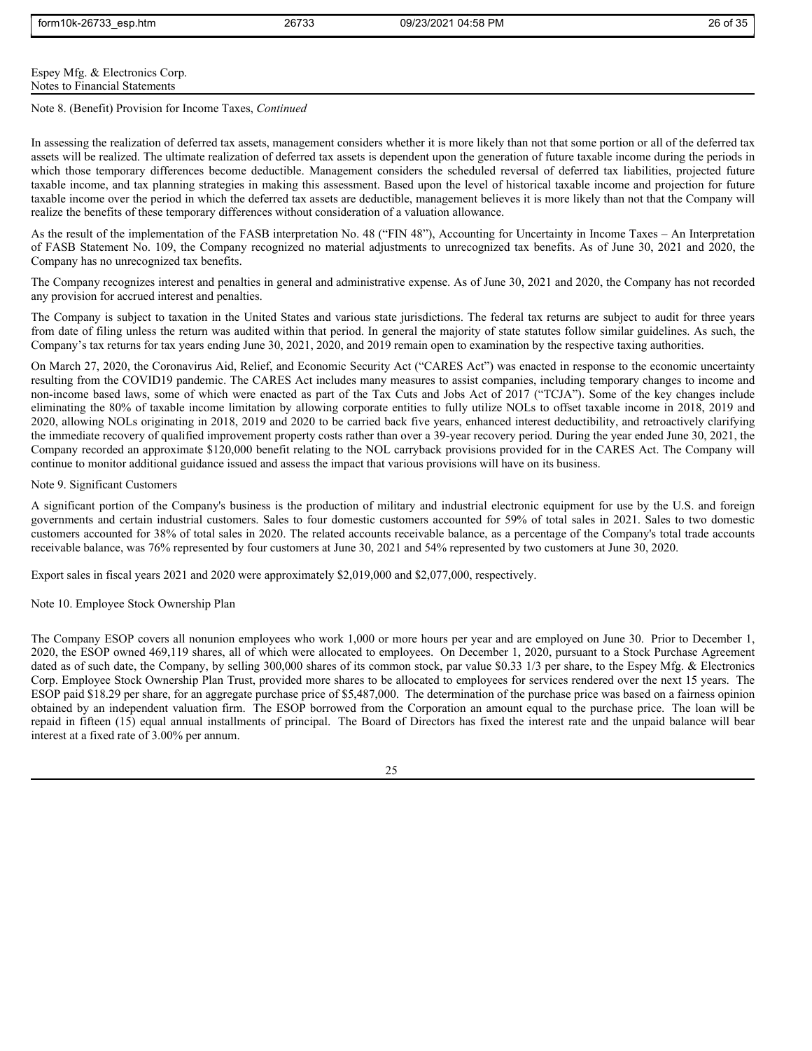Note 8. (Benefit) Provision for Income Taxes, *Continued*

In assessing the realization of deferred tax assets, management considers whether it is more likely than not that some portion or all of the deferred tax assets will be realized. The ultimate realization of deferred tax assets is dependent upon the generation of future taxable income during the periods in which those temporary differences become deductible. Management considers the scheduled reversal of deferred tax liabilities, projected future taxable income, and tax planning strategies in making this assessment. Based upon the level of historical taxable income and projection for future taxable income over the period in which the deferred tax assets are deductible, management believes it is more likely than not that the Company will realize the benefits of these temporary differences without consideration of a valuation allowance.

As the result of the implementation of the FASB interpretation No. 48 ("FIN 48"), Accounting for Uncertainty in Income Taxes – An Interpretation of FASB Statement No. 109, the Company recognized no material adjustments to unrecognized tax benefits. As of June 30, 2021 and 2020, the Company has no unrecognized tax benefits.

The Company recognizes interest and penalties in general and administrative expense. As of June 30, 2021 and 2020, the Company has not recorded any provision for accrued interest and penalties.

The Company is subject to taxation in the United States and various state jurisdictions. The federal tax returns are subject to audit for three years from date of filing unless the return was audited within that period. In general the majority of state statutes follow similar guidelines. As such, the Company's tax returns for tax years ending June 30, 2021, 2020, and 2019 remain open to examination by the respective taxing authorities.

On March 27, 2020, the Coronavirus Aid, Relief, and Economic Security Act ("CARES Act") was enacted in response to the economic uncertainty resulting from the COVID19 pandemic. The CARES Act includes many measures to assist companies, including temporary changes to income and non-income based laws, some of which were enacted as part of the Tax Cuts and Jobs Act of 2017 ("TCJA"). Some of the key changes include eliminating the 80% of taxable income limitation by allowing corporate entities to fully utilize NOLs to offset taxable income in 2018, 2019 and 2020, allowing NOLs originating in 2018, 2019 and 2020 to be carried back five years, enhanced interest deductibility, and retroactively clarifying the immediate recovery of qualified improvement property costs rather than over a 39-year recovery period. During the year ended June 30, 2021, the Company recorded an approximate \$120,000 benefit relating to the NOL carryback provisions provided for in the CARES Act. The Company will continue to monitor additional guidance issued and assess the impact that various provisions will have on its business.

#### Note 9. Significant Customers

A significant portion of the Company's business is the production of military and industrial electronic equipment for use by the U.S. and foreign governments and certain industrial customers. Sales to four domestic customers accounted for 59% of total sales in 2021. Sales to two domestic customers accounted for 38% of total sales in 2020. The related accounts receivable balance, as a percentage of the Company's total trade accounts receivable balance, was 76% represented by four customers at June 30, 2021 and 54% represented by two customers at June 30, 2020.

Export sales in fiscal years 2021 and 2020 were approximately \$2,019,000 and \$2,077,000, respectively.

#### Note 10. Employee Stock Ownership Plan

The Company ESOP covers all nonunion employees who work 1,000 or more hours per year and are employed on June 30. Prior to December 1, 2020, the ESOP owned 469,119 shares, all of which were allocated to employees. On December 1, 2020, pursuant to a Stock Purchase Agreement dated as of such date, the Company, by selling 300,000 shares of its common stock, par value \$0.33 1/3 per share, to the Espey Mfg. & Electronics Corp. Employee Stock Ownership Plan Trust, provided more shares to be allocated to employees for services rendered over the next 15 years. The ESOP paid \$18.29 per share, for an aggregate purchase price of \$5,487,000. The determination of the purchase price was based on a fairness opinion obtained by an independent valuation firm. The ESOP borrowed from the Corporation an amount equal to the purchase price. The loan will be repaid in fifteen (15) equal annual installments of principal. The Board of Directors has fixed the interest rate and the unpaid balance will bear interest at a fixed rate of 3.00% per annum.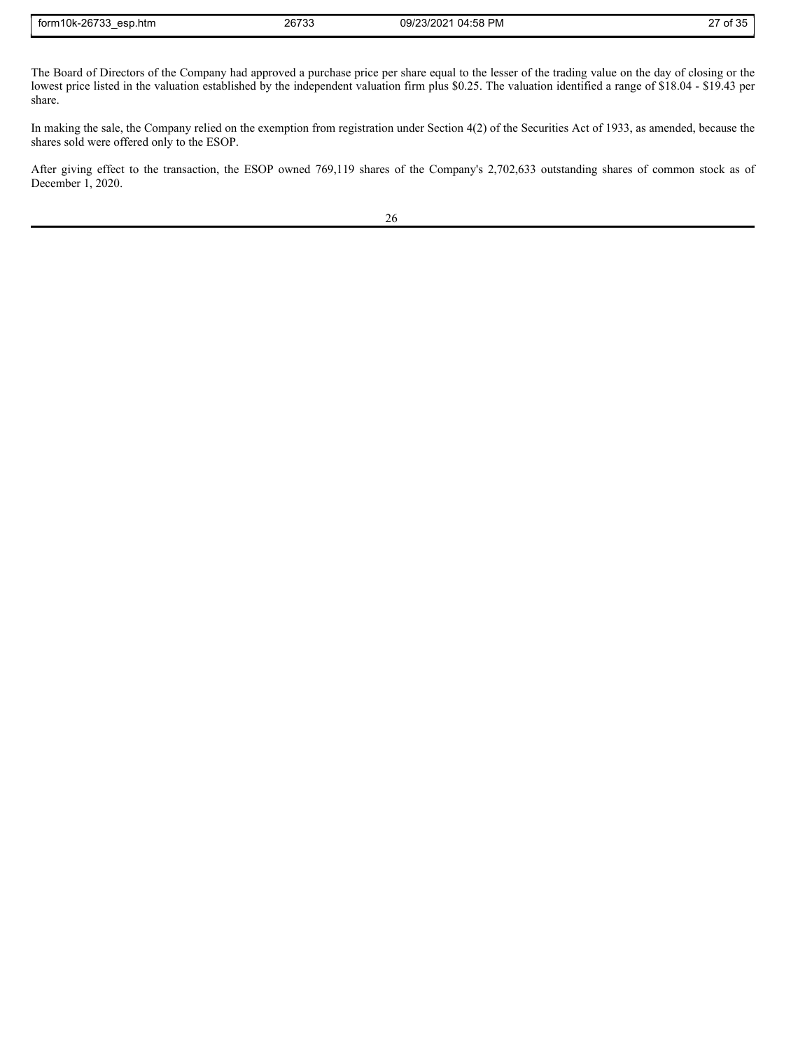| $\overline{\phantom{a}}$<br>'0k-<br>–~<br>form1<br>htm.د<br>esn<br>$\sqrt{r}$<br>50 I JU<br>- | 00700<br>501 ن | 58 PM<br>∠3/2021<br>$\overline{100}$<br>า 4 . ม.<br>ි. රජ<br>U 14<br>$  -$ | $\sim$ $-$<br>ΩT<br>ູນປ<br>- |
|-----------------------------------------------------------------------------------------------|----------------|----------------------------------------------------------------------------|------------------------------|

The Board of Directors of the Company had approved a purchase price per share equal to the lesser of the trading value on the day of closing or the lowest price listed in the valuation established by the independent valuation firm plus \$0.25. The valuation identified a range of \$18.04 - \$19.43 per share.

In making the sale, the Company relied on the exemption from registration under Section 4(2) of the Securities Act of 1933, as amended, because the shares sold were offered only to the ESOP.

After giving effect to the transaction, the ESOP owned 769,119 shares of the Company's 2,702,633 outstanding shares of common stock as of December 1, 2020.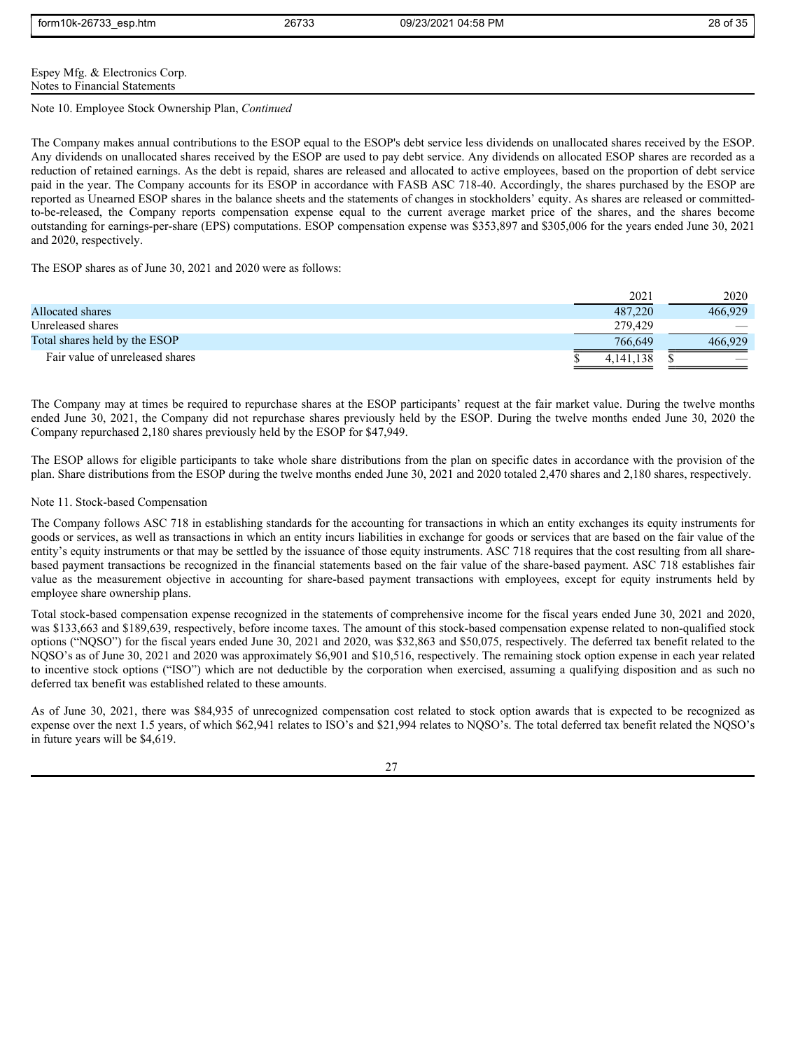| …uk-267?^<br>esp.htm<br>torn<br>- | 26733<br>7 J J | 04:58 PM<br>09/23<br><u>.</u><br>$\sim$<br>ے∪2∜" | ንՋ<br>$ -$<br>ΩТ<br>$\cdot$ . |
|-----------------------------------|----------------|--------------------------------------------------|-------------------------------|
|-----------------------------------|----------------|--------------------------------------------------|-------------------------------|

Note 10. Employee Stock Ownership Plan, *Continued*

The Company makes annual contributions to the ESOP equal to the ESOP's debt service less dividends on unallocated shares received by the ESOP. Any dividends on unallocated shares received by the ESOP are used to pay debt service. Any dividends on allocated ESOP shares are recorded as a reduction of retained earnings. As the debt is repaid, shares are released and allocated to active employees, based on the proportion of debt service paid in the year. The Company accounts for its ESOP in accordance with FASB ASC 718-40. Accordingly, the shares purchased by the ESOP are reported as Unearned ESOP shares in the balance sheets and the statements of changes in stockholders' equity. As shares are released or committedto-be-released, the Company reports compensation expense equal to the current average market price of the shares, and the shares become outstanding for earnings-per-share (EPS) computations. ESOP compensation expense was \$353,897 and \$305,006 for the years ended June 30, 2021 and 2020, respectively.

The ESOP shares as of June 30, 2021 and 2020 were as follows:

|                                 | 202       | 2020                           |
|---------------------------------|-----------|--------------------------------|
| Allocated shares                | 487,220   | 466.929                        |
| Unreleased shares               | 279.429   | $\overbrace{\hspace{25mm}}^{}$ |
| Total shares held by the ESOP   | 766.649   | 466.929                        |
| Fair value of unreleased shares | 4.141.138 |                                |

The Company may at times be required to repurchase shares at the ESOP participants' request at the fair market value. During the twelve months ended June 30, 2021, the Company did not repurchase shares previously held by the ESOP. During the twelve months ended June 30, 2020 the Company repurchased 2,180 shares previously held by the ESOP for \$47,949.

The ESOP allows for eligible participants to take whole share distributions from the plan on specific dates in accordance with the provision of the plan. Share distributions from the ESOP during the twelve months ended June 30, 2021 and 2020 totaled 2,470 shares and 2,180 shares, respectively.

#### Note 11. Stock-based Compensation

The Company follows ASC 718 in establishing standards for the accounting for transactions in which an entity exchanges its equity instruments for goods or services, as well as transactions in which an entity incurs liabilities in exchange for goods or services that are based on the fair value of the entity's equity instruments or that may be settled by the issuance of those equity instruments. ASC 718 requires that the cost resulting from all sharebased payment transactions be recognized in the financial statements based on the fair value of the share-based payment. ASC 718 establishes fair value as the measurement objective in accounting for share-based payment transactions with employees, except for equity instruments held by employee share ownership plans.

Total stock-based compensation expense recognized in the statements of comprehensive income for the fiscal years ended June 30, 2021 and 2020, was \$133,663 and \$189,639, respectively, before income taxes. The amount of this stock-based compensation expense related to non-qualified stock options ("NQSO") for the fiscal years ended June 30, 2021 and 2020, was \$32,863 and \$50,075, respectively. The deferred tax benefit related to the NQSO's as of June 30, 2021 and 2020 was approximately \$6,901 and \$10,516, respectively. The remaining stock option expense in each year related to incentive stock options ("ISO") which are not deductible by the corporation when exercised, assuming a qualifying disposition and as such no deferred tax benefit was established related to these amounts.

As of June 30, 2021, there was \$84,935 of unrecognized compensation cost related to stock option awards that is expected to be recognized as expense over the next 1.5 years, of which \$62,941 relates to ISO's and \$21,994 relates to NQSO's. The total deferred tax benefit related the NQSO's in future years will be \$4,619.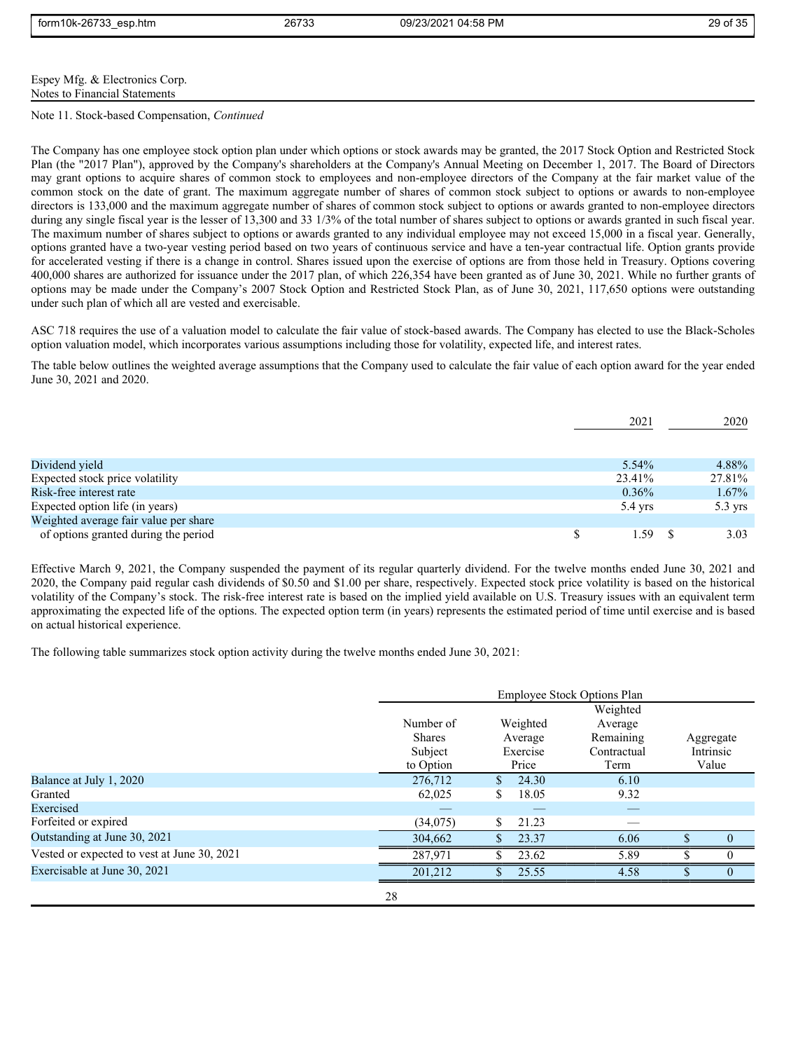| form1<br>Ok-26733<br>esp.htm | 0072<br>$^{\prime\prime}$<br>20199 | ∷58 PM<br>በ9/<br>. 04:58<br>$'$ $120$ | $\sim$<br>ንዐ<br>the contract of the contract of the contract of |
|------------------------------|------------------------------------|---------------------------------------|-----------------------------------------------------------------|
|                              |                                    |                                       |                                                                 |

Note 11. Stock-based Compensation, *Continued*

The Company has one employee stock option plan under which options or stock awards may be granted, the 2017 Stock Option and Restricted Stock Plan (the "2017 Plan"), approved by the Company's shareholders at the Company's Annual Meeting on December 1, 2017. The Board of Directors may grant options to acquire shares of common stock to employees and non-employee directors of the Company at the fair market value of the common stock on the date of grant. The maximum aggregate number of shares of common stock subject to options or awards to non-employee directors is 133,000 and the maximum aggregate number of shares of common stock subject to options or awards granted to non-employee directors during any single fiscal year is the lesser of 13,300 and 33 1/3% of the total number of shares subject to options or awards granted in such fiscal year. The maximum number of shares subject to options or awards granted to any individual employee may not exceed 15,000 in a fiscal year. Generally, options granted have a two-year vesting period based on two years of continuous service and have a ten-year contractual life. Option grants provide for accelerated vesting if there is a change in control. Shares issued upon the exercise of options are from those held in Treasury. Options covering 400,000 shares are authorized for issuance under the 2017 plan, of which 226,354 have been granted as of June 30, 2021. While no further grants of options may be made under the Company's 2007 Stock Option and Restricted Stock Plan, as of June 30, 2021, 117,650 options were outstanding under such plan of which all are vested and exercisable.

ASC 718 requires the use of a valuation model to calculate the fair value of stock-based awards. The Company has elected to use the Black-Scholes option valuation model, which incorporates various assumptions including those for volatility, expected life, and interest rates.

The table below outlines the weighted average assumptions that the Company used to calculate the fair value of each option award for the year ended June 30, 2021 and 2020.

|                                       | 2021      | 2020              |
|---------------------------------------|-----------|-------------------|
|                                       |           |                   |
| Dividend yield                        | 5.54%     | 4.88%             |
| Expected stock price volatility       | 23.41%    | 27.81%            |
| Risk-free interest rate               | $0.36\%$  | $1.67\%$          |
| Expected option life (in years)       | $5.4$ yrs | $5.3 \text{ yrs}$ |
| Weighted average fair value per share |           |                   |
| of options granted during the period  | 1.59      | 3.03              |

Effective March 9, 2021, the Company suspended the payment of its regular quarterly dividend. For the twelve months ended June 30, 2021 and 2020, the Company paid regular cash dividends of \$0.50 and \$1.00 per share, respectively. Expected stock price volatility is based on the historical volatility of the Company's stock. The risk-free interest rate is based on the implied yield available on U.S. Treasury issues with an equivalent term approximating the expected life of the options. The expected option term (in years) represents the estimated period of time until exercise and is based on actual historical experience.

The following table summarizes stock option activity during the twelve months ended June 30, 2021:

|                                             | <b>Employee Stock Options Plan</b> |                       |             |           |           |  |
|---------------------------------------------|------------------------------------|-----------------------|-------------|-----------|-----------|--|
|                                             | Weighted                           |                       |             |           |           |  |
|                                             | Number of                          | Weighted<br>Average   |             |           |           |  |
|                                             | <b>Shares</b>                      | Average               | Remaining   | Aggregate |           |  |
|                                             | Subject                            | Exercise              | Contractual |           | Intrinsic |  |
|                                             | to Option                          | Price                 | Term        |           | Value     |  |
| Balance at July 1, 2020                     | 276,712                            | $\mathbb{S}$<br>24.30 | 6.10        |           |           |  |
| Granted                                     | 62,025                             | \$<br>18.05           | 9.32        |           |           |  |
| Exercised                                   |                                    |                       |             |           |           |  |
| Forfeited or expired                        | (34,075)                           | S.<br>21.23           |             |           |           |  |
| Outstanding at June 30, 2021                | 304,662                            | \$<br>23.37           | 6.06        |           | $\theta$  |  |
| Vested or expected to vest at June 30, 2021 | 287,971                            | \$<br>23.62           | 5.89        |           |           |  |
| Exercisable at June 30, 2021                | 201,212                            | \$<br>25.55           | 4.58        |           |           |  |
|                                             | 28                                 |                       |             |           |           |  |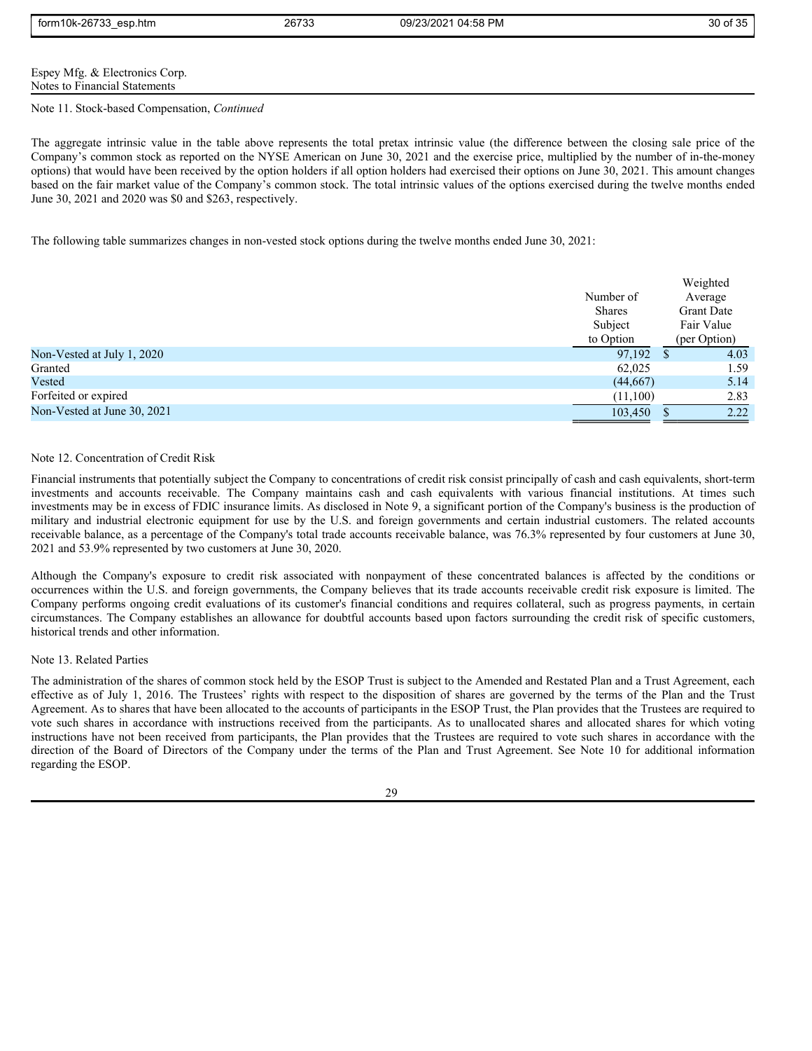Note 11. Stock-based Compensation, *Continued*

The aggregate intrinsic value in the table above represents the total pretax intrinsic value (the difference between the closing sale price of the Company's common stock as reported on the NYSE American on June 30, 2021 and the exercise price, multiplied by the number of in-the-money options) that would have been received by the option holders if all option holders had exercised their options on June 30, 2021. This amount changes based on the fair market value of the Company's common stock. The total intrinsic values of the options exercised during the twelve months ended June 30, 2021 and 2020 was \$0 and \$263, respectively.

The following table summarizes changes in non-vested stock options during the twelve months ended June 30, 2021:

|                             |               | Weighted          |
|-----------------------------|---------------|-------------------|
|                             | Number of     | Average           |
|                             | <b>Shares</b> | <b>Grant Date</b> |
|                             | Subject       | Fair Value        |
|                             | to Option     | (per Option)      |
| Non-Vested at July 1, 2020  | 97,192 \$     | 4.03              |
| Granted                     | 62,025        | 1.59              |
| Vested                      | (44,667)      | 5.14              |
| Forfeited or expired        | (11,100)      | 2.83              |
| Non-Vested at June 30, 2021 | 103,450       | 2.22              |

#### Note 12. Concentration of Credit Risk

Financial instruments that potentially subject the Company to concentrations of credit risk consist principally of cash and cash equivalents, short-term investments and accounts receivable. The Company maintains cash and cash equivalents with various financial institutions. At times such investments may be in excess of FDIC insurance limits. As disclosed in Note 9, a significant portion of the Company's business is the production of military and industrial electronic equipment for use by the U.S. and foreign governments and certain industrial customers. The related accounts receivable balance, as a percentage of the Company's total trade accounts receivable balance, was 76.3% represented by four customers at June 30, 2021 and 53.9% represented by two customers at June 30, 2020.

Although the Company's exposure to credit risk associated with nonpayment of these concentrated balances is affected by the conditions or occurrences within the U.S. and foreign governments, the Company believes that its trade accounts receivable credit risk exposure is limited. The Company performs ongoing credit evaluations of its customer's financial conditions and requires collateral, such as progress payments, in certain circumstances. The Company establishes an allowance for doubtful accounts based upon factors surrounding the credit risk of specific customers, historical trends and other information.

#### Note 13. Related Parties

The administration of the shares of common stock held by the ESOP Trust is subject to the Amended and Restated Plan and a Trust Agreement, each effective as of July 1, 2016. The Trustees' rights with respect to the disposition of shares are governed by the terms of the Plan and the Trust Agreement. As to shares that have been allocated to the accounts of participants in the ESOP Trust, the Plan provides that the Trustees are required to vote such shares in accordance with instructions received from the participants. As to unallocated shares and allocated shares for which voting instructions have not been received from participants, the Plan provides that the Trustees are required to vote such shares in accordance with the direction of the Board of Directors of the Company under the terms of the Plan and Trust Agreement. See Note 10 for additional information regarding the ESOP.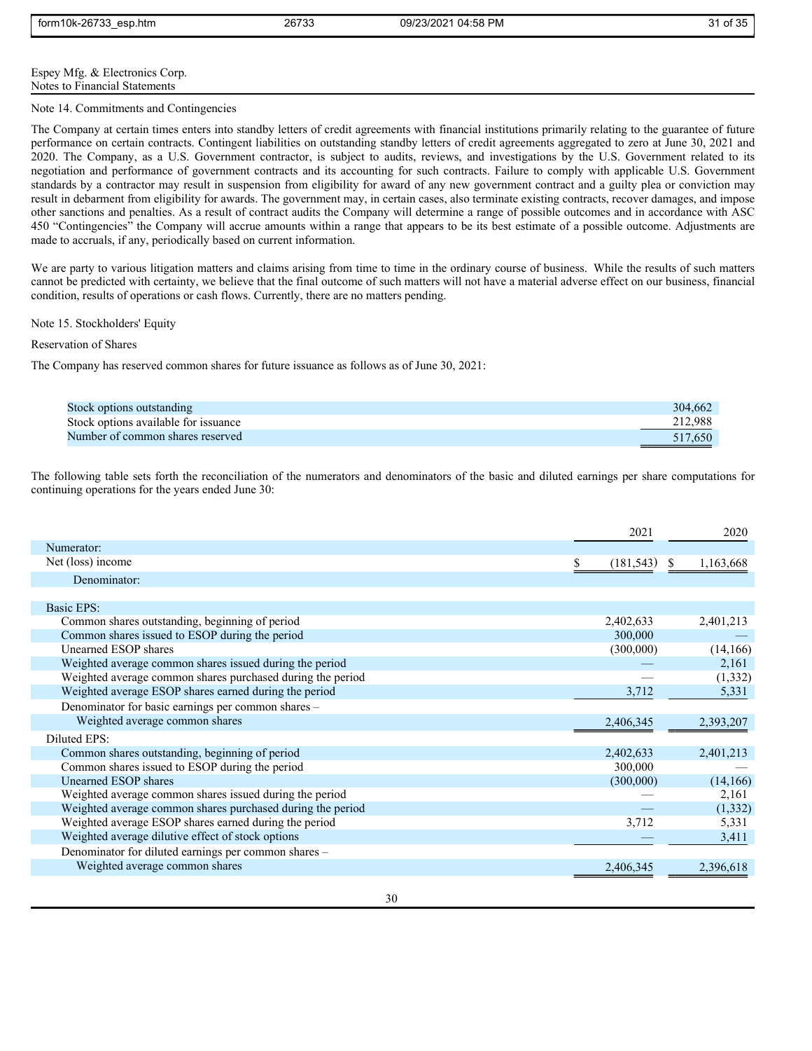| 00700<br>10 <sub>1</sub><br>form10k-<br>esp.htm<br>- ハベー<br>-2019J | 2673c<br>دد ≀ס∠<br>. | 04:58 PM<br>23/2021<br>ി9/20<br>uur | ィっこ<br>. .<br>ີ<br>. |
|--------------------------------------------------------------------|----------------------|-------------------------------------|----------------------|
|                                                                    |                      |                                     |                      |

Note 14. Commitments and Contingencies

The Company at certain times enters into standby letters of credit agreements with financial institutions primarily relating to the guarantee of future performance on certain contracts. Contingent liabilities on outstanding standby letters of credit agreements aggregated to zero at June 30, 2021 and 2020. The Company, as a U.S. Government contractor, is subject to audits, reviews, and investigations by the U.S. Government related to its negotiation and performance of government contracts and its accounting for such contracts. Failure to comply with applicable U.S. Government standards by a contractor may result in suspension from eligibility for award of any new government contract and a guilty plea or conviction may result in debarment from eligibility for awards. The government may, in certain cases, also terminate existing contracts, recover damages, and impose other sanctions and penalties. As a result of contract audits the Company will determine a range of possible outcomes and in accordance with ASC 450 "Contingencies" the Company will accrue amounts within a range that appears to be its best estimate of a possible outcome. Adjustments are made to accruals, if any, periodically based on current information.

We are party to various litigation matters and claims arising from time to time in the ordinary course of business. While the results of such matters cannot be predicted with certainty, we believe that the final outcome of such matters will not have a material adverse effect on our business, financial condition, results of operations or cash flows. Currently, there are no matters pending.

Note 15. Stockholders' Equity

Reservation of Shares

The Company has reserved common shares for future issuance as follows as of June 30, 2021:

| Stock options outstanding            | 304,662 |
|--------------------------------------|---------|
| Stock options available for issuance | 212.988 |
| Number of common shares reserved     | 517.650 |

The following table sets forth the reconciliation of the numerators and denominators of the basic and diluted earnings per share computations for continuing operations for the years ended June 30:

|                                                            |   | 2021       |               | 2020      |
|------------------------------------------------------------|---|------------|---------------|-----------|
| Numerator:                                                 |   |            |               |           |
| Net (loss) income                                          | S | (181, 543) | <sup>\$</sup> | 1,163,668 |
| Denominator:                                               |   |            |               |           |
|                                                            |   |            |               |           |
| Basic EPS:                                                 |   |            |               |           |
| Common shares outstanding, beginning of period             |   | 2,402,633  |               | 2,401,213 |
| Common shares issued to ESOP during the period             |   | 300,000    |               |           |
| Unearned ESOP shares                                       |   | (300,000)  |               | (14, 166) |
| Weighted average common shares issued during the period    |   |            |               | 2,161     |
| Weighted average common shares purchased during the period |   |            |               | (1, 332)  |
| Weighted average ESOP shares earned during the period      |   | 3,712      |               | 5,331     |
| Denominator for basic earnings per common shares -         |   |            |               |           |
| Weighted average common shares                             |   | 2,406,345  |               | 2,393,207 |
| Diluted EPS:                                               |   |            |               |           |
| Common shares outstanding, beginning of period             |   | 2,402,633  |               | 2,401,213 |
| Common shares issued to ESOP during the period             |   | 300,000    |               |           |
| Unearned ESOP shares                                       |   | (300,000)  |               | (14,166)  |
| Weighted average common shares issued during the period    |   |            |               | 2,161     |
| Weighted average common shares purchased during the period |   |            |               | (1, 332)  |
| Weighted average ESOP shares earned during the period      |   | 3,712      |               | 5,331     |
| Weighted average dilutive effect of stock options          |   |            |               | 3,411     |
| Denominator for diluted earnings per common shares -       |   |            |               |           |
| Weighted average common shares                             |   | 2,406,345  |               | 2,396,618 |
|                                                            |   |            |               |           |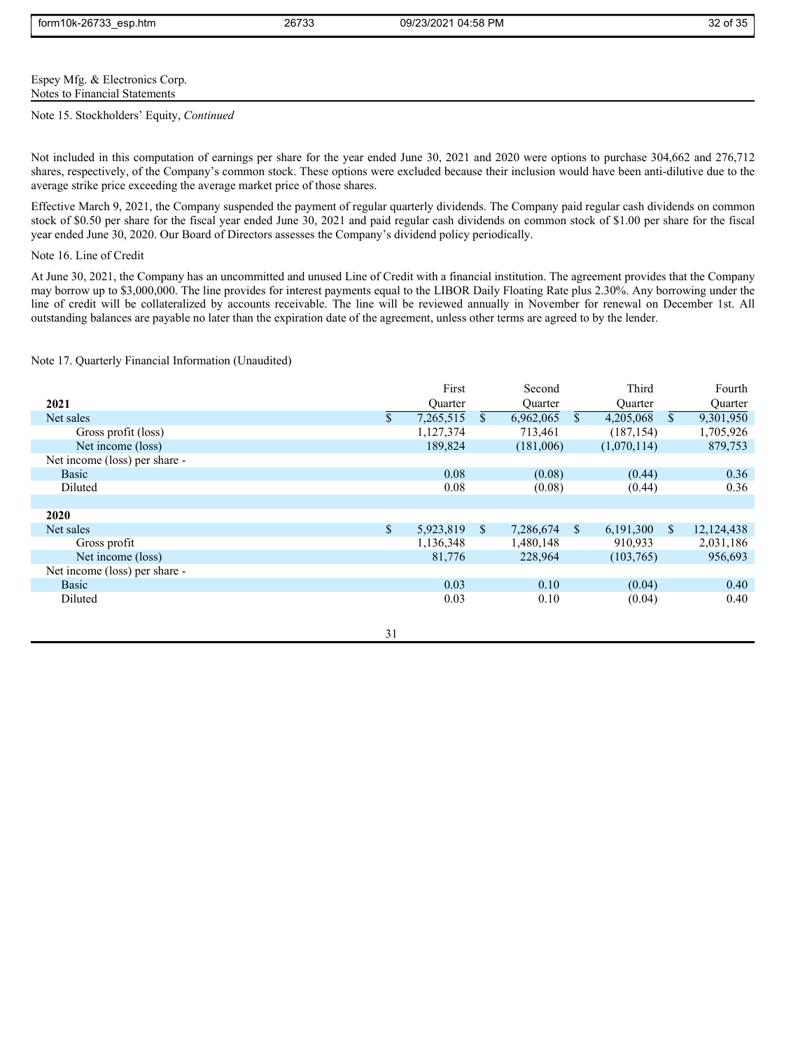Note 15. Stockholders' Equity, *Continued*

Not included in this computation of earnings per share for the year ended June 30, 2021 and 2020 were options to purchase 304,662 and 276,712 shares, respectively, of the Company's common stock. These options were excluded because their inclusion would have been anti-dilutive due to the average strike price exceeding the average market price of those shares.

Effective March 9, 2021, the Company suspended the payment of regular quarterly dividends. The Company paid regular cash dividends on common stock of \$0.50 per share for the fiscal year ended June 30, 2021 and paid regular cash dividends on common stock of \$1.00 per share for the fiscal year ended June 30, 2020. Our Board of Directors assesses the Company's dividend policy periodically.

Note 16. Line of Credit

At June 30, 2021, the Company has an uncommitted and unused Line of Credit with a financial institution. The agreement provides that the Company may borrow up to \$3,000,000. The line provides for interest payments equal to the LIBOR Daily Floating Rate plus 2.30%. Any borrowing under the line of credit will be collateralized by accounts receivable. The line will be reviewed annually in November for renewal on December 1st. All outstanding balances are payable no later than the expiration date of the agreement, unless other terms are agreed to by the lender.

Note 17. Quarterly Financial Information (Unaudited)

|                               |              | First          |               | Second    |               | Third          |              | Fourth     |
|-------------------------------|--------------|----------------|---------------|-----------|---------------|----------------|--------------|------------|
| 2021                          |              | <b>Quarter</b> |               | Quarter   |               | <b>Ouarter</b> |              | Quarter    |
| Net sales                     |              | 7,265,515      | <sup>\$</sup> | 6,962,065 | $\mathcal{S}$ | 4,205,068      | $\mathbb{S}$ | 9,301,950  |
| Gross profit (loss)           |              | 1,127,374      |               | 713,461   |               | (187, 154)     |              | 1,705,926  |
| Net income (loss)             |              | 189,824        |               | (181,006) |               | (1,070,114)    |              | 879,753    |
| Net income (loss) per share - |              |                |               |           |               |                |              |            |
| Basic                         |              | 0.08           |               | (0.08)    |               | (0.44)         |              | 0.36       |
| Diluted                       |              | 0.08           |               | (0.08)    |               | (0.44)         |              | 0.36       |
|                               |              |                |               |           |               |                |              |            |
| 2020                          |              |                |               |           |               |                |              |            |
| Net sales                     | $\mathbb{S}$ | 5,923,819      | -S            | 7.286.674 | <sup>S</sup>  | 6,191,300      | \$           | 12,124,438 |
| Gross profit                  |              | 1,136,348      |               | 1,480,148 |               | 910.933        |              | 2,031,186  |
| Net income (loss)             |              | 81,776         |               | 228,964   |               | (103,765)      |              | 956,693    |
| Net income (loss) per share - |              |                |               |           |               |                |              |            |
| Basic                         |              | 0.03           |               | 0.10      |               | (0.04)         |              | 0.40       |
| Diluted                       |              | 0.03           |               | 0.10      |               | (0.04)         |              | 0.40       |
|                               |              |                |               |           |               |                |              |            |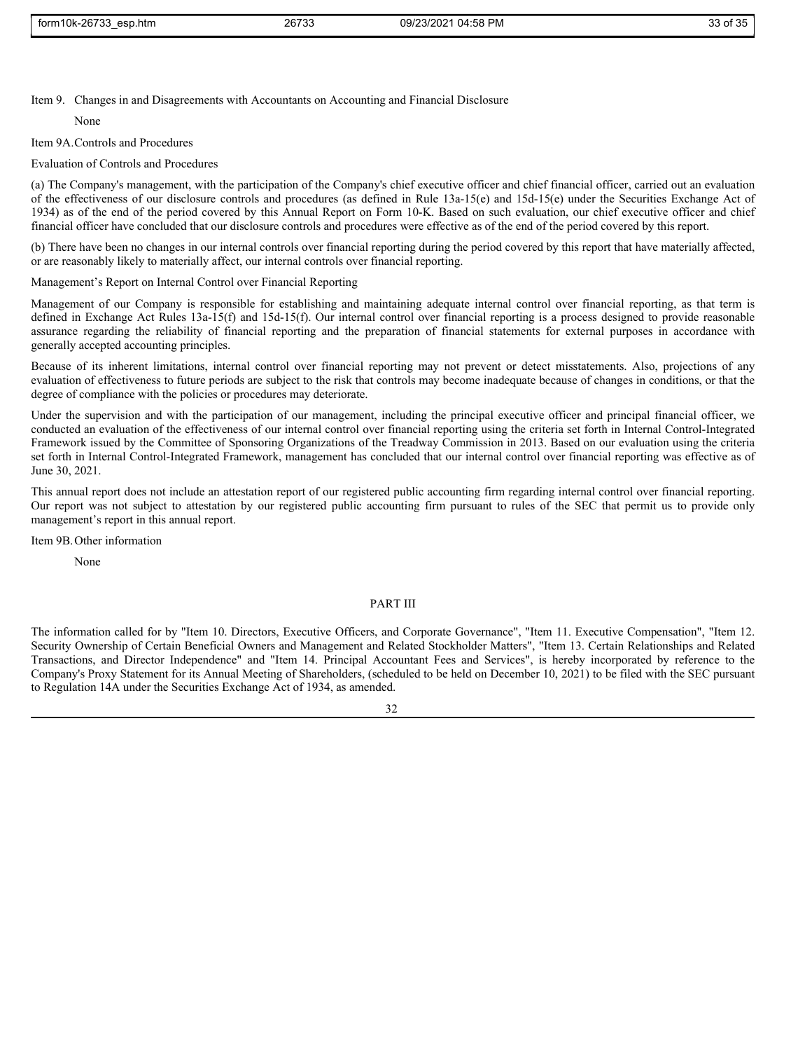Item 9. Changes in and Disagreements with Accountants on Accounting and Financial Disclosure

None

Item 9A.Controls and Procedures

Evaluation of Controls and Procedures

(a) The Company's management, with the participation of the Company's chief executive officer and chief financial officer, carried out an evaluation of the effectiveness of our disclosure controls and procedures (as defined in Rule 13a-15(e) and 15d-15(e) under the Securities Exchange Act of 1934) as of the end of the period covered by this Annual Report on Form 10-K. Based on such evaluation, our chief executive officer and chief financial officer have concluded that our disclosure controls and procedures were effective as of the end of the period covered by this report.

(b) There have been no changes in our internal controls over financial reporting during the period covered by this report that have materially affected, or are reasonably likely to materially affect, our internal controls over financial reporting.

Management's Report on Internal Control over Financial Reporting

Management of our Company is responsible for establishing and maintaining adequate internal control over financial reporting, as that term is defined in Exchange Act Rules 13a-15(f) and 15d-15(f). Our internal control over financial reporting is a process designed to provide reasonable assurance regarding the reliability of financial reporting and the preparation of financial statements for external purposes in accordance with generally accepted accounting principles.

Because of its inherent limitations, internal control over financial reporting may not prevent or detect misstatements. Also, projections of any evaluation of effectiveness to future periods are subject to the risk that controls may become inadequate because of changes in conditions, or that the degree of compliance with the policies or procedures may deteriorate.

Under the supervision and with the participation of our management, including the principal executive officer and principal financial officer, we conducted an evaluation of the effectiveness of our internal control over financial reporting using the criteria set forth in Internal Control-Integrated Framework issued by the Committee of Sponsoring Organizations of the Treadway Commission in 2013. Based on our evaluation using the criteria set forth in Internal Control-Integrated Framework, management has concluded that our internal control over financial reporting was effective as of June 30, 2021.

This annual report does not include an attestation report of our registered public accounting firm regarding internal control over financial reporting. Our report was not subject to attestation by our registered public accounting firm pursuant to rules of the SEC that permit us to provide only management's report in this annual report.

Item 9B.Other information

None

#### PART III

The information called for by "Item 10. Directors, Executive Officers, and Corporate Governance", "Item 11. Executive Compensation", "Item 12. Security Ownership of Certain Beneficial Owners and Management and Related Stockholder Matters", "Item 13. Certain Relationships and Related Transactions, and Director Independence" and "Item 14. Principal Accountant Fees and Services", is hereby incorporated by reference to the Company's Proxy Statement for its Annual Meeting of Shareholders, (scheduled to be held on December 10, 2021) to be filed with the SEC pursuant to Regulation 14A under the Securities Exchange Act of 1934, as amended.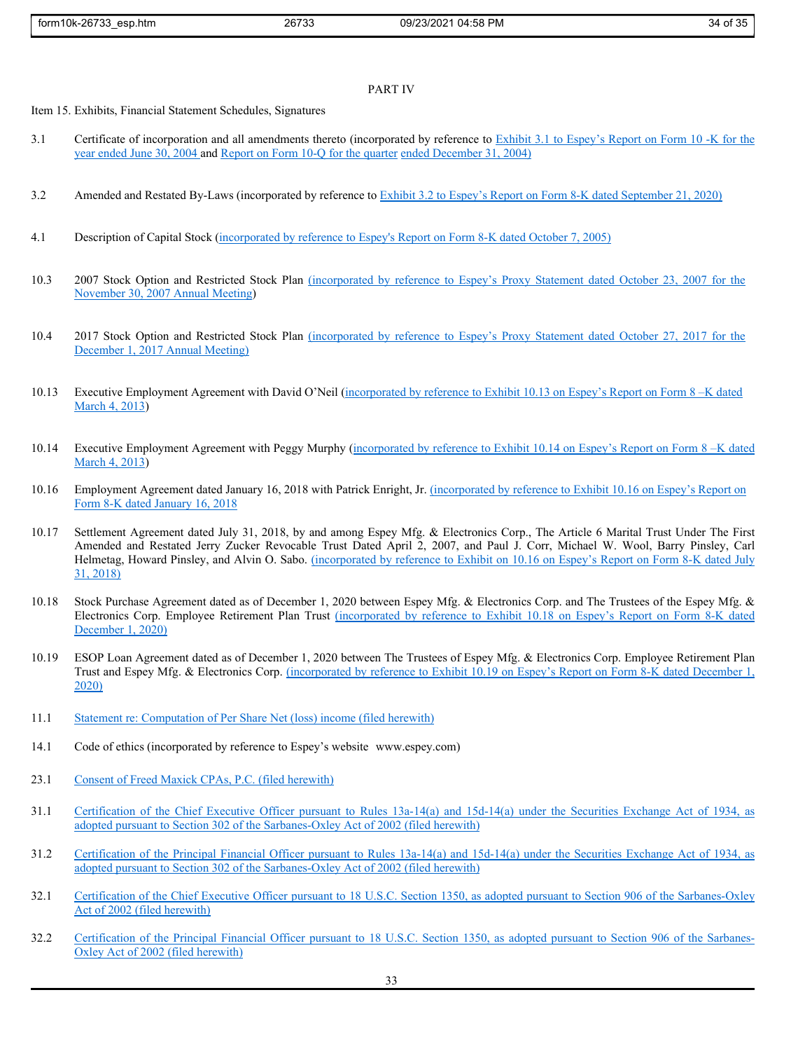| ¬^′<br>ר ה<br>10k<br>esp.htm<br>torn.<br>,,,<br>. | ,,,,,<br>,,,<br>. vv<br>. | $\sim$<br>0.207<br>04:58<br>09/2<br>` PM<br>.<br>2 U Z | $\sim$ $\sim$<br>of 35 |
|---------------------------------------------------|---------------------------|--------------------------------------------------------|------------------------|

## PART IV

Item 15. Exhibits, Financial Statement Schedules, Signatures

- 3.1 Certificate of incorporation and all amendments thereto (incorporated by reference to Exhibit 3.1 to Espey's Report on Form 10 -K for the year ended June 30, 2004 and Report on Form 10-Q for the quarter ended December 31, 2004)
- 3.2 Amended and Restated By-Laws (incorporated by reference to Exhibit 3.2 to Espey's Report on Form 8-K dated September 21, 2020)
- 4.1 Description of Capital Stock (incorporated by reference to Espey's Report on Form 8-K dated October 7, 2005)
- 10.3 2007 Stock Option and Restricted Stock Plan (incorporated by reference to Espey's Proxy Statement dated October 23, 2007 for the November 30, 2007 Annual Meeting)
- 10.4 2017 Stock Option and Restricted Stock Plan (incorporated by reference to Espey's Proxy Statement dated October 27, 2017 for the December 1, 2017 Annual Meeting)
- 10.13 Executive Employment Agreement with David O'Neil (incorporated by reference to Exhibit 10.13 on Espey's Report on Form 8 –K dated March 4, 2013)
- 10.14 Executive Employment Agreement with Peggy Murphy (incorporated by reference to Exhibit 10.14 on Espey's Report on Form 8 –K dated March 4, 2013)
- 10.16 Employment Agreement dated January 16, 2018 with Patrick Enright, Jr. (incorporated by reference to Exhibit 10.16 on Espey's Report on Form 8-K dated January 16, 2018
- 10.17 Settlement Agreement dated July 31, 2018, by and among Espey Mfg. & Electronics Corp., The Article 6 Marital Trust Under The First Amended and Restated Jerry Zucker Revocable Trust Dated April 2, 2007, and Paul J. Corr, Michael W. Wool, Barry Pinsley, Carl Helmetag, Howard Pinsley, and Alvin O. Sabo. (incorporated by reference to Exhibit on 10.16 on Espey's Report on Form 8-K dated July 31, 2018)
- 10.18 Stock Purchase Agreement dated as of December 1, 2020 between Espey Mfg. & Electronics Corp. and The Trustees of the Espey Mfg. & Electronics Corp. Employee Retirement Plan Trust (incorporated by reference to Exhibit 10.18 on Espey's Report on Form 8-K dated December 1, 2020)
- 10.19 ESOP Loan Agreement dated as of December 1, 2020 between The Trustees of Espey Mfg. & Electronics Corp. Employee Retirement Plan Trust and Espey Mfg. & Electronics Corp. (incorporated by reference to Exhibit 10.19 on Espey's Report on Form 8-K dated December 1, 2020)
- 11.1 Statement re: Computation of Per Share Net (loss) income (filed herewith)
- 14.1 Code of ethics (incorporated by reference to Espey's website www.espey.com)
- 23.1 Consent of Freed Maxick CPAs, P.C. (filed herewith)
- 31.1 Certification of the Chief Executive Officer pursuant to Rules 13a-14(a) and 15d-14(a) under the Securities Exchange Act of 1934, as adopted pursuant to Section 302 of the Sarbanes-Oxley Act of 2002 (filed herewith)
- 31.2 Certification of the Principal Financial Officer pursuant to Rules 13a-14(a) and 15d-14(a) under the Securities Exchange Act of 1934, as adopted pursuant to Section 302 of the Sarbanes-Oxley Act of 2002 (filed herewith)
- 32.1 Certification of the Chief Executive Officer pursuant to 18 U.S.C. Section 1350, as adopted pursuant to Section 906 of the Sarbanes-Oxley Act of 2002 (filed herewith)
- 32.2 Certification of the Principal Financial Officer pursuant to 18 U.S.C. Section 1350, as adopted pursuant to Section 906 of the Sarbanes-Oxley Act of 2002 (filed herewith)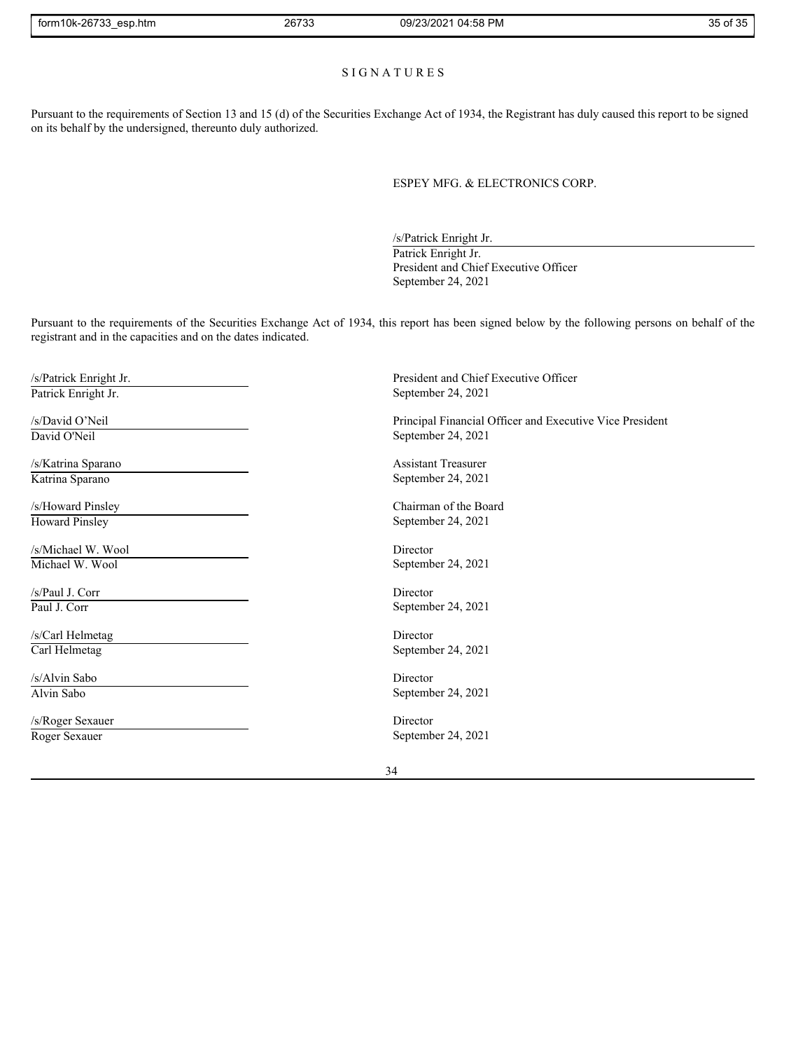| $\sim$<br>$-70c$<br>torm<br>esp.htm<br>ື | 0070c<br>טט וטב<br>. | :58 PM<br>09/<br>$\sim$<br>.<br>.<br>U41<br>.uz | 2F<br>$\sim$ $\sim$ $\sim$<br>J.<br> |
|------------------------------------------|----------------------|-------------------------------------------------|--------------------------------------|
|------------------------------------------|----------------------|-------------------------------------------------|--------------------------------------|

#### **SIGNATURES**

Pursuant to the requirements of Section 13 and 15 (d) of the Securities Exchange Act of 1934, the Registrant has duly caused this report to be signed on its behalf by the undersigned, thereunto duly authorized.

# ESPEY MFG. & ELECTRONICS CORP.

/s/Patrick Enright Jr. Patrick Enright Jr. President and Chief Executive Officer September 24, 2021

Pursuant to the requirements of the Securities Exchange Act of 1934, this report has been signed below by the following persons on behalf of the registrant and in the capacities and on the dates indicated.

/s/Katrina Sparano Assistant Treasurer Katrina Sparano September 24, 2021

Howard Pinsley September 24, 2021

/s/Michael W. Wool Director Michael W. Wool September 24, 2021

/s/Paul J. Corr Director

/s/Carl Helmetag Director<br>
Carl Helmetag Director<br>
Septemb

/s/Alvin Sabo Director<br>Alvin Sabo Director<br>Septemb

/s/Roger Sexauer Director

/s/Patrick Enright Jr. President and Chief Executive Officer Patrick Enright Jr. September 24, 2021

/s/David O'Neil Principal Financial Officer and Executive Vice President David O'Neil September 24, 2021

/s/Howard Pinsley Chairman of the Board

September 24, 2021

September 24, 2021

September 24, 2021

Roger Sexauer September 24, 2021

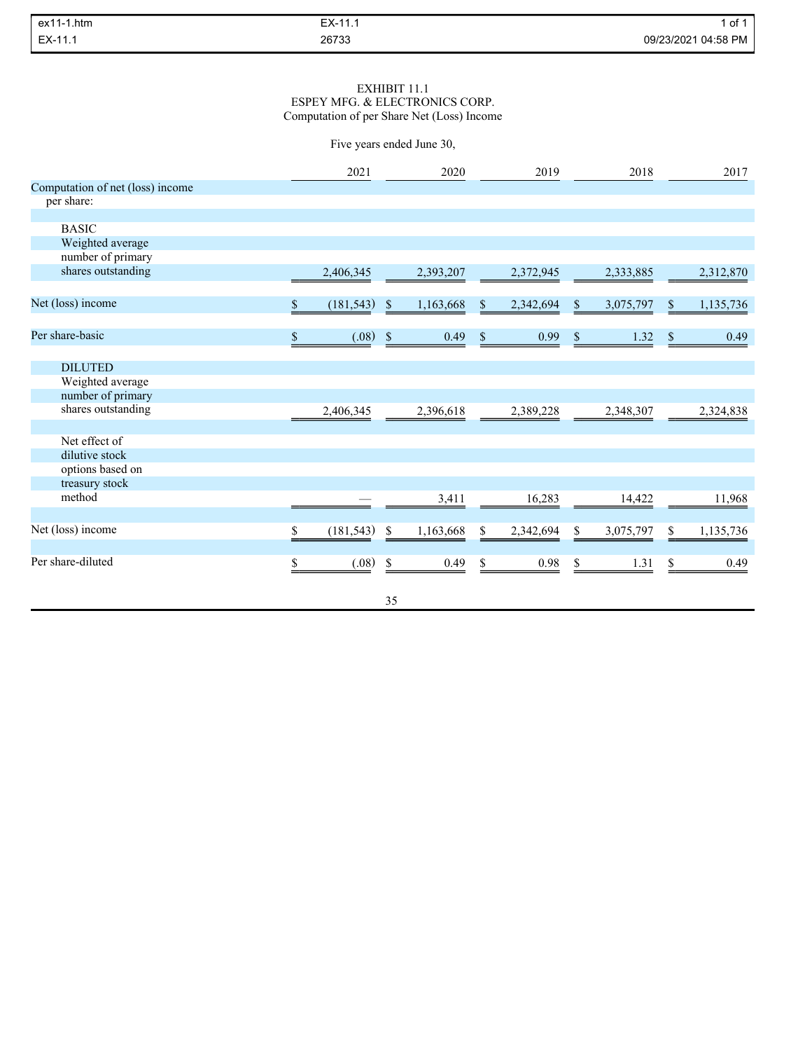| ex1<br>1.htm<br>$1 - 1$ | $\overline{\mathbf{w}}$<br>$\overline{A}$<br>ໍ^ີ<br>. | 1 of                               |
|-------------------------|-------------------------------------------------------|------------------------------------|
| EX-11<br>$-25 - 1.1$    | 26733                                                 | 09/23/2021<br>04:58 PM<br>$\cdots$ |

# EXHIBIT 11.1 ESPEY MFG. & ELECTRONICS CORP. Computation of per Share Net (Loss) Income

# Five years ended June 30,

|                                  |             | 2021       |                                             | 2020      | 2019            |              | 2018      |                           | 2017      |
|----------------------------------|-------------|------------|---------------------------------------------|-----------|-----------------|--------------|-----------|---------------------------|-----------|
| Computation of net (loss) income |             |            |                                             |           |                 |              |           |                           |           |
| per share:                       |             |            |                                             |           |                 |              |           |                           |           |
|                                  |             |            |                                             |           |                 |              |           |                           |           |
| <b>BASIC</b>                     |             |            |                                             |           |                 |              |           |                           |           |
| Weighted average                 |             |            |                                             |           |                 |              |           |                           |           |
| number of primary                |             |            |                                             |           |                 |              |           |                           |           |
| shares outstanding               |             | 2,406,345  |                                             | 2,393,207 | 2,372,945       |              | 2,333,885 |                           | 2,312,870 |
|                                  |             |            |                                             |           |                 |              |           |                           |           |
| Net (loss) income                | $\mathbb S$ | (181, 543) | $\boldsymbol{\mathsf{S}}$                   | 1,163,668 | \$<br>2,342,694 | \$           | 3,075,797 | $\boldsymbol{\mathsf{S}}$ | 1,135,736 |
|                                  |             |            |                                             |           |                 |              |           |                           |           |
| Per share-basic                  | \$          | (.08)      | \$                                          | 0.49      | \$<br>0.99      | $\$$         | 1.32      | $\boldsymbol{\mathsf{S}}$ | 0.49      |
|                                  |             |            |                                             |           |                 |              |           |                           |           |
| <b>DILUTED</b>                   |             |            |                                             |           |                 |              |           |                           |           |
| Weighted average                 |             |            |                                             |           |                 |              |           |                           |           |
| number of primary                |             |            |                                             |           |                 |              |           |                           |           |
| shares outstanding               |             | 2,406,345  |                                             | 2,396,618 | 2,389,228       |              | 2,348,307 |                           | 2,324,838 |
|                                  |             |            |                                             |           |                 |              |           |                           |           |
| Net effect of                    |             |            |                                             |           |                 |              |           |                           |           |
| dilutive stock                   |             |            |                                             |           |                 |              |           |                           |           |
| options based on                 |             |            |                                             |           |                 |              |           |                           |           |
| treasury stock                   |             |            |                                             |           |                 |              |           |                           |           |
| method                           |             |            |                                             | 3,411     | 16,283          |              | 14,422    |                           | 11,968    |
|                                  |             |            |                                             |           |                 |              |           |                           |           |
| Net (loss) income                | \$          | (181, 543) | $\mathbb{S}$                                | 1,163,668 | \$<br>2,342,694 | $\mathbb{S}$ | 3,075,797 | \$                        | 1,135,736 |
|                                  |             |            |                                             |           |                 |              |           |                           |           |
| Per share-diluted                | \$          | (.08)      | $\mathbb{S}% _{n}^{X\rightarrow\mathbb{R}}$ | 0.49      | \$<br>0.98      | \$           | 1.31      | \$                        | 0.49      |
|                                  |             |            |                                             |           |                 |              |           |                           |           |
|                                  |             |            |                                             |           |                 |              |           |                           |           |
|                                  |             |            | 35                                          |           |                 |              |           |                           |           |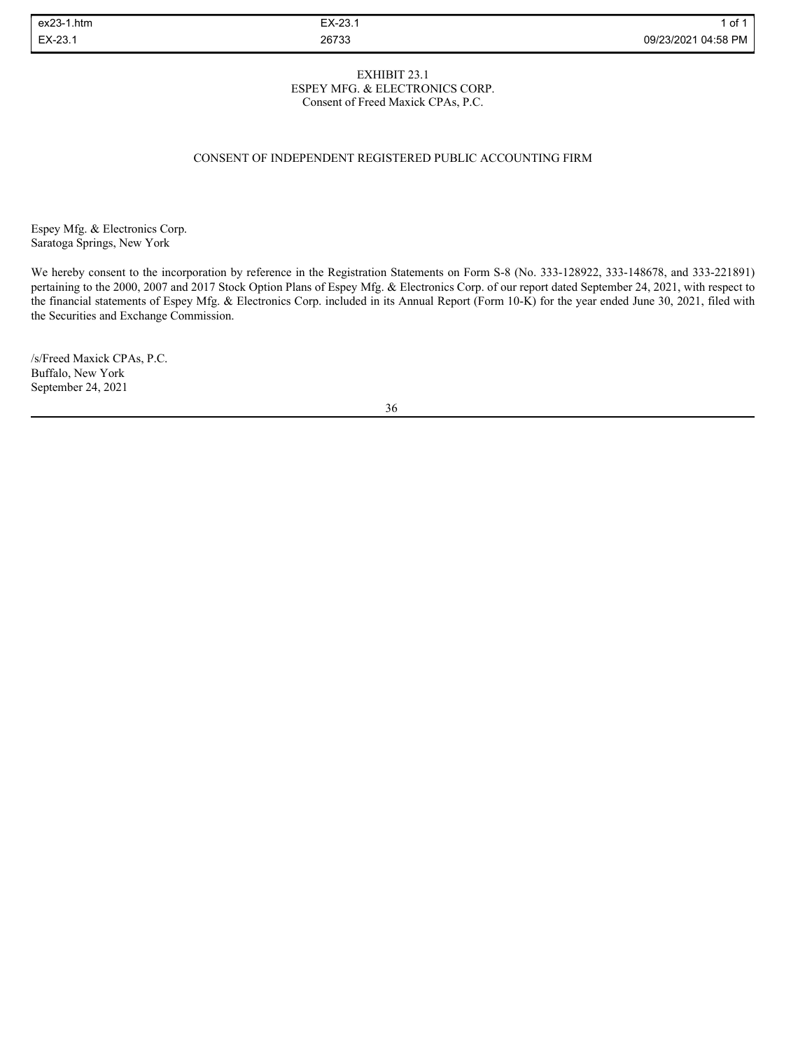#### EXHIBIT 23.1 ESPEY MFG. & ELECTRONICS CORP. Consent of Freed Maxick CPAs, P.C.

## CONSENT OF INDEPENDENT REGISTERED PUBLIC ACCOUNTING FIRM

Espey Mfg. & Electronics Corp. Saratoga Springs, New York

We hereby consent to the incorporation by reference in the Registration Statements on Form S-8 (No. 333-128922, 333-148678, and 333-221891) pertaining to the 2000, 2007 and 2017 Stock Option Plans of Espey Mfg. & Electronics Corp. of our report dated September 24, 2021, with respect to the financial statements of Espey Mfg. & Electronics Corp. included in its Annual Report (Form 10-K) for the year ended June 30, 2021, filed with the Securities and Exchange Commission.

/s/Freed Maxick CPAs, P.C. Buffalo, New York September 24, 2021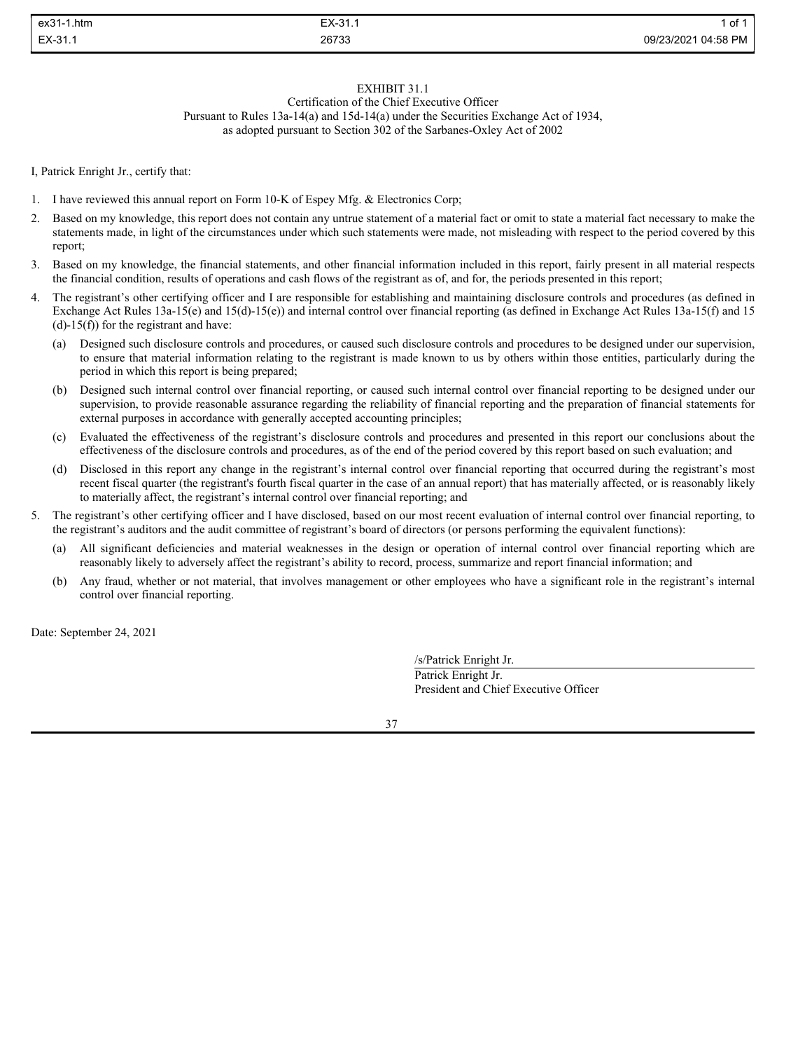# EXHIBIT 31.1

Certification of the Chief Executive Officer

Pursuant to Rules 13a-14(a) and 15d-14(a) under the Securities Exchange Act of 1934, as adopted pursuant to Section 302 of the Sarbanes-Oxley Act of 2002

I, Patrick Enright Jr., certify that:

- 1. I have reviewed this annual report on Form 10-K of Espey Mfg. & Electronics Corp;
- 2. Based on my knowledge, this report does not contain any untrue statement of a material fact or omit to state a material fact necessary to make the statements made, in light of the circumstances under which such statements were made, not misleading with respect to the period covered by this report;
- 3. Based on my knowledge, the financial statements, and other financial information included in this report, fairly present in all material respects the financial condition, results of operations and cash flows of the registrant as of, and for, the periods presented in this report;
- 4. The registrant's other certifying officer and I are responsible for establishing and maintaining disclosure controls and procedures (as defined in Exchange Act Rules 13a-15(e) and 15(d)-15(e)) and internal control over financial reporting (as defined in Exchange Act Rules 13a-15(f) and 15  $(d)-15(f)$  for the registrant and have:
	- (a) Designed such disclosure controls and procedures, or caused such disclosure controls and procedures to be designed under our supervision, to ensure that material information relating to the registrant is made known to us by others within those entities, particularly during the period in which this report is being prepared;
	- (b) Designed such internal control over financial reporting, or caused such internal control over financial reporting to be designed under our supervision, to provide reasonable assurance regarding the reliability of financial reporting and the preparation of financial statements for external purposes in accordance with generally accepted accounting principles;
	- (c) Evaluated the effectiveness of the registrant's disclosure controls and procedures and presented in this report our conclusions about the effectiveness of the disclosure controls and procedures, as of the end of the period covered by this report based on such evaluation; and
	- (d) Disclosed in this report any change in the registrant's internal control over financial reporting that occurred during the registrant's most recent fiscal quarter (the registrant's fourth fiscal quarter in the case of an annual report) that has materially affected, or is reasonably likely to materially affect, the registrant's internal control over financial reporting; and
- 5. The registrant's other certifying officer and I have disclosed, based on our most recent evaluation of internal control over financial reporting, to the registrant's auditors and the audit committee of registrant's board of directors (or persons performing the equivalent functions):
	- (a) All significant deficiencies and material weaknesses in the design or operation of internal control over financial reporting which are reasonably likely to adversely affect the registrant's ability to record, process, summarize and report financial information; and
	- (b) Any fraud, whether or not material, that involves management or other employees who have a significant role in the registrant's internal control over financial reporting.

Date: September 24, 2021

/s/Patrick Enright Jr.

Patrick Enright Jr. President and Chief Executive Officer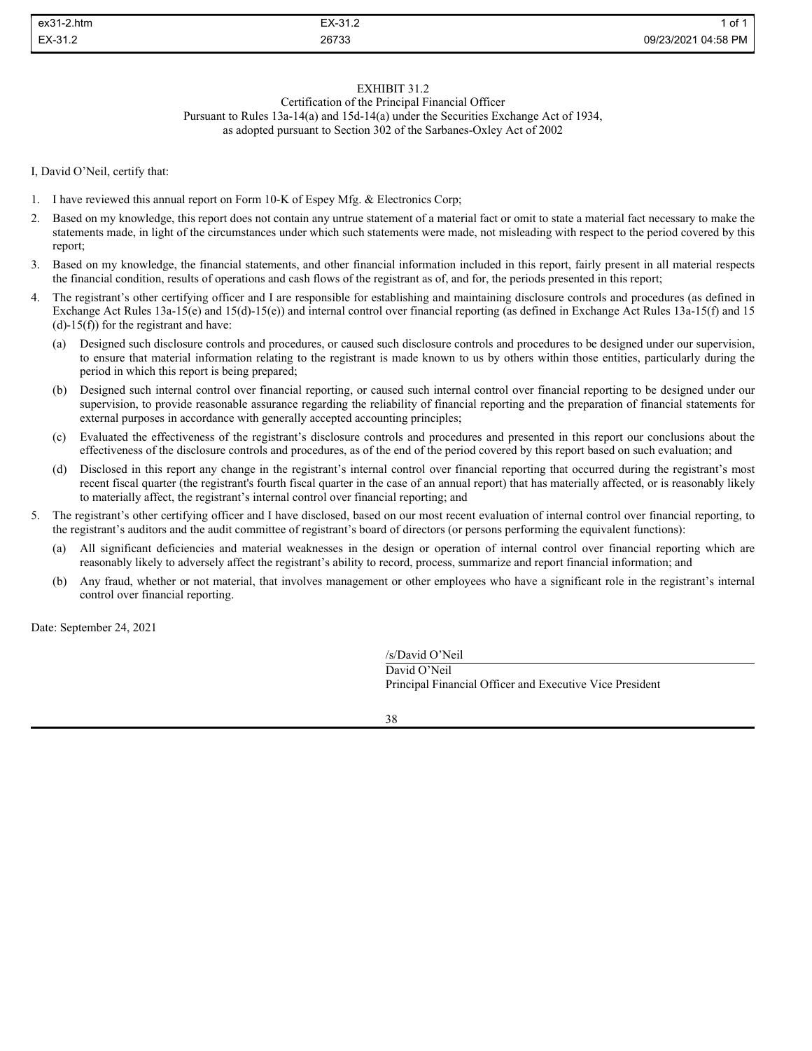# EXHIBIT 31.2

Certification of the Principal Financial Officer Pursuant to Rules 13a-14(a) and 15d-14(a) under the Securities Exchange Act of 1934, as adopted pursuant to Section 302 of the Sarbanes-Oxley Act of 2002

I, David O'Neil, certify that:

- 1. I have reviewed this annual report on Form 10-K of Espey Mfg. & Electronics Corp;
- 2. Based on my knowledge, this report does not contain any untrue statement of a material fact or omit to state a material fact necessary to make the statements made, in light of the circumstances under which such statements were made, not misleading with respect to the period covered by this report;
- 3. Based on my knowledge, the financial statements, and other financial information included in this report, fairly present in all material respects the financial condition, results of operations and cash flows of the registrant as of, and for, the periods presented in this report;
- 4. The registrant's other certifying officer and I are responsible for establishing and maintaining disclosure controls and procedures (as defined in Exchange Act Rules 13a-15(e) and 15(d)-15(e)) and internal control over financial reporting (as defined in Exchange Act Rules 13a-15(f) and 15  $(d)-15(f)$  for the registrant and have:
	- (a) Designed such disclosure controls and procedures, or caused such disclosure controls and procedures to be designed under our supervision, to ensure that material information relating to the registrant is made known to us by others within those entities, particularly during the period in which this report is being prepared;
	- (b) Designed such internal control over financial reporting, or caused such internal control over financial reporting to be designed under our supervision, to provide reasonable assurance regarding the reliability of financial reporting and the preparation of financial statements for external purposes in accordance with generally accepted accounting principles;
	- (c) Evaluated the effectiveness of the registrant's disclosure controls and procedures and presented in this report our conclusions about the effectiveness of the disclosure controls and procedures, as of the end of the period covered by this report based on such evaluation; and
	- (d) Disclosed in this report any change in the registrant's internal control over financial reporting that occurred during the registrant's most recent fiscal quarter (the registrant's fourth fiscal quarter in the case of an annual report) that has materially affected, or is reasonably likely to materially affect, the registrant's internal control over financial reporting; and
- 5. The registrant's other certifying officer and I have disclosed, based on our most recent evaluation of internal control over financial reporting, to the registrant's auditors and the audit committee of registrant's board of directors (or persons performing the equivalent functions):
	- (a) All significant deficiencies and material weaknesses in the design or operation of internal control over financial reporting which are reasonably likely to adversely affect the registrant's ability to record, process, summarize and report financial information; and
	- (b) Any fraud, whether or not material, that involves management or other employees who have a significant role in the registrant's internal control over financial reporting.

Date: September 24, 2021

/s/David O'Neil

David O'Neil Principal Financial Officer and Executive Vice President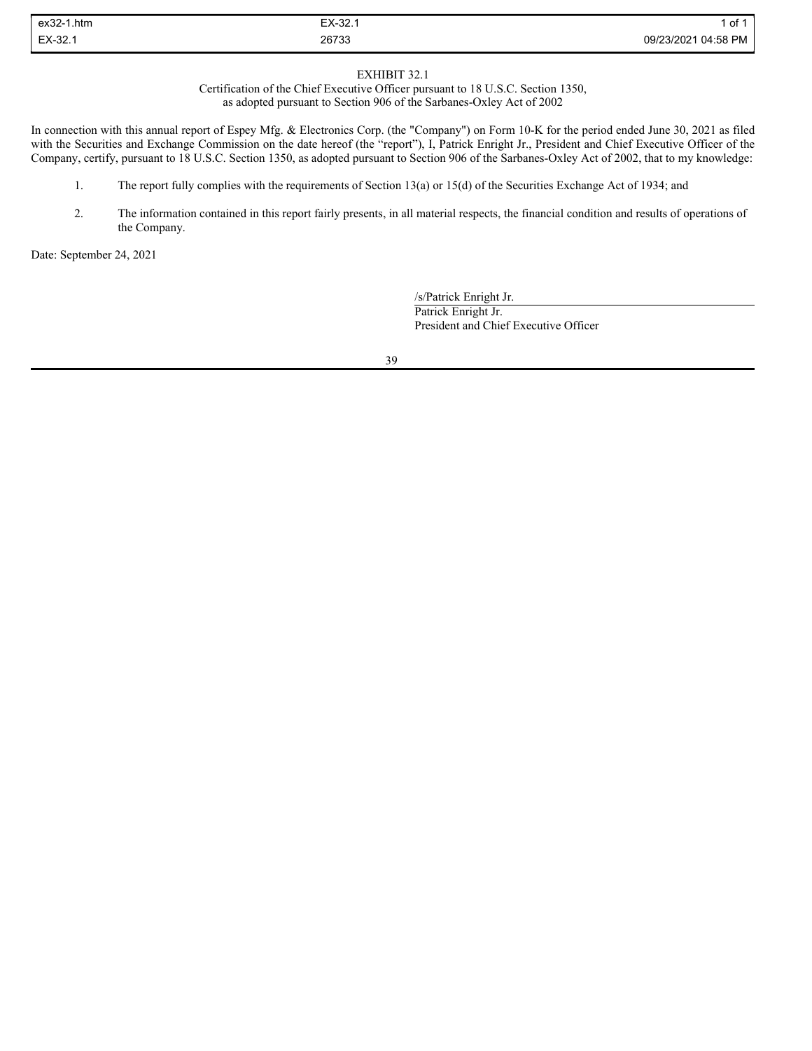| ex32-<br>$-1.htm$ | <b>LA</b> 30<br>ᆮᄉ<br>EV-95. | оt                                        |
|-------------------|------------------------------|-------------------------------------------|
| EX-32.            | 26733                        | <b>09/23/2021</b><br>04:58<br>∍⊏<br>- IVI |

# EXHIBIT 32.1

Certification of the Chief Executive Officer pursuant to 18 U.S.C. Section 1350, as adopted pursuant to Section 906 of the Sarbanes-Oxley Act of 2002

In connection with this annual report of Espey Mfg. & Electronics Corp. (the "Company") on Form 10-K for the period ended June 30, 2021 as filed with the Securities and Exchange Commission on the date hereof (the "report"), I, Patrick Enright Jr., President and Chief Executive Officer of the Company, certify, pursuant to 18 U.S.C. Section 1350, as adopted pursuant to Section 906 of the Sarbanes-Oxley Act of 2002, that to my knowledge:

- 1. The report fully complies with the requirements of Section 13(a) or 15(d) of the Securities Exchange Act of 1934; and
- 2. The information contained in this report fairly presents, in all material respects, the financial condition and results of operations of the Company.

Date: September 24, 2021

/s/Patrick Enright Jr. Patrick Enright Jr. President and Chief Executive Officer